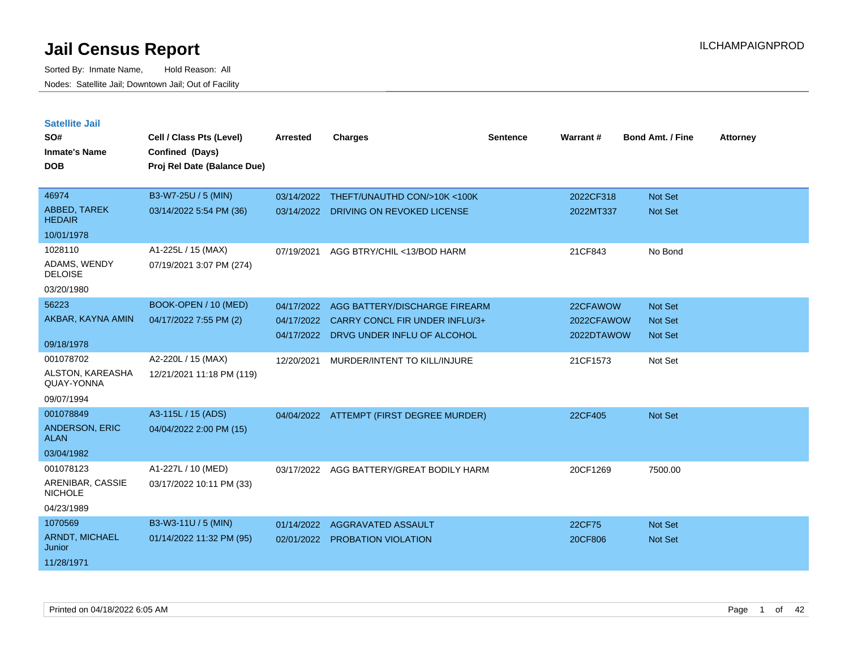| <b>Satellite Jail</b><br>SO#<br><b>Inmate's Name</b><br><b>DOB</b> | Cell / Class Pts (Level)<br>Confined (Days)<br>Proj Rel Date (Balance Due) | Arrested   | <b>Charges</b>                           | <b>Sentence</b> | Warrant#   | <b>Bond Amt. / Fine</b> | <b>Attorney</b> |
|--------------------------------------------------------------------|----------------------------------------------------------------------------|------------|------------------------------------------|-----------------|------------|-------------------------|-----------------|
| 46974                                                              | B3-W7-25U / 5 (MIN)                                                        | 03/14/2022 | THEFT/UNAUTHD CON/>10K <100K             |                 | 2022CF318  | <b>Not Set</b>          |                 |
| ABBED, TAREK<br><b>HEDAIR</b>                                      | 03/14/2022 5:54 PM (36)                                                    | 03/14/2022 | DRIVING ON REVOKED LICENSE               |                 | 2022MT337  | <b>Not Set</b>          |                 |
| 10/01/1978                                                         |                                                                            |            |                                          |                 |            |                         |                 |
| 1028110<br>ADAMS, WENDY<br><b>DELOISE</b>                          | A1-225L / 15 (MAX)<br>07/19/2021 3:07 PM (274)                             | 07/19/2021 | AGG BTRY/CHIL <13/BOD HARM               |                 | 21CF843    | No Bond                 |                 |
| 03/20/1980                                                         |                                                                            |            |                                          |                 |            |                         |                 |
| 56223                                                              | BOOK-OPEN / 10 (MED)                                                       | 04/17/2022 | AGG BATTERY/DISCHARGE FIREARM            |                 | 22CFAWOW   | Not Set                 |                 |
| AKBAR, KAYNA AMIN                                                  | 04/17/2022 7:55 PM (2)                                                     | 04/17/2022 | CARRY CONCL FIR UNDER INFLU/3+           |                 | 2022CFAWOW | <b>Not Set</b>          |                 |
| 09/18/1978                                                         |                                                                            | 04/17/2022 | DRVG UNDER INFLU OF ALCOHOL              |                 | 2022DTAWOW | <b>Not Set</b>          |                 |
| 001078702                                                          | A2-220L / 15 (MAX)                                                         | 12/20/2021 | MURDER/INTENT TO KILL/INJURE             |                 | 21CF1573   | Not Set                 |                 |
| ALSTON, KAREASHA<br>QUAY-YONNA                                     | 12/21/2021 11:18 PM (119)                                                  |            |                                          |                 |            |                         |                 |
| 09/07/1994                                                         |                                                                            |            |                                          |                 |            |                         |                 |
| 001078849                                                          | A3-115L / 15 (ADS)                                                         |            | 04/04/2022 ATTEMPT (FIRST DEGREE MURDER) |                 | 22CF405    | <b>Not Set</b>          |                 |
| <b>ANDERSON, ERIC</b><br><b>ALAN</b>                               | 04/04/2022 2:00 PM (15)                                                    |            |                                          |                 |            |                         |                 |
| 03/04/1982                                                         |                                                                            |            |                                          |                 |            |                         |                 |
| 001078123                                                          | A1-227L / 10 (MED)                                                         | 03/17/2022 | AGG BATTERY/GREAT BODILY HARM            |                 | 20CF1269   | 7500.00                 |                 |
| ARENIBAR, CASSIE<br><b>NICHOLE</b>                                 | 03/17/2022 10:11 PM (33)                                                   |            |                                          |                 |            |                         |                 |
| 04/23/1989                                                         |                                                                            |            |                                          |                 |            |                         |                 |
| 1070569                                                            | B3-W3-11U / 5 (MIN)                                                        | 01/14/2022 | AGGRAVATED ASSAULT                       |                 | 22CF75     | <b>Not Set</b>          |                 |
| <b>ARNDT, MICHAEL</b><br>Junior                                    | 01/14/2022 11:32 PM (95)                                                   | 02/01/2022 | PROBATION VIOLATION                      |                 | 20CF806    | <b>Not Set</b>          |                 |
| 11/28/1971                                                         |                                                                            |            |                                          |                 |            |                         |                 |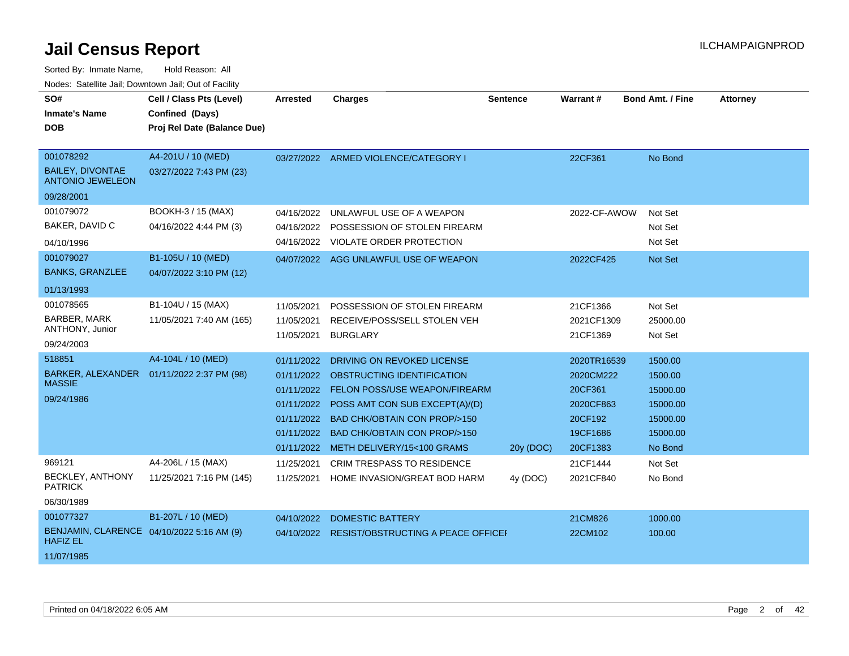| SO#                                                          |                             |                 |                                        |                 |                 |                         |                 |
|--------------------------------------------------------------|-----------------------------|-----------------|----------------------------------------|-----------------|-----------------|-------------------------|-----------------|
|                                                              | Cell / Class Pts (Level)    | <b>Arrested</b> | <b>Charges</b>                         | <b>Sentence</b> | <b>Warrant#</b> | <b>Bond Amt. / Fine</b> | <b>Attorney</b> |
| <b>Inmate's Name</b>                                         | Confined (Days)             |                 |                                        |                 |                 |                         |                 |
| <b>DOB</b>                                                   | Proj Rel Date (Balance Due) |                 |                                        |                 |                 |                         |                 |
|                                                              |                             |                 |                                        |                 |                 |                         |                 |
| 001078292                                                    | A4-201U / 10 (MED)          |                 | 03/27/2022 ARMED VIOLENCE/CATEGORY I   |                 | 22CF361         | No Bond                 |                 |
| <b>BAILEY, DIVONTAE</b><br><b>ANTONIO JEWELEON</b>           | 03/27/2022 7:43 PM (23)     |                 |                                        |                 |                 |                         |                 |
| 09/28/2001                                                   |                             |                 |                                        |                 |                 |                         |                 |
| 001079072                                                    | BOOKH-3 / 15 (MAX)          | 04/16/2022      | UNLAWFUL USE OF A WEAPON               |                 | 2022-CF-AWOW    | Not Set                 |                 |
| BAKER, DAVID C                                               | 04/16/2022 4:44 PM (3)      | 04/16/2022      | POSSESSION OF STOLEN FIREARM           |                 |                 | Not Set                 |                 |
| 04/10/1996                                                   |                             | 04/16/2022      | <b>VIOLATE ORDER PROTECTION</b>        |                 |                 | Not Set                 |                 |
| 001079027                                                    | B1-105U / 10 (MED)          |                 | 04/07/2022 AGG UNLAWFUL USE OF WEAPON  |                 | 2022CF425       | Not Set                 |                 |
| <b>BANKS, GRANZLEE</b>                                       | 04/07/2022 3:10 PM (12)     |                 |                                        |                 |                 |                         |                 |
| 01/13/1993                                                   |                             |                 |                                        |                 |                 |                         |                 |
| 001078565                                                    | B1-104U / 15 (MAX)          | 11/05/2021      | POSSESSION OF STOLEN FIREARM           |                 | 21CF1366        | Not Set                 |                 |
| <b>BARBER, MARK</b>                                          | 11/05/2021 7:40 AM (165)    | 11/05/2021      | RECEIVE/POSS/SELL STOLEN VEH           |                 | 2021CF1309      | 25000.00                |                 |
| ANTHONY, Junior                                              |                             | 11/05/2021      | <b>BURGLARY</b>                        |                 | 21CF1369        | Not Set                 |                 |
| 09/24/2003                                                   |                             |                 |                                        |                 |                 |                         |                 |
| 518851                                                       | A4-104L / 10 (MED)          | 01/11/2022      | DRIVING ON REVOKED LICENSE             |                 | 2020TR16539     | 1500.00                 |                 |
| BARKER, ALEXANDER                                            | 01/11/2022 2:37 PM (98)     | 01/11/2022      | OBSTRUCTING IDENTIFICATION             |                 | 2020CM222       | 1500.00                 |                 |
| <b>MASSIE</b>                                                |                             | 01/11/2022      | FELON POSS/USE WEAPON/FIREARM          |                 | 20CF361         | 15000.00                |                 |
| 09/24/1986                                                   |                             | 01/11/2022      | POSS AMT CON SUB EXCEPT(A)/(D)         |                 | 2020CF863       | 15000.00                |                 |
|                                                              |                             | 01/11/2022      | <b>BAD CHK/OBTAIN CON PROP/&gt;150</b> |                 | 20CF192         | 15000.00                |                 |
|                                                              |                             | 01/11/2022      | <b>BAD CHK/OBTAIN CON PROP/&gt;150</b> |                 | 19CF1686        | 15000.00                |                 |
|                                                              |                             |                 | 01/11/2022 METH DELIVERY/15<100 GRAMS  | 20y (DOC)       | 20CF1383        | No Bond                 |                 |
| 969121                                                       | A4-206L / 15 (MAX)          | 11/25/2021      | <b>CRIM TRESPASS TO RESIDENCE</b>      |                 | 21CF1444        | Not Set                 |                 |
| BECKLEY, ANTHONY                                             | 11/25/2021 7:16 PM (145)    |                 | HOME INVASION/GREAT BOD HARM           |                 |                 | No Bond                 |                 |
| <b>PATRICK</b>                                               |                             | 11/25/2021      |                                        | 4y (DOC)        | 2021CF840       |                         |                 |
| 06/30/1989                                                   |                             |                 |                                        |                 |                 |                         |                 |
| 001077327                                                    | B1-207L / 10 (MED)          | 04/10/2022      | <b>DOMESTIC BATTERY</b>                |                 | 21CM826         | 1000.00                 |                 |
| BENJAMIN, CLARENCE 04/10/2022 5:16 AM (9)<br><b>HAFIZ EL</b> |                             | 04/10/2022      | RESIST/OBSTRUCTING A PEACE OFFICEI     |                 | 22CM102         | 100.00                  |                 |
| 11/07/1985                                                   |                             |                 |                                        |                 |                 |                         |                 |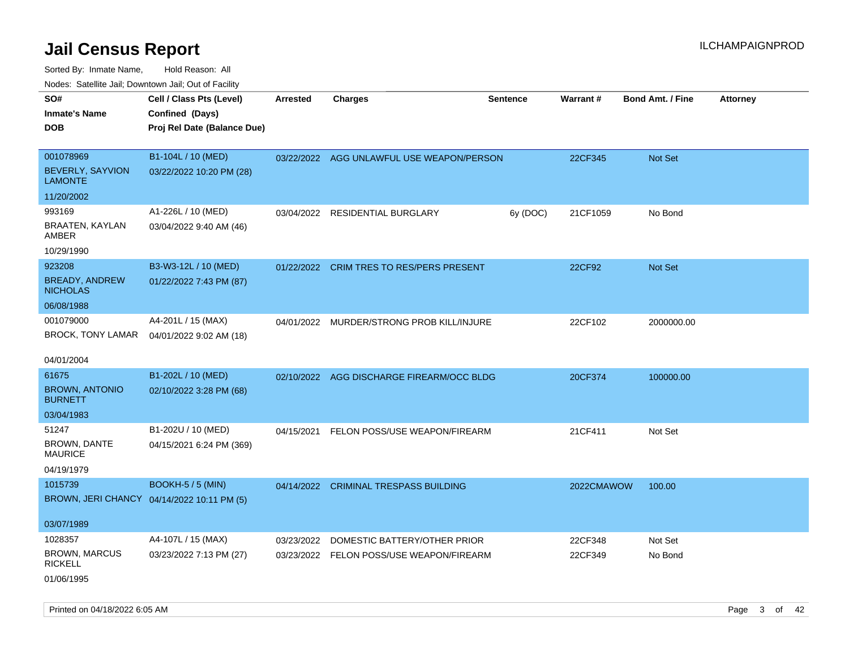Sorted By: Inmate Name, Hold Reason: All Nodes: Satellite Jail; Downtown Jail; Out of Facility

| <b>Nedee:</b> Catoline can, Domnomi can, Oat or I domt           |                                                                            |                 |                                           |                 |            |                         |                 |
|------------------------------------------------------------------|----------------------------------------------------------------------------|-----------------|-------------------------------------------|-----------------|------------|-------------------------|-----------------|
| SO#<br><b>Inmate's Name</b><br><b>DOB</b>                        | Cell / Class Pts (Level)<br>Confined (Days)<br>Proj Rel Date (Balance Due) | <b>Arrested</b> | <b>Charges</b>                            | <b>Sentence</b> | Warrant#   | <b>Bond Amt. / Fine</b> | <b>Attorney</b> |
| 001078969<br>BEVERLY, SAYVION<br><b>LAMONTE</b>                  | B1-104L / 10 (MED)<br>03/22/2022 10:20 PM (28)                             |                 | 03/22/2022 AGG UNLAWFUL USE WEAPON/PERSON |                 | 22CF345    | Not Set                 |                 |
| 11/20/2002                                                       |                                                                            |                 |                                           |                 |            |                         |                 |
| 993169<br>BRAATEN, KAYLAN<br>AMBER                               | A1-226L / 10 (MED)<br>03/04/2022 9:40 AM (46)                              |                 | 03/04/2022 RESIDENTIAL BURGLARY           | 6y (DOC)        | 21CF1059   | No Bond                 |                 |
| 10/29/1990                                                       |                                                                            |                 |                                           |                 |            |                         |                 |
| 923208<br><b>BREADY, ANDREW</b><br><b>NICHOLAS</b><br>06/08/1988 | B3-W3-12L / 10 (MED)<br>01/22/2022 7:43 PM (87)                            |                 | 01/22/2022 CRIM TRES TO RES/PERS PRESENT  |                 | 22CF92     | Not Set                 |                 |
| 001079000<br>BROCK, TONY LAMAR<br>04/01/2004                     | A4-201L / 15 (MAX)<br>04/01/2022 9:02 AM (18)                              |                 | 04/01/2022 MURDER/STRONG PROB KILL/INJURE |                 | 22CF102    | 2000000.00              |                 |
| 61675<br><b>BROWN, ANTONIO</b><br><b>BURNETT</b><br>03/04/1983   | B1-202L / 10 (MED)<br>02/10/2022 3:28 PM (68)                              |                 | 02/10/2022 AGG DISCHARGE FIREARM/OCC BLDG |                 | 20CF374    | 100000.00               |                 |
| 51247<br><b>BROWN, DANTE</b><br><b>MAURICE</b><br>04/19/1979     | B1-202U / 10 (MED)<br>04/15/2021 6:24 PM (369)                             | 04/15/2021      | FELON POSS/USE WEAPON/FIREARM             |                 | 21CF411    | Not Set                 |                 |
| 1015739<br>03/07/1989                                            | <b>BOOKH-5 / 5 (MIN)</b><br>BROWN, JERI CHANCY 04/14/2022 10:11 PM (5)     | 04/14/2022      | <b>CRIMINAL TRESPASS BUILDING</b>         |                 | 2022CMAWOW | 100.00                  |                 |
| 1028357                                                          | A4-107L / 15 (MAX)                                                         | 03/23/2022      | DOMESTIC BATTERY/OTHER PRIOR              |                 | 22CF348    | Not Set                 |                 |
| <b>BROWN, MARCUS</b><br><b>RICKELL</b><br>01/06/1995             | 03/23/2022 7:13 PM (27)                                                    |                 | 03/23/2022 FELON POSS/USE WEAPON/FIREARM  |                 | 22CF349    | No Bond                 |                 |

Printed on 04/18/2022 6:05 AM **Page 3 of 42**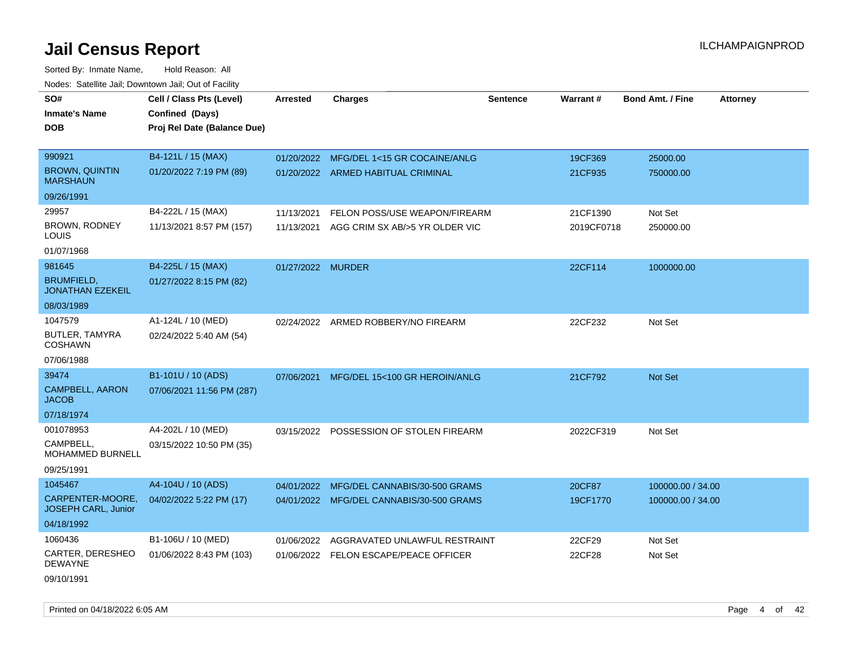| SO#                                          | Cell / Class Pts (Level)                       | <b>Arrested</b>   | <b>Charges</b>                           | <b>Sentence</b> | Warrant#   | <b>Bond Amt. / Fine</b> | <b>Attorney</b> |
|----------------------------------------------|------------------------------------------------|-------------------|------------------------------------------|-----------------|------------|-------------------------|-----------------|
| <b>Inmate's Name</b><br><b>DOB</b>           | Confined (Days)<br>Proj Rel Date (Balance Due) |                   |                                          |                 |            |                         |                 |
| 990921                                       | B4-121L / 15 (MAX)                             | 01/20/2022        | MFG/DEL 1<15 GR COCAINE/ANLG             |                 | 19CF369    | 25000.00                |                 |
| <b>BROWN, QUINTIN</b><br><b>MARSHAUN</b>     | 01/20/2022 7:19 PM (89)                        |                   | 01/20/2022 ARMED HABITUAL CRIMINAL       |                 | 21CF935    | 750000.00               |                 |
| 09/26/1991                                   |                                                |                   |                                          |                 |            |                         |                 |
| 29957                                        | B4-222L / 15 (MAX)                             | 11/13/2021        | FELON POSS/USE WEAPON/FIREARM            |                 | 21CF1390   | Not Set                 |                 |
| BROWN, RODNEY<br>LOUIS                       | 11/13/2021 8:57 PM (157)                       | 11/13/2021        | AGG CRIM SX AB/>5 YR OLDER VIC           |                 | 2019CF0718 | 250000.00               |                 |
| 01/07/1968                                   |                                                |                   |                                          |                 |            |                         |                 |
| 981645                                       | B4-225L / 15 (MAX)                             | 01/27/2022 MURDER |                                          |                 | 22CF114    | 1000000.00              |                 |
| <b>BRUMFIELD,</b><br><b>JONATHAN EZEKEIL</b> | 01/27/2022 8:15 PM (82)                        |                   |                                          |                 |            |                         |                 |
| 08/03/1989                                   |                                                |                   |                                          |                 |            |                         |                 |
| 1047579                                      | A1-124L / 10 (MED)                             |                   | 02/24/2022 ARMED ROBBERY/NO FIREARM      |                 | 22CF232    | Not Set                 |                 |
| BUTLER, TAMYRA<br><b>COSHAWN</b>             | 02/24/2022 5:40 AM (54)                        |                   |                                          |                 |            |                         |                 |
| 07/06/1988                                   |                                                |                   |                                          |                 |            |                         |                 |
| 39474                                        | B1-101U / 10 (ADS)                             | 07/06/2021        | MFG/DEL 15<100 GR HEROIN/ANLG            |                 | 21CF792    | <b>Not Set</b>          |                 |
| <b>CAMPBELL, AARON</b><br><b>JACOB</b>       | 07/06/2021 11:56 PM (287)                      |                   |                                          |                 |            |                         |                 |
| 07/18/1974                                   |                                                |                   |                                          |                 |            |                         |                 |
| 001078953                                    | A4-202L / 10 (MED)                             |                   | 03/15/2022 POSSESSION OF STOLEN FIREARM  |                 | 2022CF319  | Not Set                 |                 |
| CAMPBELL,<br>MOHAMMED BURNELL                | 03/15/2022 10:50 PM (35)                       |                   |                                          |                 |            |                         |                 |
| 09/25/1991                                   |                                                |                   |                                          |                 |            |                         |                 |
| 1045467                                      | A4-104U / 10 (ADS)                             | 04/01/2022        | MFG/DEL CANNABIS/30-500 GRAMS            |                 | 20CF87     | 100000.00 / 34.00       |                 |
| CARPENTER-MOORE,<br>JOSEPH CARL, Junior      | 04/02/2022 5:22 PM (17)                        |                   | 04/01/2022 MFG/DEL CANNABIS/30-500 GRAMS |                 | 19CF1770   | 100000.00 / 34.00       |                 |
| 04/18/1992                                   |                                                |                   |                                          |                 |            |                         |                 |
| 1060436                                      | B1-106U / 10 (MED)                             | 01/06/2022        | AGGRAVATED UNLAWFUL RESTRAINT            |                 | 22CF29     | Not Set                 |                 |
| CARTER, DERESHEO<br><b>DEWAYNE</b>           | 01/06/2022 8:43 PM (103)                       |                   | 01/06/2022 FELON ESCAPE/PEACE OFFICER    |                 | 22CF28     | Not Set                 |                 |
| 09/10/1991                                   |                                                |                   |                                          |                 |            |                         |                 |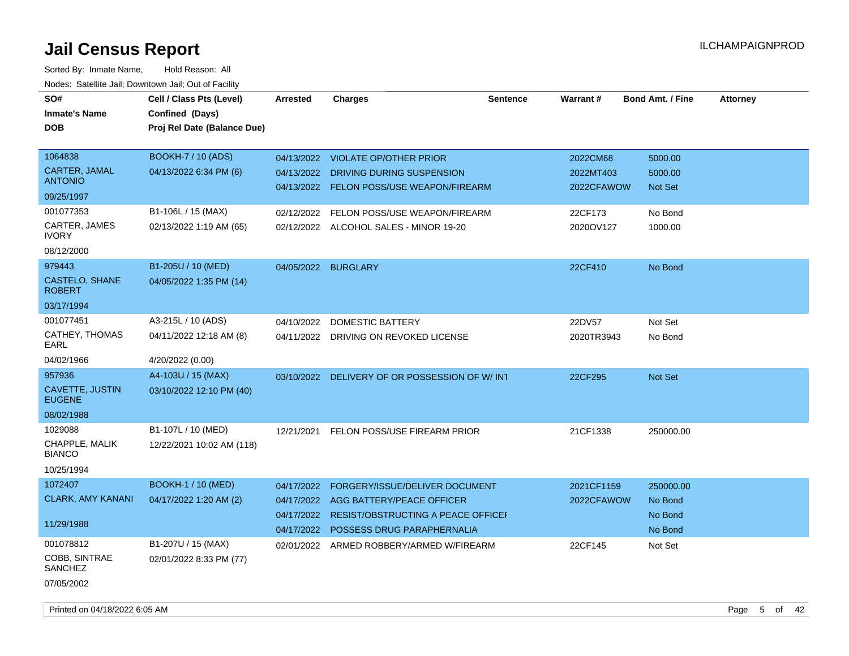| SO#<br><b>Inmate's Name</b>      | Cell / Class Pts (Level)<br>Confined (Days) | Arrested   | <b>Charges</b>                            | <b>Sentence</b> | <b>Warrant#</b> | <b>Bond Amt. / Fine</b> | <b>Attorney</b> |
|----------------------------------|---------------------------------------------|------------|-------------------------------------------|-----------------|-----------------|-------------------------|-----------------|
| <b>DOB</b>                       | Proj Rel Date (Balance Due)                 |            |                                           |                 |                 |                         |                 |
| 1064838                          | <b>BOOKH-7 / 10 (ADS)</b>                   |            | 04/13/2022 VIOLATE OP/OTHER PRIOR         |                 | 2022CM68        | 5000.00                 |                 |
| CARTER, JAMAL<br><b>ANTONIO</b>  | 04/13/2022 6:34 PM (6)                      | 04/13/2022 | DRIVING DURING SUSPENSION                 |                 | 2022MT403       | 5000.00                 |                 |
| 09/25/1997                       |                                             | 04/13/2022 | <b>FELON POSS/USE WEAPON/FIREARM</b>      |                 | 2022CFAWOW      | Not Set                 |                 |
| 001077353                        | B1-106L / 15 (MAX)                          | 02/12/2022 | FELON POSS/USE WEAPON/FIREARM             |                 | 22CF173         | No Bond                 |                 |
| CARTER, JAMES<br><b>IVORY</b>    | 02/13/2022 1:19 AM (65)                     |            | 02/12/2022 ALCOHOL SALES - MINOR 19-20    |                 | 2020OV127       | 1000.00                 |                 |
| 08/12/2000                       |                                             |            |                                           |                 |                 |                         |                 |
| 979443                           | B1-205U / 10 (MED)                          | 04/05/2022 | <b>BURGLARY</b>                           |                 | 22CF410         | No Bond                 |                 |
| CASTELO, SHANE<br><b>ROBERT</b>  | 04/05/2022 1:35 PM (14)                     |            |                                           |                 |                 |                         |                 |
| 03/17/1994                       |                                             |            |                                           |                 |                 |                         |                 |
| 001077451                        | A3-215L / 10 (ADS)                          | 04/10/2022 | DOMESTIC BATTERY                          |                 | 22DV57          | Not Set                 |                 |
| CATHEY, THOMAS<br>EARL           | 04/11/2022 12:18 AM (8)                     | 04/11/2022 | DRIVING ON REVOKED LICENSE                |                 | 2020TR3943      | No Bond                 |                 |
| 04/02/1966                       | 4/20/2022 (0.00)                            |            |                                           |                 |                 |                         |                 |
| 957936                           | A4-103U / 15 (MAX)                          | 03/10/2022 | DELIVERY OF OR POSSESSION OF W/INT        |                 | 22CF295         | <b>Not Set</b>          |                 |
| CAVETTE, JUSTIN<br><b>EUGENE</b> | 03/10/2022 12:10 PM (40)                    |            |                                           |                 |                 |                         |                 |
| 08/02/1988                       |                                             |            |                                           |                 |                 |                         |                 |
| 1029088                          | B1-107L / 10 (MED)                          | 12/21/2021 | FELON POSS/USE FIREARM PRIOR              |                 | 21CF1338        | 250000.00               |                 |
| CHAPPLE, MALIK<br><b>BIANCO</b>  | 12/22/2021 10:02 AM (118)                   |            |                                           |                 |                 |                         |                 |
| 10/25/1994                       |                                             |            |                                           |                 |                 |                         |                 |
| 1072407                          | <b>BOOKH-1 / 10 (MED)</b>                   | 04/17/2022 | FORGERY/ISSUE/DELIVER DOCUMENT            |                 | 2021CF1159      | 250000.00               |                 |
| <b>CLARK, AMY KANANI</b>         | 04/17/2022 1:20 AM (2)                      | 04/17/2022 | AGG BATTERY/PEACE OFFICER                 |                 | 2022CFAWOW      | No Bond                 |                 |
| 11/29/1988                       |                                             | 04/17/2022 | <b>RESIST/OBSTRUCTING A PEACE OFFICEF</b> |                 |                 | No Bond                 |                 |
|                                  |                                             |            | 04/17/2022 POSSESS DRUG PARAPHERNALIA     |                 |                 | No Bond                 |                 |
| 001078812                        | B1-207U / 15 (MAX)                          |            | 02/01/2022 ARMED ROBBERY/ARMED W/FIREARM  |                 | 22CF145         | Not Set                 |                 |
| COBB, SINTRAE<br>SANCHEZ         | 02/01/2022 8:33 PM (77)                     |            |                                           |                 |                 |                         |                 |
| 07/05/2002                       |                                             |            |                                           |                 |                 |                         |                 |
|                                  |                                             |            |                                           |                 |                 |                         |                 |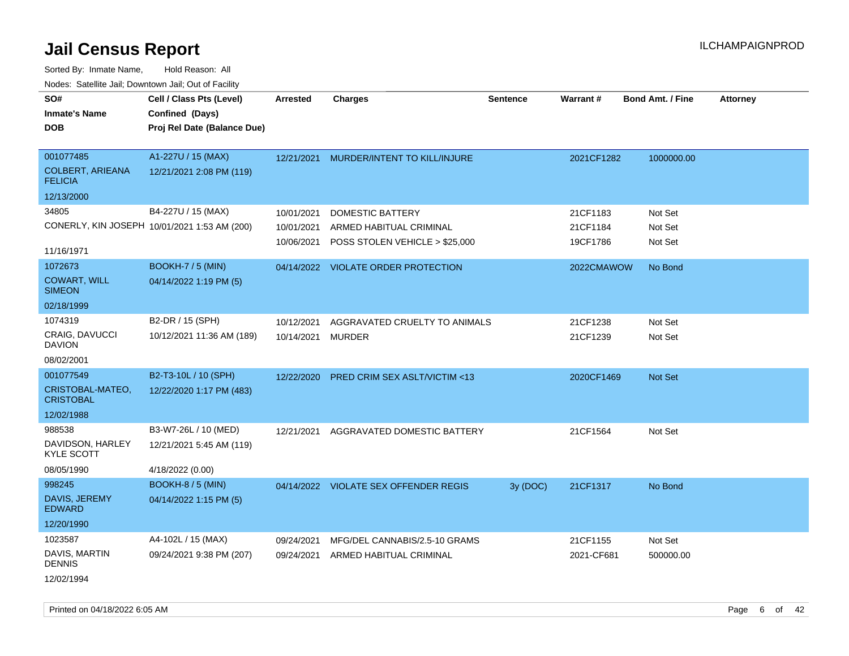| SO#                                       | Cell / Class Pts (Level)                       | <b>Arrested</b> | <b>Charges</b>                          | <b>Sentence</b> | <b>Warrant#</b> | <b>Bond Amt. / Fine</b> | <b>Attorney</b> |
|-------------------------------------------|------------------------------------------------|-----------------|-----------------------------------------|-----------------|-----------------|-------------------------|-----------------|
| <b>Inmate's Name</b><br><b>DOB</b>        | Confined (Days)<br>Proj Rel Date (Balance Due) |                 |                                         |                 |                 |                         |                 |
|                                           |                                                |                 |                                         |                 |                 |                         |                 |
| 001077485                                 | A1-227U / 15 (MAX)                             | 12/21/2021      | MURDER/INTENT TO KILL/INJURE            |                 | 2021CF1282      | 1000000.00              |                 |
| <b>COLBERT, ARIEANA</b><br><b>FELICIA</b> | 12/21/2021 2:08 PM (119)                       |                 |                                         |                 |                 |                         |                 |
| 12/13/2000                                |                                                |                 |                                         |                 |                 |                         |                 |
| 34805                                     | B4-227U / 15 (MAX)                             | 10/01/2021      | <b>DOMESTIC BATTERY</b>                 |                 | 21CF1183        | Not Set                 |                 |
|                                           | CONERLY, KIN JOSEPH 10/01/2021 1:53 AM (200)   | 10/01/2021      | ARMED HABITUAL CRIMINAL                 |                 | 21CF1184        | Not Set                 |                 |
| 11/16/1971                                |                                                | 10/06/2021      | POSS STOLEN VEHICLE > \$25,000          |                 | 19CF1786        | Not Set                 |                 |
| 1072673                                   | <b>BOOKH-7 / 5 (MIN)</b>                       |                 | 04/14/2022 VIOLATE ORDER PROTECTION     |                 | 2022CMAWOW      | No Bond                 |                 |
| <b>COWART, WILL</b><br><b>SIMEON</b>      | 04/14/2022 1:19 PM (5)                         |                 |                                         |                 |                 |                         |                 |
| 02/18/1999                                |                                                |                 |                                         |                 |                 |                         |                 |
| 1074319                                   | B2-DR / 15 (SPH)                               | 10/12/2021      | AGGRAVATED CRUELTY TO ANIMALS           |                 | 21CF1238        | Not Set                 |                 |
| <b>CRAIG, DAVUCCI</b><br><b>DAVION</b>    | 10/12/2021 11:36 AM (189)                      | 10/14/2021      | <b>MURDER</b>                           |                 | 21CF1239        | Not Set                 |                 |
| 08/02/2001                                |                                                |                 |                                         |                 |                 |                         |                 |
| 001077549                                 | B2-T3-10L / 10 (SPH)                           | 12/22/2020      | <b>PRED CRIM SEX ASLT/VICTIM &lt;13</b> |                 | 2020CF1469      | Not Set                 |                 |
| CRISTOBAL-MATEO,<br><b>CRISTOBAL</b>      | 12/22/2020 1:17 PM (483)                       |                 |                                         |                 |                 |                         |                 |
| 12/02/1988                                |                                                |                 |                                         |                 |                 |                         |                 |
| 988538                                    | B3-W7-26L / 10 (MED)                           | 12/21/2021      | AGGRAVATED DOMESTIC BATTERY             |                 | 21CF1564        | Not Set                 |                 |
| DAVIDSON, HARLEY<br><b>KYLE SCOTT</b>     | 12/21/2021 5:45 AM (119)                       |                 |                                         |                 |                 |                         |                 |
| 08/05/1990                                | 4/18/2022 (0.00)                               |                 |                                         |                 |                 |                         |                 |
| 998245                                    | BOOKH-8 / 5 (MIN)                              |                 | 04/14/2022 VIOLATE SEX OFFENDER REGIS   | 3y (DOC)        | 21CF1317        | No Bond                 |                 |
| DAVIS, JEREMY<br><b>EDWARD</b>            | 04/14/2022 1:15 PM (5)                         |                 |                                         |                 |                 |                         |                 |
| 12/20/1990                                |                                                |                 |                                         |                 |                 |                         |                 |
| 1023587                                   | A4-102L / 15 (MAX)                             | 09/24/2021      | MFG/DEL CANNABIS/2.5-10 GRAMS           |                 | 21CF1155        | Not Set                 |                 |
| DAVIS, MARTIN<br><b>DENNIS</b>            | 09/24/2021 9:38 PM (207)                       | 09/24/2021      | ARMED HABITUAL CRIMINAL                 |                 | 2021-CF681      | 500000.00               |                 |
| 12/02/1994                                |                                                |                 |                                         |                 |                 |                         |                 |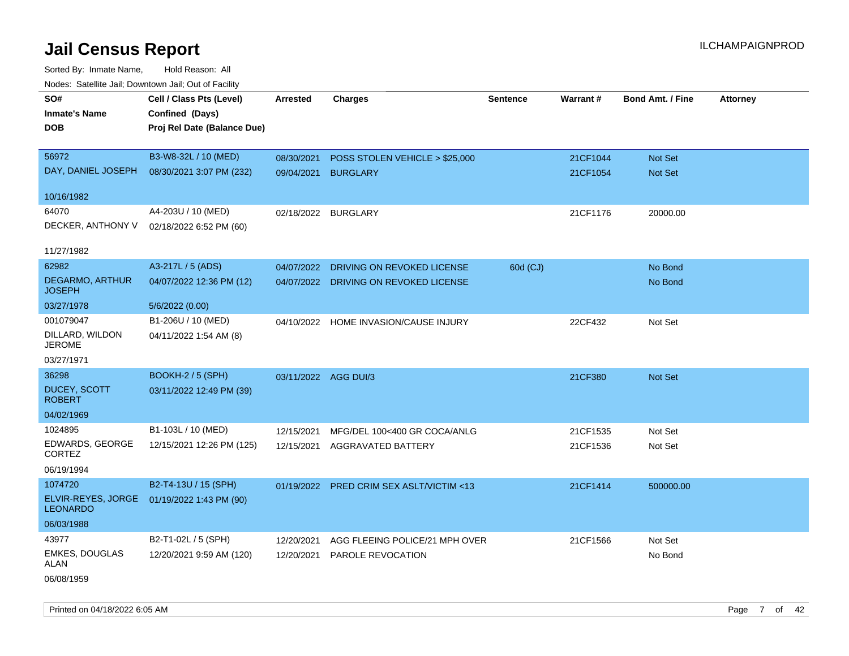Sorted By: Inmate Name, Hold Reason: All Nodes: Satellite Jail; Downtown Jail; Out of Facility

| rougs. Calcinic Jan, Downtown Jan, Out of Facility |                             |                      |                                          |                 |          |                         |                 |
|----------------------------------------------------|-----------------------------|----------------------|------------------------------------------|-----------------|----------|-------------------------|-----------------|
| SO#                                                | Cell / Class Pts (Level)    | <b>Arrested</b>      | <b>Charges</b>                           | <b>Sentence</b> | Warrant# | <b>Bond Amt. / Fine</b> | <b>Attorney</b> |
| <b>Inmate's Name</b>                               | Confined (Days)             |                      |                                          |                 |          |                         |                 |
| <b>DOB</b>                                         | Proj Rel Date (Balance Due) |                      |                                          |                 |          |                         |                 |
|                                                    |                             |                      |                                          |                 |          |                         |                 |
| 56972                                              | B3-W8-32L / 10 (MED)        | 08/30/2021           | POSS STOLEN VEHICLE > \$25,000           |                 | 21CF1044 | Not Set                 |                 |
| DAY, DANIEL JOSEPH                                 | 08/30/2021 3:07 PM (232)    | 09/04/2021           | <b>BURGLARY</b>                          |                 | 21CF1054 | <b>Not Set</b>          |                 |
|                                                    |                             |                      |                                          |                 |          |                         |                 |
| 10/16/1982                                         |                             |                      |                                          |                 |          |                         |                 |
| 64070                                              | A4-203U / 10 (MED)          |                      | 02/18/2022 BURGLARY                      |                 | 21CF1176 | 20000.00                |                 |
| DECKER, ANTHONY V                                  | 02/18/2022 6:52 PM (60)     |                      |                                          |                 |          |                         |                 |
| 11/27/1982                                         |                             |                      |                                          |                 |          |                         |                 |
| 62982                                              | A3-217L / 5 (ADS)           | 04/07/2022           | DRIVING ON REVOKED LICENSE               | 60d (CJ)        |          | No Bond                 |                 |
| <b>DEGARMO, ARTHUR</b><br><b>JOSEPH</b>            | 04/07/2022 12:36 PM (12)    |                      | 04/07/2022 DRIVING ON REVOKED LICENSE    |                 |          | No Bond                 |                 |
| 03/27/1978                                         | 5/6/2022 (0.00)             |                      |                                          |                 |          |                         |                 |
| 001079047                                          | B1-206U / 10 (MED)          | 04/10/2022           | HOME INVASION/CAUSE INJURY               |                 | 22CF432  | Not Set                 |                 |
| DILLARD, WILDON<br><b>JEROME</b>                   | 04/11/2022 1:54 AM (8)      |                      |                                          |                 |          |                         |                 |
| 03/27/1971                                         |                             |                      |                                          |                 |          |                         |                 |
| 36298                                              | <b>BOOKH-2 / 5 (SPH)</b>    | 03/11/2022 AGG DUI/3 |                                          |                 | 21CF380  | Not Set                 |                 |
| <b>DUCEY, SCOTT</b><br><b>ROBERT</b>               | 03/11/2022 12:49 PM (39)    |                      |                                          |                 |          |                         |                 |
| 04/02/1969                                         |                             |                      |                                          |                 |          |                         |                 |
| 1024895                                            | B1-103L / 10 (MED)          | 12/15/2021           | MFG/DEL 100<400 GR COCA/ANLG             |                 | 21CF1535 | Not Set                 |                 |
| EDWARDS, GEORGE<br>CORTEZ                          | 12/15/2021 12:26 PM (125)   |                      | 12/15/2021 AGGRAVATED BATTERY            |                 | 21CF1536 | Not Set                 |                 |
| 06/19/1994                                         |                             |                      |                                          |                 |          |                         |                 |
| 1074720                                            | B2-T4-13U / 15 (SPH)        |                      | 01/19/2022 PRED CRIM SEX ASLT/VICTIM <13 |                 | 21CF1414 | 500000.00               |                 |
| ELVIR-REYES, JORGE<br><b>LEONARDO</b>              | 01/19/2022 1:43 PM (90)     |                      |                                          |                 |          |                         |                 |
| 06/03/1988                                         |                             |                      |                                          |                 |          |                         |                 |
| 43977                                              | B2-T1-02L / 5 (SPH)         | 12/20/2021           | AGG FLEEING POLICE/21 MPH OVER           |                 | 21CF1566 | Not Set                 |                 |
| <b>EMKES, DOUGLAS</b><br>ALAN                      | 12/20/2021 9:59 AM (120)    | 12/20/2021           | <b>PAROLE REVOCATION</b>                 |                 |          | No Bond                 |                 |
| 06/08/1959                                         |                             |                      |                                          |                 |          |                         |                 |

Printed on 04/18/2022 6:05 AM Page 7 of 42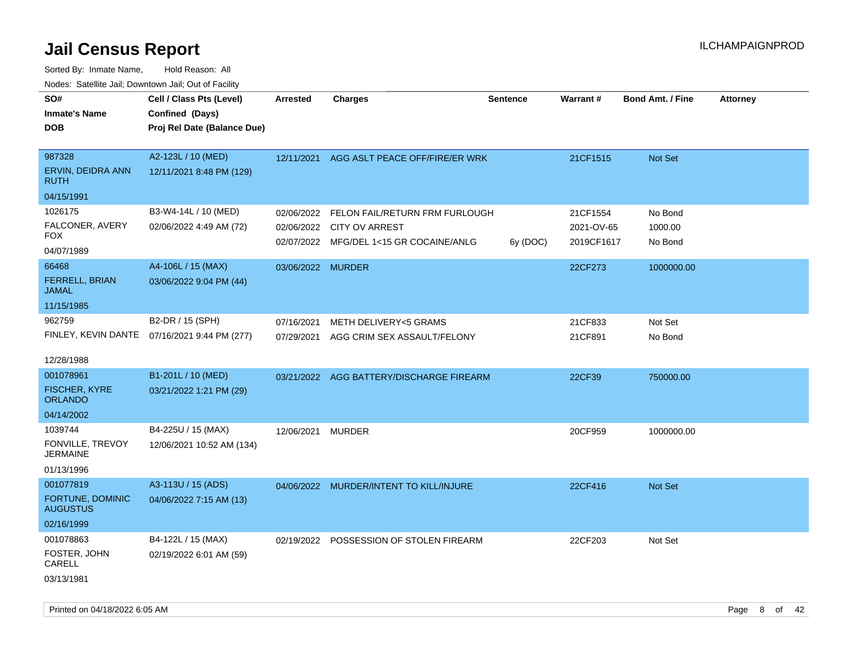| SO#<br><b>Inmate's Name</b><br><b>DOB</b>                    | Cell / Class Pts (Level)<br>Confined (Days)<br>Proj Rel Date (Balance Due) | Arrested          | <b>Charges</b>                                                                                         | <b>Sentence</b> | Warrant#                             | <b>Bond Amt. / Fine</b>       | Attorney |
|--------------------------------------------------------------|----------------------------------------------------------------------------|-------------------|--------------------------------------------------------------------------------------------------------|-----------------|--------------------------------------|-------------------------------|----------|
| 987328<br>ERVIN, DEIDRA ANN<br><b>RUTH</b>                   | A2-123L / 10 (MED)<br>12/11/2021 8:48 PM (129)                             | 12/11/2021        | AGG ASLT PEACE OFF/FIRE/ER WRK                                                                         |                 | 21CF1515                             | Not Set                       |          |
| 04/15/1991                                                   |                                                                            |                   |                                                                                                        |                 |                                      |                               |          |
| 1026175<br>FALCONER, AVERY<br><b>FOX</b><br>04/07/1989       | B3-W4-14L / 10 (MED)<br>02/06/2022 4:49 AM (72)                            | 02/06/2022        | FELON FAIL/RETURN FRM FURLOUGH<br>02/06/2022 CITY OV ARREST<br>02/07/2022 MFG/DEL 1<15 GR COCAINE/ANLG | 6y (DOC)        | 21CF1554<br>2021-OV-65<br>2019CF1617 | No Bond<br>1000.00<br>No Bond |          |
| 66468<br>FERRELL, BRIAN<br><b>JAMAL</b>                      | A4-106L / 15 (MAX)<br>03/06/2022 9:04 PM (44)                              | 03/06/2022 MURDER |                                                                                                        |                 | 22CF273                              | 1000000.00                    |          |
| 11/15/1985<br>962759                                         | B2-DR / 15 (SPH)                                                           | 07/16/2021        | METH DELIVERY<5 GRAMS                                                                                  |                 | 21CF833                              | Not Set                       |          |
|                                                              | FINLEY, KEVIN DANTE 07/16/2021 9:44 PM (277)                               | 07/29/2021        | AGG CRIM SEX ASSAULT/FELONY                                                                            |                 | 21CF891                              | No Bond                       |          |
| 12/28/1988                                                   |                                                                            |                   |                                                                                                        |                 |                                      |                               |          |
| 001078961<br><b>FISCHER, KYRE</b><br><b>ORLANDO</b>          | B1-201L / 10 (MED)<br>03/21/2022 1:21 PM (29)                              |                   | 03/21/2022 AGG BATTERY/DISCHARGE FIREARM                                                               |                 | 22CF39                               | 750000.00                     |          |
| 04/14/2002                                                   |                                                                            |                   |                                                                                                        |                 |                                      |                               |          |
| 1039744<br>FONVILLE, TREVOY<br><b>JERMAINE</b><br>01/13/1996 | B4-225U / 15 (MAX)<br>12/06/2021 10:52 AM (134)                            | 12/06/2021 MURDER |                                                                                                        |                 | 20CF959                              | 1000000.00                    |          |
| 001077819                                                    | A3-113U / 15 (ADS)                                                         |                   | 04/06/2022 MURDER/INTENT TO KILL/INJURE                                                                |                 | 22CF416                              | Not Set                       |          |
| FORTUNE, DOMINIC<br><b>AUGUSTUS</b><br>02/16/1999            | 04/06/2022 7:15 AM (13)                                                    |                   |                                                                                                        |                 |                                      |                               |          |
| 001078863<br>FOSTER, JOHN<br>CARELL<br>03/13/1981            | B4-122L / 15 (MAX)<br>02/19/2022 6:01 AM (59)                              |                   | 02/19/2022 POSSESSION OF STOLEN FIREARM                                                                |                 | 22CF203                              | Not Set                       |          |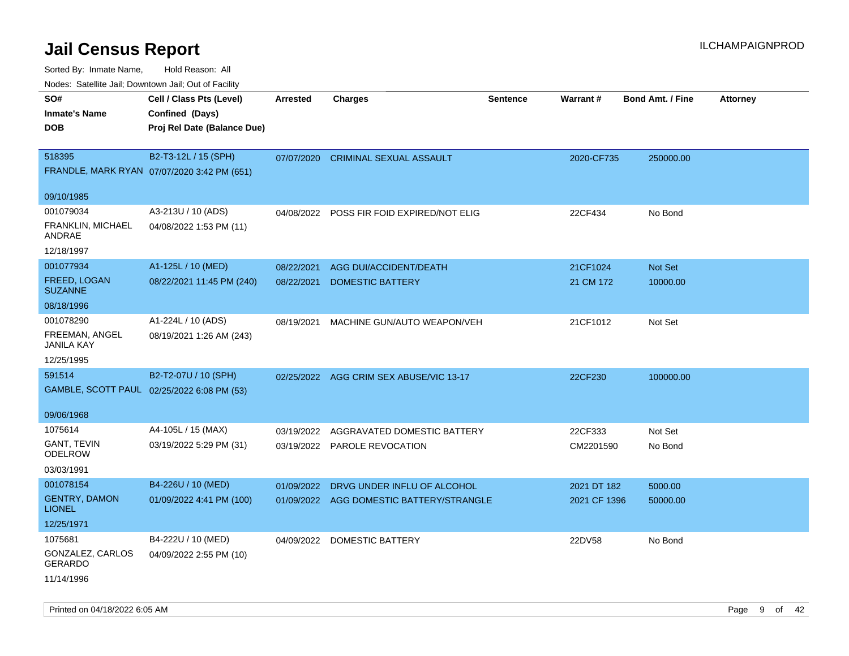| Noues. Sateme Jan, Downtown Jan, Out of Facility |                                             |                 |                                |                 |              |                         |                 |
|--------------------------------------------------|---------------------------------------------|-----------------|--------------------------------|-----------------|--------------|-------------------------|-----------------|
| SO#                                              | Cell / Class Pts (Level)                    | <b>Arrested</b> | <b>Charges</b>                 | <b>Sentence</b> | Warrant#     | <b>Bond Amt. / Fine</b> | <b>Attorney</b> |
| <b>Inmate's Name</b>                             | Confined (Days)                             |                 |                                |                 |              |                         |                 |
| DOB                                              | Proj Rel Date (Balance Due)                 |                 |                                |                 |              |                         |                 |
|                                                  |                                             |                 |                                |                 |              |                         |                 |
| 518395                                           | B2-T3-12L / 15 (SPH)                        | 07/07/2020      | <b>CRIMINAL SEXUAL ASSAULT</b> |                 | 2020-CF735   | 250000.00               |                 |
|                                                  | FRANDLE, MARK RYAN 07/07/2020 3:42 PM (651) |                 |                                |                 |              |                         |                 |
|                                                  |                                             |                 |                                |                 |              |                         |                 |
| 09/10/1985                                       |                                             |                 |                                |                 |              |                         |                 |
| 001079034                                        | A3-213U / 10 (ADS)                          | 04/08/2022      | POSS FIR FOID EXPIRED/NOT ELIG |                 | 22CF434      | No Bond                 |                 |
| FRANKLIN, MICHAEL<br>ANDRAE                      | 04/08/2022 1:53 PM (11)                     |                 |                                |                 |              |                         |                 |
| 12/18/1997                                       |                                             |                 |                                |                 |              |                         |                 |
| 001077934                                        | A1-125L / 10 (MED)                          | 08/22/2021      | AGG DUI/ACCIDENT/DEATH         |                 | 21CF1024     | Not Set                 |                 |
| FREED, LOGAN<br><b>SUZANNE</b>                   | 08/22/2021 11:45 PM (240)                   | 08/22/2021      | <b>DOMESTIC BATTERY</b>        |                 | 21 CM 172    | 10000.00                |                 |
| 08/18/1996                                       |                                             |                 |                                |                 |              |                         |                 |
| 001078290                                        | A1-224L / 10 (ADS)                          | 08/19/2021      | MACHINE GUN/AUTO WEAPON/VEH    |                 | 21CF1012     | Not Set                 |                 |
| FREEMAN, ANGEL<br>JANILA KAY                     | 08/19/2021 1:26 AM (243)                    |                 |                                |                 |              |                         |                 |
| 12/25/1995                                       |                                             |                 |                                |                 |              |                         |                 |
| 591514                                           | B2-T2-07U / 10 (SPH)                        | 02/25/2022      | AGG CRIM SEX ABUSE/VIC 13-17   |                 | 22CF230      | 100000.00               |                 |
|                                                  | GAMBLE, SCOTT PAUL 02/25/2022 6:08 PM (53)  |                 |                                |                 |              |                         |                 |
|                                                  |                                             |                 |                                |                 |              |                         |                 |
| 09/06/1968                                       |                                             |                 |                                |                 |              |                         |                 |
| 1075614                                          | A4-105L / 15 (MAX)                          | 03/19/2022      | AGGRAVATED DOMESTIC BATTERY    |                 | 22CF333      | Not Set                 |                 |
| GANT, TEVIN<br>ODELROW                           | 03/19/2022 5:29 PM (31)                     | 03/19/2022      | PAROLE REVOCATION              |                 | CM2201590    | No Bond                 |                 |
| 03/03/1991                                       |                                             |                 |                                |                 |              |                         |                 |
| 001078154                                        | B4-226U / 10 (MED)                          | 01/09/2022      | DRVG UNDER INFLU OF ALCOHOL    |                 | 2021 DT 182  | 5000.00                 |                 |
| <b>GENTRY, DAMON</b><br><b>LIONEL</b>            | 01/09/2022 4:41 PM (100)                    | 01/09/2022      | AGG DOMESTIC BATTERY/STRANGLE  |                 | 2021 CF 1396 | 50000.00                |                 |
| 12/25/1971                                       |                                             |                 |                                |                 |              |                         |                 |
| 1075681                                          | B4-222U / 10 (MED)                          | 04/09/2022      | DOMESTIC BATTERY               |                 | 22DV58       | No Bond                 |                 |
| GONZALEZ, CARLOS<br>GERARDO                      | 04/09/2022 2:55 PM (10)                     |                 |                                |                 |              |                         |                 |
| 11/14/1996                                       |                                             |                 |                                |                 |              |                         |                 |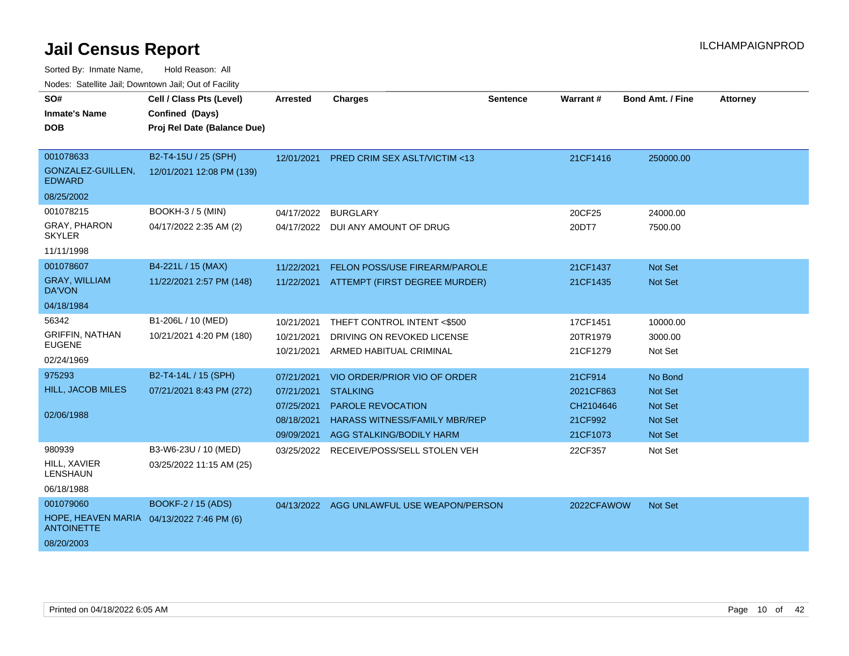| SO#<br><b>Inmate's Name</b>                                                               | Cell / Class Pts (Level)<br>Confined (Days)        | Arrested                                                           | <b>Charges</b>                                                                                                                           | <b>Sentence</b> | Warrant#                                                 | <b>Bond Amt. / Fine</b>                                                  | <b>Attorney</b> |
|-------------------------------------------------------------------------------------------|----------------------------------------------------|--------------------------------------------------------------------|------------------------------------------------------------------------------------------------------------------------------------------|-----------------|----------------------------------------------------------|--------------------------------------------------------------------------|-----------------|
| <b>DOB</b>                                                                                | Proj Rel Date (Balance Due)                        |                                                                    |                                                                                                                                          |                 |                                                          |                                                                          |                 |
| 001078633<br>GONZALEZ-GUILLEN,<br><b>EDWARD</b><br>08/25/2002                             | B2-T4-15U / 25 (SPH)<br>12/01/2021 12:08 PM (139)  | 12/01/2021                                                         | <b>PRED CRIM SEX ASLT/VICTIM &lt;13</b>                                                                                                  |                 | 21CF1416                                                 | 250000.00                                                                |                 |
| 001078215<br><b>GRAY, PHARON</b><br><b>SKYLER</b><br>11/11/1998                           | <b>BOOKH-3 / 5 (MIN)</b><br>04/17/2022 2:35 AM (2) | 04/17/2022<br>04/17/2022                                           | <b>BURGLARY</b><br>DUI ANY AMOUNT OF DRUG                                                                                                |                 | 20CF25<br>20DT7                                          | 24000.00<br>7500.00                                                      |                 |
| 001078607<br><b>GRAY, WILLIAM</b><br><b>DA'VON</b><br>04/18/1984                          | B4-221L / 15 (MAX)<br>11/22/2021 2:57 PM (148)     | 11/22/2021<br>11/22/2021                                           | FELON POSS/USE FIREARM/PAROLE<br>ATTEMPT (FIRST DEGREE MURDER)                                                                           |                 | 21CF1437<br>21CF1435                                     | Not Set<br>Not Set                                                       |                 |
| 56342<br><b>GRIFFIN, NATHAN</b><br><b>EUGENE</b><br>02/24/1969                            | B1-206L / 10 (MED)<br>10/21/2021 4:20 PM (180)     | 10/21/2021<br>10/21/2021<br>10/21/2021                             | THEFT CONTROL INTENT <\$500<br>DRIVING ON REVOKED LICENSE<br>ARMED HABITUAL CRIMINAL                                                     |                 | 17CF1451<br>20TR1979<br>21CF1279                         | 10000.00<br>3000.00<br>Not Set                                           |                 |
| 975293<br><b>HILL, JACOB MILES</b><br>02/06/1988                                          | B2-T4-14L / 15 (SPH)<br>07/21/2021 8:43 PM (272)   | 07/21/2021<br>07/21/2021<br>07/25/2021<br>08/18/2021<br>09/09/2021 | VIO ORDER/PRIOR VIO OF ORDER<br><b>STALKING</b><br>PAROLE REVOCATION<br><b>HARASS WITNESS/FAMILY MBR/REP</b><br>AGG STALKING/BODILY HARM |                 | 21CF914<br>2021CF863<br>CH2104646<br>21CF992<br>21CF1073 | No Bond<br>Not Set<br><b>Not Set</b><br><b>Not Set</b><br><b>Not Set</b> |                 |
| 980939<br>HILL, XAVIER<br><b>LENSHAUN</b><br>06/18/1988                                   | B3-W6-23U / 10 (MED)<br>03/25/2022 11:15 AM (25)   | 03/25/2022                                                         | RECEIVE/POSS/SELL STOLEN VEH                                                                                                             |                 | 22CF357                                                  | Not Set                                                                  |                 |
| 001079060<br>HOPE, HEAVEN MARIA 04/13/2022 7:46 PM (6)<br><b>ANTOINETTE</b><br>08/20/2003 | BOOKF-2 / 15 (ADS)                                 |                                                                    | 04/13/2022 AGG UNLAWFUL USE WEAPON/PERSON                                                                                                |                 | 2022CFAWOW                                               | Not Set                                                                  |                 |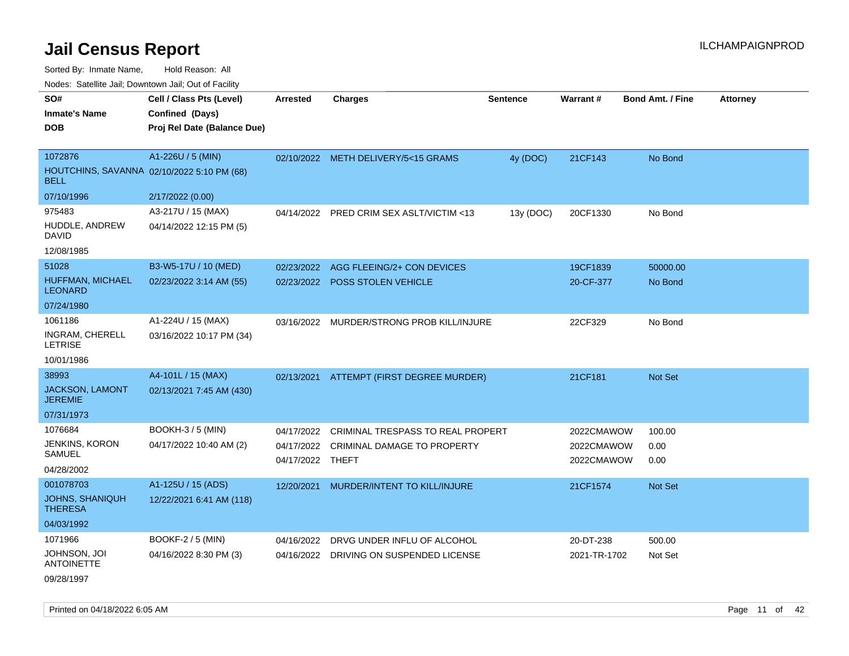Sorted By: Inmate Name, Hold Reason: All

Nodes: Satellite Jail; Downtown Jail; Out of Facility

| SO#<br><b>Inmate's Name</b><br><b>DOB</b>                            | Cell / Class Pts (Level)<br>Confined (Days)<br>Proj Rel Date (Balance Due) | <b>Arrested</b>                              | <b>Charges</b>                                                   | <b>Sentence</b> | <b>Warrant#</b>                        | <b>Bond Amt. / Fine</b> | <b>Attorney</b> |
|----------------------------------------------------------------------|----------------------------------------------------------------------------|----------------------------------------------|------------------------------------------------------------------|-----------------|----------------------------------------|-------------------------|-----------------|
| 1072876<br>HOUTCHINS, SAVANNA 02/10/2022 5:10 PM (68)<br><b>BELL</b> | A1-226U / 5 (MIN)                                                          |                                              | 02/10/2022 METH DELIVERY/5<15 GRAMS                              | 4y (DOC)        | 21CF143                                | No Bond                 |                 |
| 07/10/1996                                                           | 2/17/2022 (0.00)                                                           |                                              |                                                                  |                 |                                        |                         |                 |
| 975483<br>HUDDLE, ANDREW<br><b>DAVID</b>                             | A3-217U / 15 (MAX)<br>04/14/2022 12:15 PM (5)                              | 04/14/2022                                   | PRED CRIM SEX ASLT/VICTIM <13                                    | 13y (DOC)       | 20CF1330                               | No Bond                 |                 |
| 12/08/1985                                                           |                                                                            |                                              |                                                                  |                 |                                        |                         |                 |
| 51028<br>HUFFMAN, MICHAEL<br><b>LEONARD</b>                          | B3-W5-17U / 10 (MED)<br>02/23/2022 3:14 AM (55)                            | 02/23/2022                                   | AGG FLEEING/2+ CON DEVICES<br>02/23/2022 POSS STOLEN VEHICLE     |                 | 19CF1839<br>20-CF-377                  | 50000.00<br>No Bond     |                 |
| 07/24/1980                                                           |                                                                            |                                              |                                                                  |                 |                                        |                         |                 |
| 1061186<br><b>INGRAM, CHERELL</b><br><b>LETRISE</b>                  | A1-224U / 15 (MAX)<br>03/16/2022 10:17 PM (34)                             |                                              | 03/16/2022 MURDER/STRONG PROB KILL/INJURE                        |                 | 22CF329                                | No Bond                 |                 |
| 10/01/1986<br>38993                                                  |                                                                            |                                              |                                                                  |                 |                                        |                         |                 |
| JACKSON, LAMONT<br><b>JEREMIE</b>                                    | A4-101L / 15 (MAX)<br>02/13/2021 7:45 AM (430)                             | 02/13/2021                                   | ATTEMPT (FIRST DEGREE MURDER)                                    |                 | 21CF181                                | Not Set                 |                 |
| 07/31/1973                                                           |                                                                            |                                              |                                                                  |                 |                                        |                         |                 |
| 1076684<br>JENKINS, KORON<br>SAMUEL<br>04/28/2002                    | BOOKH-3 / 5 (MIN)<br>04/17/2022 10:40 AM (2)                               | 04/17/2022<br>04/17/2022<br>04/17/2022 THEFT | CRIMINAL TRESPASS TO REAL PROPERT<br>CRIMINAL DAMAGE TO PROPERTY |                 | 2022CMAWOW<br>2022CMAWOW<br>2022CMAWOW | 100.00<br>0.00<br>0.00  |                 |
| 001078703                                                            | A1-125U / 15 (ADS)                                                         | 12/20/2021                                   | MURDER/INTENT TO KILL/INJURE                                     |                 | 21CF1574                               | <b>Not Set</b>          |                 |
| <b>JOHNS, SHANIQUH</b><br><b>THERESA</b>                             | 12/22/2021 6:41 AM (118)                                                   |                                              |                                                                  |                 |                                        |                         |                 |
| 04/03/1992                                                           |                                                                            |                                              |                                                                  |                 |                                        |                         |                 |
| 1071966                                                              | BOOKF-2 / 5 (MIN)                                                          | 04/16/2022                                   | DRVG UNDER INFLU OF ALCOHOL                                      |                 | 20-DT-238                              | 500.00                  |                 |
| JOHNSON, JOI<br><b>ANTOINETTE</b><br>09/28/1997                      | 04/16/2022 8:30 PM (3)                                                     |                                              | 04/16/2022 DRIVING ON SUSPENDED LICENSE                          |                 | 2021-TR-1702                           | Not Set                 |                 |

Printed on 04/18/2022 6:05 AM **Page 11** of 42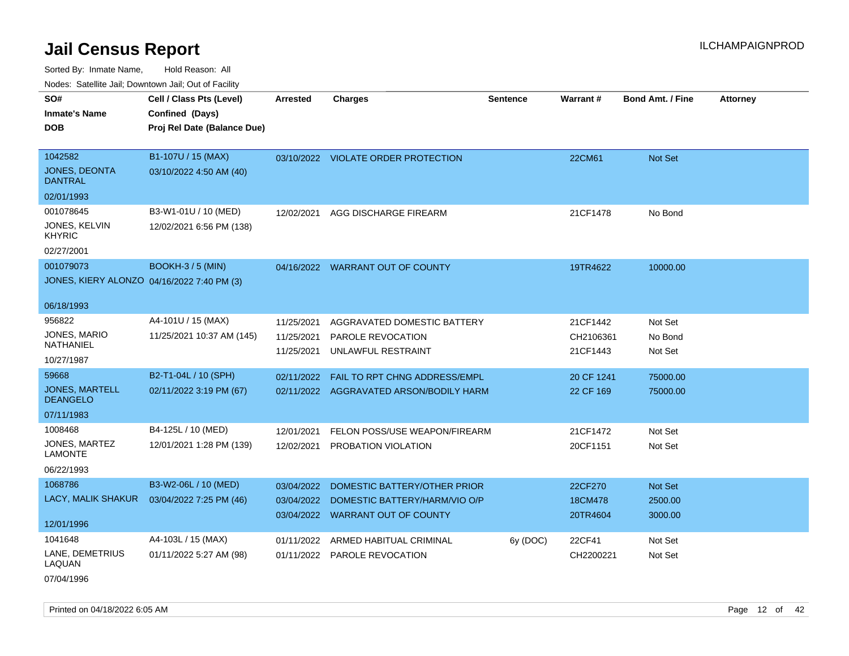Sorted By: Inmate Name, Hold Reason: All Nodes: Satellite Jail; Downtown Jail; Out of Facility

| <b>NOULD:</b> Catoline can, Downtown can, Out of Fability       |                                                                            |                                        |                                                                                                   |                 |                                   |                               |                 |
|-----------------------------------------------------------------|----------------------------------------------------------------------------|----------------------------------------|---------------------------------------------------------------------------------------------------|-----------------|-----------------------------------|-------------------------------|-----------------|
| SO#<br><b>Inmate's Name</b><br><b>DOB</b>                       | Cell / Class Pts (Level)<br>Confined (Days)<br>Proj Rel Date (Balance Due) | <b>Arrested</b>                        | <b>Charges</b>                                                                                    | <b>Sentence</b> | <b>Warrant#</b>                   | <b>Bond Amt. / Fine</b>       | <b>Attorney</b> |
| 1042582<br><b>JONES, DEONTA</b><br><b>DANTRAL</b>               | B1-107U / 15 (MAX)<br>03/10/2022 4:50 AM (40)                              |                                        | 03/10/2022 VIOLATE ORDER PROTECTION                                                               |                 | 22CM61                            | Not Set                       |                 |
| 02/01/1993                                                      |                                                                            |                                        |                                                                                                   |                 |                                   |                               |                 |
| 001078645<br>JONES, KELVIN<br><b>KHYRIC</b>                     | B3-W1-01U / 10 (MED)<br>12/02/2021 6:56 PM (138)                           | 12/02/2021                             | AGG DISCHARGE FIREARM                                                                             |                 | 21CF1478                          | No Bond                       |                 |
| 02/27/2001                                                      |                                                                            |                                        |                                                                                                   |                 |                                   |                               |                 |
| 001079073<br>JONES, KIERY ALONZO 04/16/2022 7:40 PM (3)         | <b>BOOKH-3 / 5 (MIN)</b>                                                   |                                        | 04/16/2022 WARRANT OUT OF COUNTY                                                                  |                 | 19TR4622                          | 10000.00                      |                 |
| 06/18/1993                                                      |                                                                            |                                        |                                                                                                   |                 |                                   |                               |                 |
| 956822<br>JONES, MARIO<br>NATHANIEL<br>10/27/1987               | A4-101U / 15 (MAX)<br>11/25/2021 10:37 AM (145)                            | 11/25/2021<br>11/25/2021<br>11/25/2021 | AGGRAVATED DOMESTIC BATTERY<br>PAROLE REVOCATION<br>UNLAWFUL RESTRAINT                            |                 | 21CF1442<br>CH2106361<br>21CF1443 | Not Set<br>No Bond<br>Not Set |                 |
| 59668<br><b>JONES, MARTELL</b><br><b>DEANGELO</b><br>07/11/1983 | B2-T1-04L / 10 (SPH)<br>02/11/2022 3:19 PM (67)                            | 02/11/2022                             | <b>FAIL TO RPT CHNG ADDRESS/EMPL</b><br>02/11/2022 AGGRAVATED ARSON/BODILY HARM                   |                 | 20 CF 1241<br>22 CF 169           | 75000.00<br>75000.00          |                 |
| 1008468<br>JONES, MARTEZ<br><b>LAMONTE</b><br>06/22/1993        | B4-125L / 10 (MED)<br>12/01/2021 1:28 PM (139)                             | 12/01/2021<br>12/02/2021               | FELON POSS/USE WEAPON/FIREARM<br>PROBATION VIOLATION                                              |                 | 21CF1472<br>20CF1151              | Not Set<br>Not Set            |                 |
| 1068786<br>LACY, MALIK SHAKUR<br>12/01/1996                     | B3-W2-06L / 10 (MED)<br>03/04/2022 7:25 PM (46)                            | 03/04/2022<br>03/04/2022               | DOMESTIC BATTERY/OTHER PRIOR<br>DOMESTIC BATTERY/HARM/VIO O/P<br>03/04/2022 WARRANT OUT OF COUNTY |                 | 22CF270<br>18CM478<br>20TR4604    | Not Set<br>2500.00<br>3000.00 |                 |
| 1041648<br>LANE, DEMETRIUS<br>LAQUAN                            | A4-103L / 15 (MAX)<br>01/11/2022 5:27 AM (98)                              | 01/11/2022                             | ARMED HABITUAL CRIMINAL<br>01/11/2022 PAROLE REVOCATION                                           | 6y (DOC)        | 22CF41<br>CH2200221               | Not Set<br>Not Set            |                 |

07/04/1996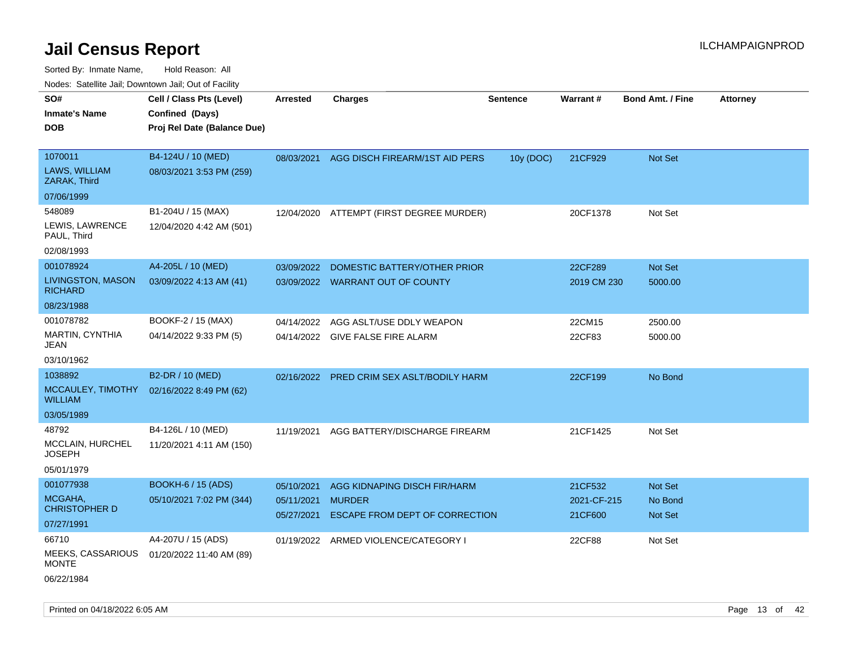| rouco. Calcinic Jan, Downtown Jan, Out of Facility |                             |                          |                                                 |                 |                        |                         |                 |
|----------------------------------------------------|-----------------------------|--------------------------|-------------------------------------------------|-----------------|------------------------|-------------------------|-----------------|
| SO#                                                | Cell / Class Pts (Level)    | <b>Arrested</b>          | Charges                                         | <b>Sentence</b> | <b>Warrant#</b>        | <b>Bond Amt. / Fine</b> | <b>Attorney</b> |
| Inmate's Name                                      | Confined (Days)             |                          |                                                 |                 |                        |                         |                 |
| <b>DOB</b>                                         | Proj Rel Date (Balance Due) |                          |                                                 |                 |                        |                         |                 |
|                                                    |                             |                          |                                                 |                 |                        |                         |                 |
| 1070011                                            | B4-124U / 10 (MED)          | 08/03/2021               | AGG DISCH FIREARM/1ST AID PERS                  | 10y (DOC)       | 21CF929                | Not Set                 |                 |
| LAWS, WILLIAM<br>ZARAK, Third                      | 08/03/2021 3:53 PM (259)    |                          |                                                 |                 |                        |                         |                 |
| 07/06/1999                                         |                             |                          |                                                 |                 |                        |                         |                 |
| 548089                                             | B1-204U / 15 (MAX)          | 12/04/2020               | ATTEMPT (FIRST DEGREE MURDER)                   |                 | 20CF1378               | Not Set                 |                 |
| LEWIS, LAWRENCE<br>PAUL, Third                     | 12/04/2020 4:42 AM (501)    |                          |                                                 |                 |                        |                         |                 |
| 02/08/1993                                         |                             |                          |                                                 |                 |                        |                         |                 |
| 001078924                                          | A4-205L / 10 (MED)          | 03/09/2022               | DOMESTIC BATTERY/OTHER PRIOR                    |                 | 22CF289                | Not Set                 |                 |
| LIVINGSTON, MASON<br><b>RICHARD</b>                | 03/09/2022 4:13 AM (41)     |                          | 03/09/2022 WARRANT OUT OF COUNTY                |                 | 2019 CM 230            | 5000.00                 |                 |
| 08/23/1988                                         |                             |                          |                                                 |                 |                        |                         |                 |
| 001078782                                          | BOOKF-2 / 15 (MAX)          | 04/14/2022               | AGG ASLT/USE DDLY WEAPON                        |                 | 22CM15                 | 2500.00                 |                 |
| MARTIN, CYNTHIA<br>JEAN                            | 04/14/2022 9:33 PM (5)      |                          | 04/14/2022 GIVE FALSE FIRE ALARM                |                 | 22CF83                 | 5000.00                 |                 |
| 03/10/1962                                         |                             |                          |                                                 |                 |                        |                         |                 |
| 1038892                                            | B2-DR / 10 (MED)            | 02/16/2022               | PRED CRIM SEX ASLT/BODILY HARM                  |                 | 22CF199                | No Bond                 |                 |
| MCCAULEY, TIMOTHY<br>WILLIAM                       | 02/16/2022 8:49 PM (62)     |                          |                                                 |                 |                        |                         |                 |
| 03/05/1989                                         |                             |                          |                                                 |                 |                        |                         |                 |
| 48792                                              | B4-126L / 10 (MED)          | 11/19/2021               | AGG BATTERY/DISCHARGE FIREARM                   |                 | 21CF1425               | Not Set                 |                 |
| MCCLAIN, HURCHEL<br>JOSEPH                         | 11/20/2021 4:11 AM (150)    |                          |                                                 |                 |                        |                         |                 |
| 05/01/1979                                         |                             |                          |                                                 |                 |                        |                         |                 |
| 001077938                                          | <b>BOOKH-6 / 15 (ADS)</b>   | 05/10/2021               | AGG KIDNAPING DISCH FIR/HARM                    |                 | 21CF532                | <b>Not Set</b>          |                 |
| MCGAHA,<br>CHRISTOPHER D                           | 05/10/2021 7:02 PM (344)    | 05/11/2021<br>05/27/2021 | <b>MURDER</b><br>ESCAPE FROM DEPT OF CORRECTION |                 | 2021-CF-215<br>21CF600 | No Bond<br>Not Set      |                 |
| 07/27/1991                                         |                             |                          |                                                 |                 |                        |                         |                 |
| 66710                                              | A4-207U / 15 (ADS)          |                          | 01/19/2022 ARMED VIOLENCE/CATEGORY I            |                 | 22CF88                 | Not Set                 |                 |
| <b>MEEKS, CASSARIOUS</b><br>MONTE                  | 01/20/2022 11:40 AM (89)    |                          |                                                 |                 |                        |                         |                 |
| 06/22/1984                                         |                             |                          |                                                 |                 |                        |                         |                 |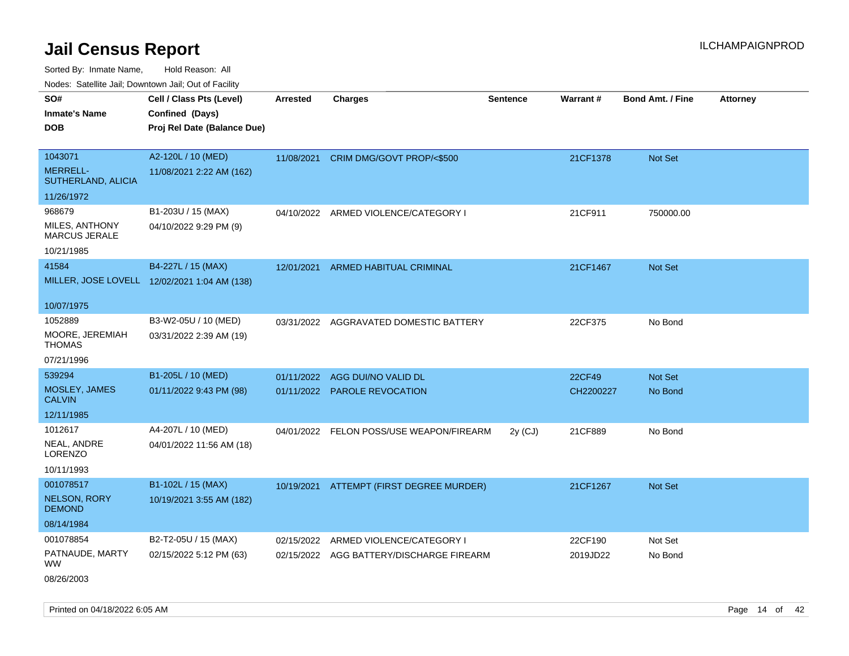Sorted By: Inmate Name, Hold Reason: All

Nodes: Satellite Jail; Downtown Jail; Out of Facility

| SO#                                    | Cell / Class Pts (Level)                     | <b>Arrested</b> | <b>Charges</b>                           | <b>Sentence</b> | <b>Warrant#</b> | <b>Bond Amt. / Fine</b> | <b>Attorney</b> |
|----------------------------------------|----------------------------------------------|-----------------|------------------------------------------|-----------------|-----------------|-------------------------|-----------------|
| <b>Inmate's Name</b>                   | Confined (Days)                              |                 |                                          |                 |                 |                         |                 |
| <b>DOB</b>                             | Proj Rel Date (Balance Due)                  |                 |                                          |                 |                 |                         |                 |
|                                        |                                              |                 |                                          |                 |                 |                         |                 |
| 1043071                                | A2-120L / 10 (MED)                           |                 | 11/08/2021 CRIM DMG/GOVT PROP/<\$500     |                 | 21CF1378        | Not Set                 |                 |
| <b>MERRELL-</b><br>SUTHERLAND, ALICIA  | 11/08/2021 2:22 AM (162)                     |                 |                                          |                 |                 |                         |                 |
| 11/26/1972                             |                                              |                 |                                          |                 |                 |                         |                 |
| 968679                                 | B1-203U / 15 (MAX)                           |                 | 04/10/2022 ARMED VIOLENCE/CATEGORY I     |                 | 21CF911         | 750000.00               |                 |
| MILES, ANTHONY<br><b>MARCUS JERALE</b> | 04/10/2022 9:29 PM (9)                       |                 |                                          |                 |                 |                         |                 |
| 10/21/1985                             |                                              |                 |                                          |                 |                 |                         |                 |
| 41584                                  | B4-227L / 15 (MAX)                           | 12/01/2021      | ARMED HABITUAL CRIMINAL                  |                 | 21CF1467        | <b>Not Set</b>          |                 |
|                                        | MILLER, JOSE LOVELL 12/02/2021 1:04 AM (138) |                 |                                          |                 |                 |                         |                 |
|                                        |                                              |                 |                                          |                 |                 |                         |                 |
| 10/07/1975                             |                                              |                 |                                          |                 |                 |                         |                 |
| 1052889                                | B3-W2-05U / 10 (MED)                         |                 | 03/31/2022 AGGRAVATED DOMESTIC BATTERY   |                 | 22CF375         | No Bond                 |                 |
| MOORE, JEREMIAH<br><b>THOMAS</b>       | 03/31/2022 2:39 AM (19)                      |                 |                                          |                 |                 |                         |                 |
| 07/21/1996                             |                                              |                 |                                          |                 |                 |                         |                 |
| 539294                                 | B1-205L / 10 (MED)                           | 01/11/2022      | AGG DUI/NO VALID DL                      |                 | 22CF49          | Not Set                 |                 |
| MOSLEY, JAMES<br><b>CALVIN</b>         | 01/11/2022 9:43 PM (98)                      |                 | 01/11/2022 PAROLE REVOCATION             |                 | CH2200227       | No Bond                 |                 |
| 12/11/1985                             |                                              |                 |                                          |                 |                 |                         |                 |
| 1012617                                | A4-207L / 10 (MED)                           |                 | 04/01/2022 FELON POSS/USE WEAPON/FIREARM | $2y$ (CJ)       | 21CF889         | No Bond                 |                 |
| NEAL, ANDRE<br>LORENZO                 | 04/01/2022 11:56 AM (18)                     |                 |                                          |                 |                 |                         |                 |
| 10/11/1993                             |                                              |                 |                                          |                 |                 |                         |                 |
| 001078517                              | B1-102L / 15 (MAX)                           |                 | 10/19/2021 ATTEMPT (FIRST DEGREE MURDER) |                 | 21CF1267        | Not Set                 |                 |
| <b>NELSON, RORY</b><br><b>DEMOND</b>   | 10/19/2021 3:55 AM (182)                     |                 |                                          |                 |                 |                         |                 |
| 08/14/1984                             |                                              |                 |                                          |                 |                 |                         |                 |
| 001078854                              | B2-T2-05U / 15 (MAX)                         | 02/15/2022      | ARMED VIOLENCE/CATEGORY I                |                 | 22CF190         | Not Set                 |                 |
| PATNAUDE, MARTY<br><b>WW</b>           | 02/15/2022 5:12 PM (63)                      |                 | 02/15/2022 AGG BATTERY/DISCHARGE FIREARM |                 | 2019JD22        | No Bond                 |                 |
| 08/26/2003                             |                                              |                 |                                          |                 |                 |                         |                 |

Printed on 04/18/2022 6:05 AM **Page 14** of 42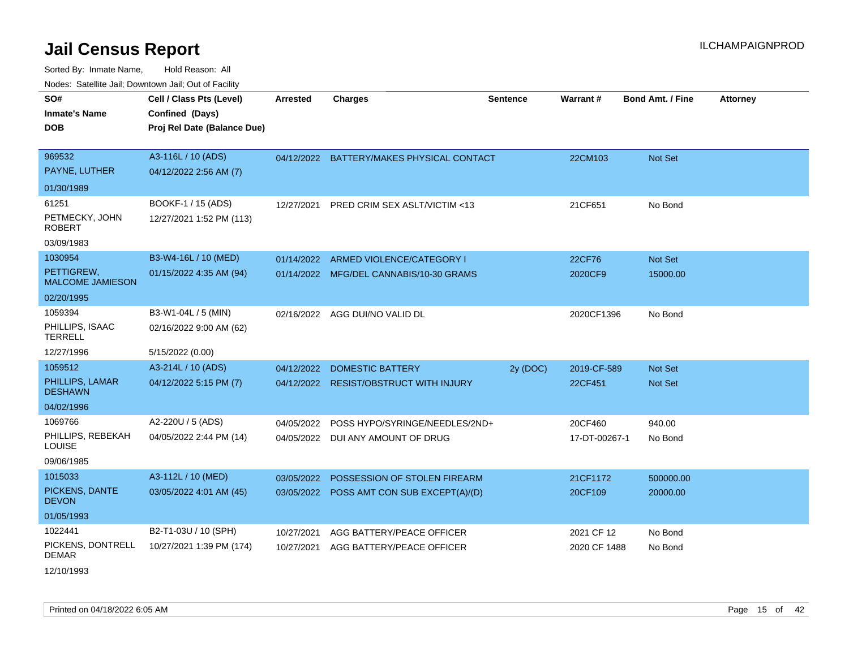Sorted By: Inmate Name, Hold Reason: All Nodes: Satellite Jail; Downtown Jail; Out of Facility

| SO#<br><b>Inmate's Name</b><br><b>DOB</b>    | Cell / Class Pts (Level)<br>Confined (Days)<br>Proj Rel Date (Balance Due) | Arrested   | <b>Charges</b>                            | <b>Sentence</b> | Warrant#      | Bond Amt. / Fine | <b>Attorney</b> |
|----------------------------------------------|----------------------------------------------------------------------------|------------|-------------------------------------------|-----------------|---------------|------------------|-----------------|
| 969532<br>PAYNE, LUTHER                      | A3-116L / 10 (ADS)<br>04/12/2022 2:56 AM (7)                               |            | 04/12/2022 BATTERY/MAKES PHYSICAL CONTACT |                 | 22CM103       | Not Set          |                 |
| 01/30/1989                                   |                                                                            |            |                                           |                 |               |                  |                 |
| 61251                                        | BOOKF-1 / 15 (ADS)                                                         | 12/27/2021 | <b>PRED CRIM SEX ASLT/VICTIM &lt;13</b>   |                 | 21CF651       | No Bond          |                 |
| PETMECKY, JOHN<br><b>ROBERT</b>              | 12/27/2021 1:52 PM (113)                                                   |            |                                           |                 |               |                  |                 |
| 03/09/1983                                   |                                                                            |            |                                           |                 |               |                  |                 |
| 1030954                                      | B3-W4-16L / 10 (MED)                                                       | 01/14/2022 | ARMED VIOLENCE/CATEGORY I                 |                 | 22CF76        | Not Set          |                 |
| PETTIGREW,<br><b>MALCOME JAMIESON</b>        | 01/15/2022 4:35 AM (94)                                                    |            | 01/14/2022 MFG/DEL CANNABIS/10-30 GRAMS   |                 | 2020CF9       | 15000.00         |                 |
| 02/20/1995                                   |                                                                            |            |                                           |                 |               |                  |                 |
| 1059394<br>PHILLIPS, ISAAC<br><b>TERRELL</b> | B3-W1-04L / 5 (MIN)<br>02/16/2022 9:00 AM (62)                             |            | 02/16/2022 AGG DUI/NO VALID DL            |                 | 2020CF1396    | No Bond          |                 |
| 12/27/1996                                   | 5/15/2022 (0.00)                                                           |            |                                           |                 |               |                  |                 |
| 1059512                                      | A3-214L / 10 (ADS)                                                         | 04/12/2022 | <b>DOMESTIC BATTERY</b>                   | 2y (DOC)        | 2019-CF-589   | Not Set          |                 |
| PHILLIPS, LAMAR<br><b>DESHAWN</b>            | 04/12/2022 5:15 PM (7)                                                     | 04/12/2022 | <b>RESIST/OBSTRUCT WITH INJURY</b>        |                 | 22CF451       | <b>Not Set</b>   |                 |
| 04/02/1996                                   |                                                                            |            |                                           |                 |               |                  |                 |
| 1069766                                      | A2-220U / 5 (ADS)                                                          | 04/05/2022 | POSS HYPO/SYRINGE/NEEDLES/2ND+            |                 | 20CF460       | 940.00           |                 |
| PHILLIPS, REBEKAH<br>LOUISE                  | 04/05/2022 2:44 PM (14)                                                    |            | 04/05/2022 DUI ANY AMOUNT OF DRUG         |                 | 17-DT-00267-1 | No Bond          |                 |
| 09/06/1985                                   |                                                                            |            |                                           |                 |               |                  |                 |
| 1015033                                      | A3-112L / 10 (MED)                                                         | 03/05/2022 | POSSESSION OF STOLEN FIREARM              |                 | 21CF1172      | 500000.00        |                 |
| PICKENS, DANTE<br><b>DEVON</b>               | 03/05/2022 4:01 AM (45)                                                    | 03/05/2022 | POSS AMT CON SUB EXCEPT(A)/(D)            |                 | 20CF109       | 20000.00         |                 |
| 01/05/1993                                   |                                                                            |            |                                           |                 |               |                  |                 |
| 1022441                                      | B2-T1-03U / 10 (SPH)                                                       | 10/27/2021 | AGG BATTERY/PEACE OFFICER                 |                 | 2021 CF 12    | No Bond          |                 |
| PICKENS, DONTRELL<br><b>DEMAR</b>            | 10/27/2021 1:39 PM (174)                                                   | 10/27/2021 | AGG BATTERY/PEACE OFFICER                 |                 | 2020 CF 1488  | No Bond          |                 |

12/10/1993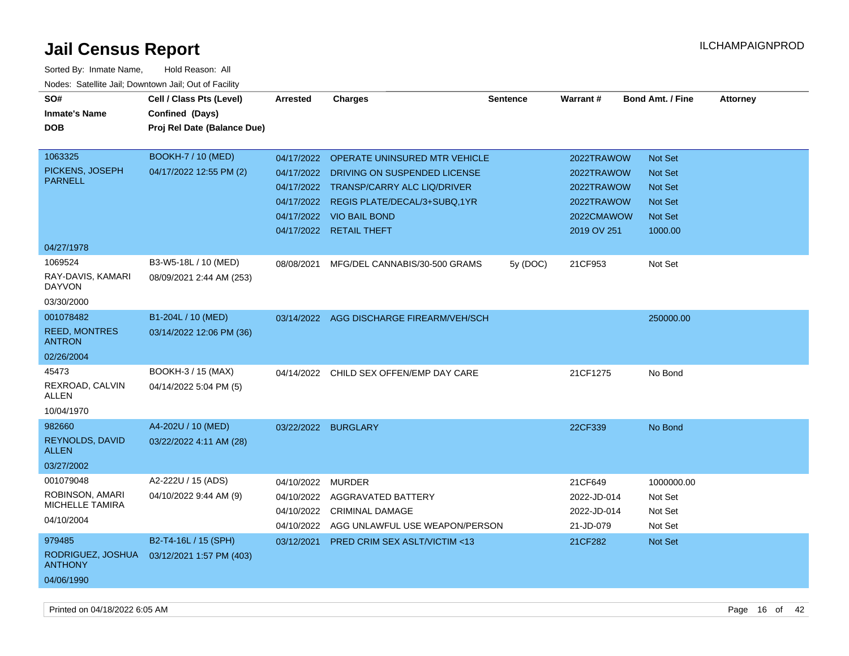| SO#<br><b>Inmate's Name</b><br><b>DOB</b><br>1063325             | Cell / Class Pts (Level)<br>Confined (Days)<br>Proj Rel Date (Balance Due)<br><b>BOOKH-7 / 10 (MED)</b> | <b>Arrested</b><br>04/17/2022 | <b>Charges</b><br>OPERATE UNINSURED MTR VEHICLE                                                                                                                          | <b>Sentence</b> | Warrant#<br>2022TRAWOW                                              | <b>Bond Amt. / Fine</b><br><b>Not Set</b>                                | <b>Attorney</b> |
|------------------------------------------------------------------|---------------------------------------------------------------------------------------------------------|-------------------------------|--------------------------------------------------------------------------------------------------------------------------------------------------------------------------|-----------------|---------------------------------------------------------------------|--------------------------------------------------------------------------|-----------------|
| PICKENS, JOSEPH<br><b>PARNELL</b>                                | 04/17/2022 12:55 PM (2)                                                                                 | 04/17/2022                    | DRIVING ON SUSPENDED LICENSE<br>04/17/2022 TRANSP/CARRY ALC LIQ/DRIVER<br>04/17/2022 REGIS PLATE/DECAL/3+SUBQ,1YR<br>04/17/2022 VIO BAIL BOND<br>04/17/2022 RETAIL THEFT |                 | 2022TRAWOW<br>2022TRAWOW<br>2022TRAWOW<br>2022CMAWOW<br>2019 OV 251 | <b>Not Set</b><br>Not Set<br><b>Not Set</b><br><b>Not Set</b><br>1000.00 |                 |
| 04/27/1978                                                       |                                                                                                         |                               |                                                                                                                                                                          |                 |                                                                     |                                                                          |                 |
| 1069524<br>RAY-DAVIS, KAMARI<br><b>DAYVON</b><br>03/30/2000      | B3-W5-18L / 10 (MED)<br>08/09/2021 2:44 AM (253)                                                        | 08/08/2021                    | MFG/DEL CANNABIS/30-500 GRAMS                                                                                                                                            | 5y (DOC)        | 21CF953                                                             | Not Set                                                                  |                 |
| 001078482<br><b>REED, MONTRES</b><br><b>ANTRON</b><br>02/26/2004 | B1-204L / 10 (MED)<br>03/14/2022 12:06 PM (36)                                                          |                               | 03/14/2022 AGG DISCHARGE FIREARM/VEH/SCH                                                                                                                                 |                 |                                                                     | 250000.00                                                                |                 |
| 45473<br>REXROAD, CALVIN<br><b>ALLEN</b><br>10/04/1970           | BOOKH-3 / 15 (MAX)<br>04/14/2022 5:04 PM (5)                                                            | 04/14/2022                    | CHILD SEX OFFEN/EMP DAY CARE                                                                                                                                             |                 | 21CF1275                                                            | No Bond                                                                  |                 |
| 982660<br>REYNOLDS, DAVID<br><b>ALLEN</b><br>03/27/2002          | A4-202U / 10 (MED)<br>03/22/2022 4:11 AM (28)                                                           | 03/22/2022                    | <b>BURGLARY</b>                                                                                                                                                          |                 | 22CF339                                                             | No Bond                                                                  |                 |
| 001079048<br>ROBINSON, AMARI<br>MICHELLE TAMIRA<br>04/10/2004    | A2-222U / 15 (ADS)<br>04/10/2022 9:44 AM (9)                                                            | 04/10/2022<br>04/10/2022      | MURDER<br>AGGRAVATED BATTERY<br>04/10/2022 CRIMINAL DAMAGE<br>04/10/2022 AGG UNLAWFUL USE WEAPON/PERSON                                                                  |                 | 21CF649<br>2022-JD-014<br>2022-JD-014<br>21-JD-079                  | 1000000.00<br>Not Set<br>Not Set<br>Not Set                              |                 |
| 979485<br>RODRIGUEZ, JOSHUA<br><b>ANTHONY</b><br>04/06/1990      | B2-T4-16L / 15 (SPH)<br>03/12/2021 1:57 PM (403)                                                        | 03/12/2021                    | PRED CRIM SEX ASLT/VICTIM <13                                                                                                                                            |                 | 21CF282                                                             | Not Set                                                                  |                 |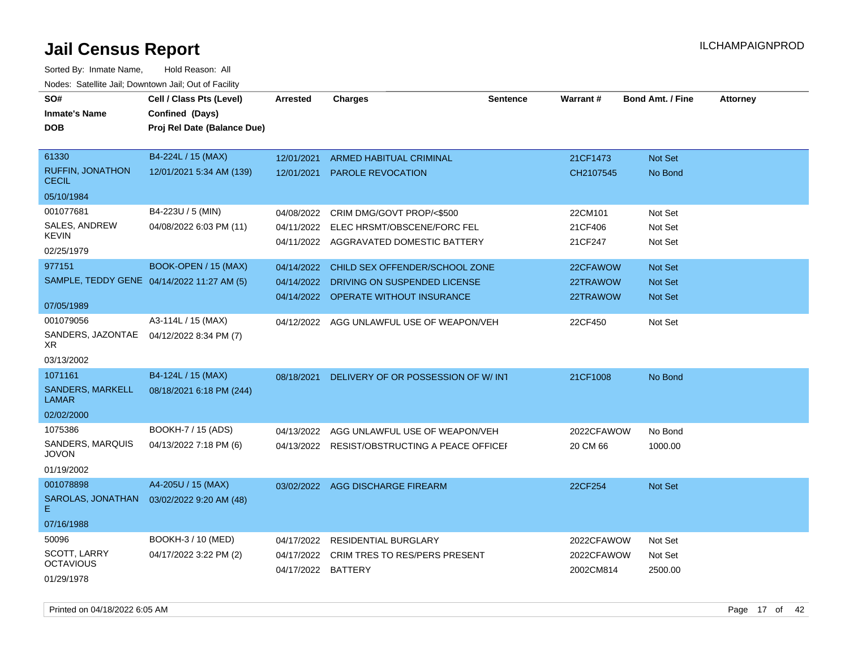| SO#                                     | Cell / Class Pts (Level)                   | <b>Arrested</b>    | <b>Charges</b>                                | <b>Sentence</b> | <b>Warrant#</b> | <b>Bond Amt. / Fine</b> | <b>Attorney</b> |
|-----------------------------------------|--------------------------------------------|--------------------|-----------------------------------------------|-----------------|-----------------|-------------------------|-----------------|
| <b>Inmate's Name</b>                    | Confined (Days)                            |                    |                                               |                 |                 |                         |                 |
| <b>DOB</b>                              | Proj Rel Date (Balance Due)                |                    |                                               |                 |                 |                         |                 |
|                                         |                                            |                    |                                               |                 |                 |                         |                 |
| 61330                                   | B4-224L / 15 (MAX)                         | 12/01/2021         | <b>ARMED HABITUAL CRIMINAL</b>                |                 | 21CF1473        | Not Set                 |                 |
| <b>RUFFIN, JONATHON</b><br><b>CECIL</b> | 12/01/2021 5:34 AM (139)                   | 12/01/2021         | <b>PAROLE REVOCATION</b>                      |                 | CH2107545       | No Bond                 |                 |
| 05/10/1984                              |                                            |                    |                                               |                 |                 |                         |                 |
| 001077681                               | B4-223U / 5 (MIN)                          | 04/08/2022         | CRIM DMG/GOVT PROP/<\$500                     |                 | 22CM101         | Not Set                 |                 |
| SALES, ANDREW                           | 04/08/2022 6:03 PM (11)                    | 04/11/2022         | ELEC HRSMT/OBSCENE/FORC FEL                   |                 | 21CF406         | Not Set                 |                 |
| <b>KEVIN</b>                            |                                            |                    | 04/11/2022 AGGRAVATED DOMESTIC BATTERY        |                 | 21CF247         | Not Set                 |                 |
| 02/25/1979                              |                                            |                    |                                               |                 |                 |                         |                 |
| 977151                                  | BOOK-OPEN / 15 (MAX)                       | 04/14/2022         | CHILD SEX OFFENDER/SCHOOL ZONE                |                 | 22CFAWOW        | Not Set                 |                 |
|                                         | SAMPLE, TEDDY GENE 04/14/2022 11:27 AM (5) | 04/14/2022         | DRIVING ON SUSPENDED LICENSE                  |                 | 22TRAWOW        | Not Set                 |                 |
| 07/05/1989                              |                                            |                    | 04/14/2022 OPERATE WITHOUT INSURANCE          |                 | 22TRAWOW        | <b>Not Set</b>          |                 |
| 001079056                               | A3-114L / 15 (MAX)                         |                    | 04/12/2022 AGG UNLAWFUL USE OF WEAPON/VEH     |                 | 22CF450         | Not Set                 |                 |
| SANDERS, JAZONTAE<br>XR.                | 04/12/2022 8:34 PM (7)                     |                    |                                               |                 |                 |                         |                 |
| 03/13/2002                              |                                            |                    |                                               |                 |                 |                         |                 |
| 1071161                                 | B4-124L / 15 (MAX)                         | 08/18/2021         | DELIVERY OF OR POSSESSION OF W/INT            |                 | 21CF1008        | No Bond                 |                 |
| <b>SANDERS, MARKELL</b><br><b>LAMAR</b> | 08/18/2021 6:18 PM (244)                   |                    |                                               |                 |                 |                         |                 |
| 02/02/2000                              |                                            |                    |                                               |                 |                 |                         |                 |
| 1075386                                 | BOOKH-7 / 15 (ADS)                         | 04/13/2022         | AGG UNLAWFUL USE OF WEAPON/VEH                |                 | 2022CFAWOW      | No Bond                 |                 |
| SANDERS, MARQUIS<br><b>JOVON</b>        | 04/13/2022 7:18 PM (6)                     |                    | 04/13/2022 RESIST/OBSTRUCTING A PEACE OFFICEF |                 | 20 CM 66        | 1000.00                 |                 |
| 01/19/2002                              |                                            |                    |                                               |                 |                 |                         |                 |
| 001078898                               | A4-205U / 15 (MAX)                         |                    | 03/02/2022 AGG DISCHARGE FIREARM              |                 | 22CF254         | <b>Not Set</b>          |                 |
| SAROLAS, JONATHAN<br>E.                 | 03/02/2022 9:20 AM (48)                    |                    |                                               |                 |                 |                         |                 |
| 07/16/1988                              |                                            |                    |                                               |                 |                 |                         |                 |
| 50096                                   | BOOKH-3 / 10 (MED)                         | 04/17/2022         | <b>RESIDENTIAL BURGLARY</b>                   |                 | 2022CFAWOW      | Not Set                 |                 |
| SCOTT, LARRY                            | 04/17/2022 3:22 PM (2)                     | 04/17/2022         | CRIM TRES TO RES/PERS PRESENT                 |                 | 2022CFAWOW      | Not Set                 |                 |
| <b>OCTAVIOUS</b>                        |                                            | 04/17/2022 BATTERY |                                               |                 | 2002CM814       | 2500.00                 |                 |
| 01/29/1978                              |                                            |                    |                                               |                 |                 |                         |                 |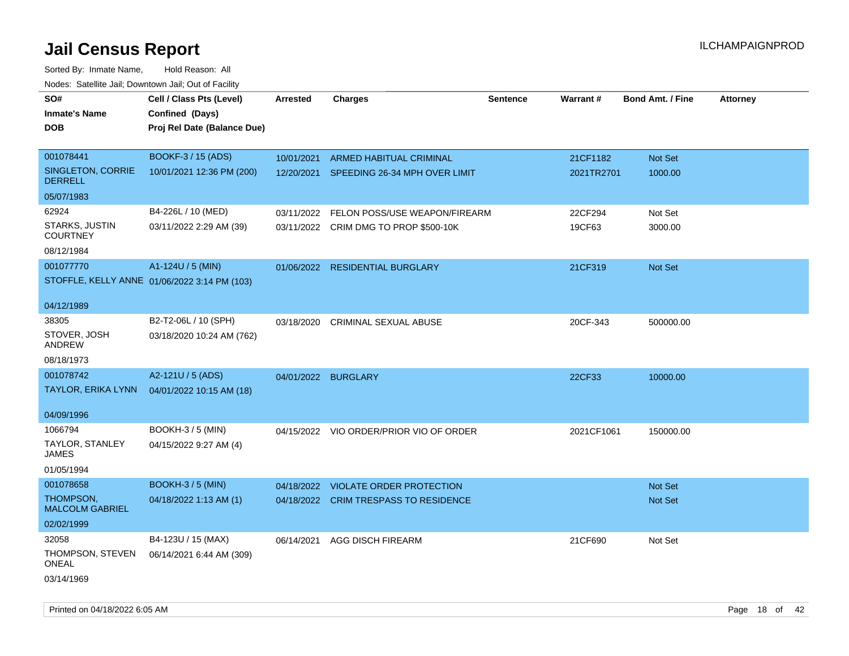Sorted By: Inmate Name, Hold Reason: All Nodes: Satellite Jail; Downtown Jail; Out of Facility

| SO#                                 | Cell / Class Pts (Level)                     | <b>Arrested</b> | <b>Charges</b>                           | <b>Sentence</b> | Warrant#   | <b>Bond Amt. / Fine</b> | <b>Attorney</b> |
|-------------------------------------|----------------------------------------------|-----------------|------------------------------------------|-----------------|------------|-------------------------|-----------------|
| <b>Inmate's Name</b>                | Confined (Days)                              |                 |                                          |                 |            |                         |                 |
| <b>DOB</b>                          | Proj Rel Date (Balance Due)                  |                 |                                          |                 |            |                         |                 |
|                                     |                                              |                 |                                          |                 |            |                         |                 |
| 001078441                           | BOOKF-3 / 15 (ADS)                           | 10/01/2021      | ARMED HABITUAL CRIMINAL                  |                 | 21CF1182   | Not Set                 |                 |
| SINGLETON, CORRIE<br><b>DERRELL</b> | 10/01/2021 12:36 PM (200)                    |                 | 12/20/2021 SPEEDING 26-34 MPH OVER LIMIT |                 | 2021TR2701 | 1000.00                 |                 |
| 05/07/1983                          |                                              |                 |                                          |                 |            |                         |                 |
| 62924                               | B4-226L / 10 (MED)                           | 03/11/2022      | FELON POSS/USE WEAPON/FIREARM            |                 | 22CF294    | Not Set                 |                 |
| STARKS, JUSTIN<br><b>COURTNEY</b>   | 03/11/2022 2:29 AM (39)                      |                 | 03/11/2022 CRIM DMG TO PROP \$500-10K    |                 | 19CF63     | 3000.00                 |                 |
| 08/12/1984                          |                                              |                 |                                          |                 |            |                         |                 |
| 001077770                           | A1-124U / 5 (MIN)                            |                 | 01/06/2022 RESIDENTIAL BURGLARY          |                 | 21CF319    | Not Set                 |                 |
|                                     | STOFFLE, KELLY ANNE 01/06/2022 3:14 PM (103) |                 |                                          |                 |            |                         |                 |
| 04/12/1989                          |                                              |                 |                                          |                 |            |                         |                 |
| 38305                               | B2-T2-06L / 10 (SPH)                         | 03/18/2020      | <b>CRIMINAL SEXUAL ABUSE</b>             |                 | 20CF-343   | 500000.00               |                 |
| STOVER, JOSH<br>ANDREW              | 03/18/2020 10:24 AM (762)                    |                 |                                          |                 |            |                         |                 |
| 08/18/1973                          |                                              |                 |                                          |                 |            |                         |                 |
| 001078742                           | A2-121U / 5 (ADS)                            |                 | 04/01/2022 BURGLARY                      |                 | 22CF33     | 10000.00                |                 |
| TAYLOR, ERIKA LYNN                  | 04/01/2022 10:15 AM (18)                     |                 |                                          |                 |            |                         |                 |
| 04/09/1996                          |                                              |                 |                                          |                 |            |                         |                 |
| 1066794                             | <b>BOOKH-3 / 5 (MIN)</b>                     |                 | 04/15/2022 VIO ORDER/PRIOR VIO OF ORDER  |                 | 2021CF1061 | 150000.00               |                 |
| TAYLOR, STANLEY<br><b>JAMES</b>     | 04/15/2022 9:27 AM (4)                       |                 |                                          |                 |            |                         |                 |
| 01/05/1994                          |                                              |                 |                                          |                 |            |                         |                 |
| 001078658                           | <b>BOOKH-3 / 5 (MIN)</b>                     |                 | 04/18/2022 VIOLATE ORDER PROTECTION      |                 |            | <b>Not Set</b>          |                 |
| THOMPSON,<br><b>MALCOLM GABRIEL</b> | 04/18/2022 1:13 AM (1)                       |                 | 04/18/2022 CRIM TRESPASS TO RESIDENCE    |                 |            | <b>Not Set</b>          |                 |
| 02/02/1999                          |                                              |                 |                                          |                 |            |                         |                 |
| 32058                               | B4-123U / 15 (MAX)                           | 06/14/2021      | <b>AGG DISCH FIREARM</b>                 |                 | 21CF690    | Not Set                 |                 |
| THOMPSON, STEVEN<br><b>ONEAL</b>    | 06/14/2021 6:44 AM (309)                     |                 |                                          |                 |            |                         |                 |
| 03/14/1969                          |                                              |                 |                                          |                 |            |                         |                 |

Printed on 04/18/2022 6:05 AM **Page 18** of 42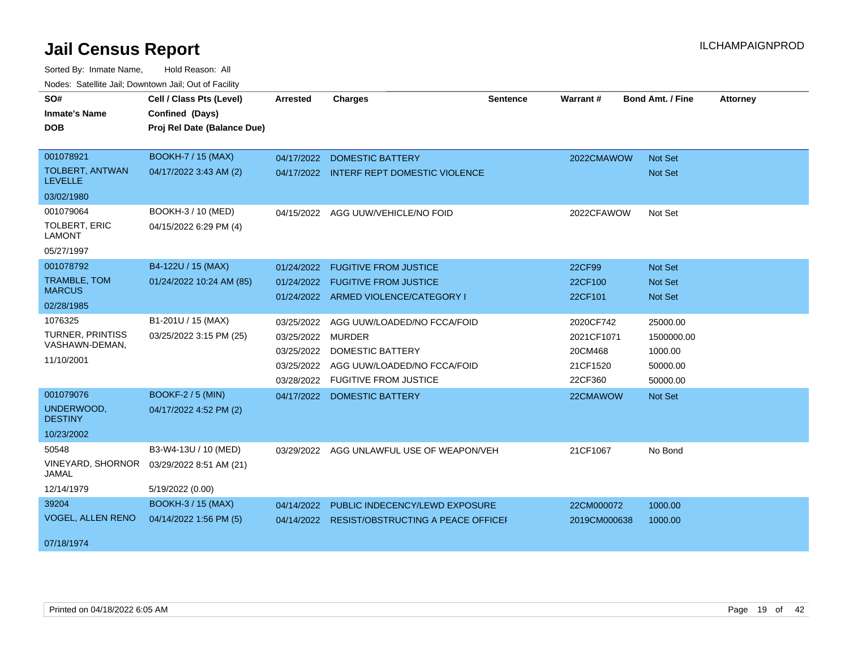| SO#                                      | Cell / Class Pts (Level)    | <b>Arrested</b> | <b>Charges</b>                            | Sentence | <b>Warrant#</b> | <b>Bond Amt. / Fine</b> | <b>Attorney</b> |
|------------------------------------------|-----------------------------|-----------------|-------------------------------------------|----------|-----------------|-------------------------|-----------------|
| <b>Inmate's Name</b>                     | Confined (Days)             |                 |                                           |          |                 |                         |                 |
| <b>DOB</b>                               | Proj Rel Date (Balance Due) |                 |                                           |          |                 |                         |                 |
|                                          |                             |                 |                                           |          |                 |                         |                 |
| 001078921                                | <b>BOOKH-7 / 15 (MAX)</b>   | 04/17/2022      | <b>DOMESTIC BATTERY</b>                   |          | 2022CMAWOW      | Not Set                 |                 |
| <b>TOLBERT, ANTWAN</b><br><b>LEVELLE</b> | 04/17/2022 3:43 AM (2)      |                 | 04/17/2022 INTERF REPT DOMESTIC VIOLENCE  |          |                 | Not Set                 |                 |
| 03/02/1980                               |                             |                 |                                           |          |                 |                         |                 |
| 001079064                                | BOOKH-3 / 10 (MED)          | 04/15/2022      | AGG UUW/VEHICLE/NO FOID                   |          | 2022CFAWOW      | Not Set                 |                 |
| TOLBERT, ERIC<br><b>LAMONT</b>           | 04/15/2022 6:29 PM (4)      |                 |                                           |          |                 |                         |                 |
| 05/27/1997                               |                             |                 |                                           |          |                 |                         |                 |
| 001078792                                | B4-122U / 15 (MAX)          | 01/24/2022      | <b>FUGITIVE FROM JUSTICE</b>              |          | 22CF99          | <b>Not Set</b>          |                 |
| TRAMBLE, TOM                             | 01/24/2022 10:24 AM (85)    | 01/24/2022      | <b>FUGITIVE FROM JUSTICE</b>              |          | 22CF100         | <b>Not Set</b>          |                 |
| <b>MARCUS</b>                            |                             |                 | 01/24/2022 ARMED VIOLENCE/CATEGORY I      |          | 22CF101         | Not Set                 |                 |
| 02/28/1985                               |                             |                 |                                           |          |                 |                         |                 |
| 1076325                                  | B1-201U / 15 (MAX)          | 03/25/2022      | AGG UUW/LOADED/NO FCCA/FOID               |          | 2020CF742       | 25000.00                |                 |
| TURNER, PRINTISS                         | 03/25/2022 3:15 PM (25)     | 03/25/2022      | <b>MURDER</b>                             |          | 2021CF1071      | 1500000.00              |                 |
| VASHAWN-DEMAN,                           |                             | 03/25/2022      | DOMESTIC BATTERY                          |          | 20CM468         | 1000.00                 |                 |
| 11/10/2001                               |                             | 03/25/2022      | AGG UUW/LOADED/NO FCCA/FOID               |          | 21CF1520        | 50000.00                |                 |
|                                          |                             | 03/28/2022      | <b>FUGITIVE FROM JUSTICE</b>              |          | 22CF360         | 50000.00                |                 |
| 001079076                                | <b>BOOKF-2 / 5 (MIN)</b>    | 04/17/2022      | <b>DOMESTIC BATTERY</b>                   |          | 22CMAWOW        | Not Set                 |                 |
| UNDERWOOD,<br><b>DESTINY</b>             | 04/17/2022 4:52 PM (2)      |                 |                                           |          |                 |                         |                 |
| 10/23/2002                               |                             |                 |                                           |          |                 |                         |                 |
| 50548                                    | B3-W4-13U / 10 (MED)        |                 | 03/29/2022 AGG UNLAWFUL USE OF WEAPON/VEH |          | 21CF1067        | No Bond                 |                 |
| <b>VINEYARD, SHORNOR</b><br>JAMAL        | 03/29/2022 8:51 AM (21)     |                 |                                           |          |                 |                         |                 |
| 12/14/1979                               | 5/19/2022 (0.00)            |                 |                                           |          |                 |                         |                 |
| 39204                                    | <b>BOOKH-3 / 15 (MAX)</b>   | 04/14/2022      | PUBLIC INDECENCY/LEWD EXPOSURE            |          | 22CM000072      | 1000.00                 |                 |
| <b>VOGEL, ALLEN RENO</b>                 | 04/14/2022 1:56 PM (5)      | 04/14/2022      | <b>RESIST/OBSTRUCTING A PEACE OFFICEF</b> |          | 2019CM000638    | 1000.00                 |                 |
|                                          |                             |                 |                                           |          |                 |                         |                 |
| 07/18/1974                               |                             |                 |                                           |          |                 |                         |                 |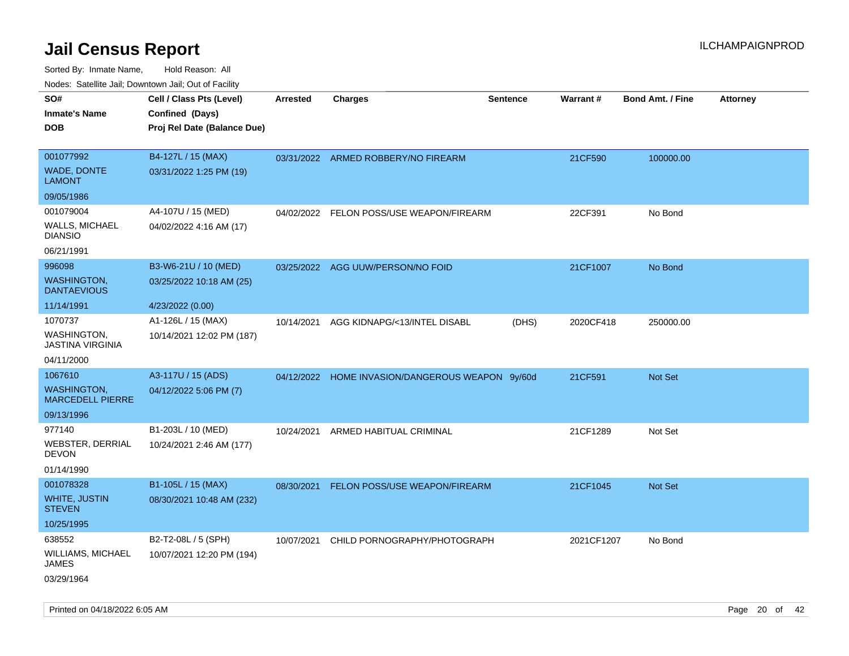| roaco. Calcinio dan, Downtown dan, Cal or Fability |                                                                            |                 |                                                  |                 |                 |                         |                 |
|----------------------------------------------------|----------------------------------------------------------------------------|-----------------|--------------------------------------------------|-----------------|-----------------|-------------------------|-----------------|
| SO#<br><b>Inmate's Name</b><br>DOB                 | Cell / Class Pts (Level)<br>Confined (Days)<br>Proj Rel Date (Balance Due) | <b>Arrested</b> | <b>Charges</b>                                   | <b>Sentence</b> | <b>Warrant#</b> | <b>Bond Amt. / Fine</b> | <b>Attorney</b> |
|                                                    |                                                                            |                 |                                                  |                 |                 |                         |                 |
| 001077992<br><b>WADE, DONTE</b><br>LAMONT          | B4-127L / 15 (MAX)<br>03/31/2022 1:25 PM (19)                              |                 | 03/31/2022 ARMED ROBBERY/NO FIREARM              |                 | 21CF590         | 100000.00               |                 |
| 09/05/1986                                         |                                                                            |                 |                                                  |                 |                 |                         |                 |
| 001079004                                          | A4-107U / 15 (MED)                                                         | 04/02/2022      | FELON POSS/USE WEAPON/FIREARM                    |                 | 22CF391         | No Bond                 |                 |
| WALLS, MICHAEL<br><b>DIANSIO</b>                   | 04/02/2022 4:16 AM (17)                                                    |                 |                                                  |                 |                 |                         |                 |
| 06/21/1991                                         |                                                                            |                 |                                                  |                 |                 |                         |                 |
| 996098                                             | B3-W6-21U / 10 (MED)                                                       |                 | 03/25/2022 AGG UUW/PERSON/NO FOID                |                 | 21CF1007        | No Bond                 |                 |
| <b>WASHINGTON,</b><br><b>DANTAEVIOUS</b>           | 03/25/2022 10:18 AM (25)                                                   |                 |                                                  |                 |                 |                         |                 |
| 11/14/1991                                         | 4/23/2022 (0.00)                                                           |                 |                                                  |                 |                 |                         |                 |
| 1070737<br>WASHINGTON,<br>JASTINA VIRGINIA         | A1-126L / 15 (MAX)<br>10/14/2021 12:02 PM (187)                            | 10/14/2021      | AGG KIDNAPG/<13/INTEL DISABL                     | (DHS)           | 2020CF418       | 250000.00               |                 |
| 04/11/2000                                         |                                                                            |                 |                                                  |                 |                 |                         |                 |
| 1067610                                            | A3-117U / 15 (ADS)                                                         |                 | 04/12/2022 HOME INVASION/DANGEROUS WEAPON 9y/60d |                 | 21CF591         | Not Set                 |                 |
| WASHINGTON,<br><b>MARCEDELL PIERRE</b>             | 04/12/2022 5:06 PM (7)                                                     |                 |                                                  |                 |                 |                         |                 |
| 09/13/1996                                         |                                                                            |                 |                                                  |                 |                 |                         |                 |
| 977140                                             | B1-203L / 10 (MED)                                                         | 10/24/2021      | ARMED HABITUAL CRIMINAL                          |                 | 21CF1289        | Not Set                 |                 |
| WEBSTER, DERRIAL<br>DEVON                          | 10/24/2021 2:46 AM (177)                                                   |                 |                                                  |                 |                 |                         |                 |
| 01/14/1990                                         |                                                                            |                 |                                                  |                 |                 |                         |                 |
| 001078328                                          | B1-105L / 15 (MAX)                                                         | 08/30/2021      | FELON POSS/USE WEAPON/FIREARM                    |                 | 21CF1045        | Not Set                 |                 |
| WHITE, JUSTIN<br>STEVEN                            | 08/30/2021 10:48 AM (232)                                                  |                 |                                                  |                 |                 |                         |                 |
| 10/25/1995                                         |                                                                            |                 |                                                  |                 |                 |                         |                 |
| 638552                                             | B2-T2-08L / 5 (SPH)                                                        | 10/07/2021      | CHILD PORNOGRAPHY/PHOTOGRAPH                     |                 | 2021CF1207      | No Bond                 |                 |
| WILLIAMS, MICHAEL<br>JAMES                         | 10/07/2021 12:20 PM (194)                                                  |                 |                                                  |                 |                 |                         |                 |
| 03/29/1964                                         |                                                                            |                 |                                                  |                 |                 |                         |                 |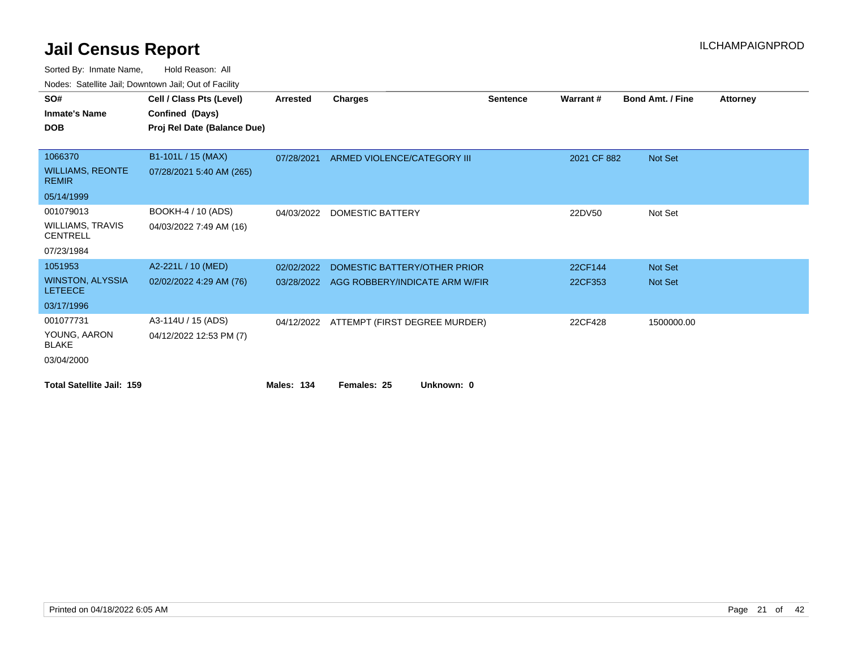|                                            | Todoo. Catomic cam, Bowmonn cam, Oat or Faonty |            |                                          |                 |             |                         |                 |
|--------------------------------------------|------------------------------------------------|------------|------------------------------------------|-----------------|-------------|-------------------------|-----------------|
| SO#                                        | Cell / Class Pts (Level)                       | Arrested   | <b>Charges</b>                           | <b>Sentence</b> | Warrant#    | <b>Bond Amt. / Fine</b> | <b>Attorney</b> |
| <b>Inmate's Name</b>                       | Confined (Days)                                |            |                                          |                 |             |                         |                 |
| <b>DOB</b>                                 | Proj Rel Date (Balance Due)                    |            |                                          |                 |             |                         |                 |
|                                            |                                                |            |                                          |                 |             |                         |                 |
| 1066370                                    | B1-101L / 15 (MAX)                             | 07/28/2021 | ARMED VIOLENCE/CATEGORY III              |                 | 2021 CF 882 | Not Set                 |                 |
| <b>WILLIAMS, REONTE</b><br><b>REMIR</b>    | 07/28/2021 5:40 AM (265)                       |            |                                          |                 |             |                         |                 |
| 05/14/1999                                 |                                                |            |                                          |                 |             |                         |                 |
| 001079013                                  | BOOKH-4 / 10 (ADS)                             | 04/03/2022 | <b>DOMESTIC BATTERY</b>                  |                 | 22DV50      | Not Set                 |                 |
| <b>WILLIAMS, TRAVIS</b><br><b>CENTRELL</b> | 04/03/2022 7:49 AM (16)                        |            |                                          |                 |             |                         |                 |
| 07/23/1984                                 |                                                |            |                                          |                 |             |                         |                 |
| 1051953                                    | A2-221L / 10 (MED)                             | 02/02/2022 | DOMESTIC BATTERY/OTHER PRIOR             |                 | 22CF144     | Not Set                 |                 |
| <b>WINSTON, ALYSSIA</b><br><b>LETEECE</b>  | 02/02/2022 4:29 AM (76)                        | 03/28/2022 | AGG ROBBERY/INDICATE ARM W/FIR           |                 | 22CF353     | Not Set                 |                 |
| 03/17/1996                                 |                                                |            |                                          |                 |             |                         |                 |
| 001077731                                  | A3-114U / 15 (ADS)                             |            | 04/12/2022 ATTEMPT (FIRST DEGREE MURDER) |                 | 22CF428     | 1500000.00              |                 |
| YOUNG, AARON<br><b>BLAKE</b>               | 04/12/2022 12:53 PM (7)                        |            |                                          |                 |             |                         |                 |
| 03/04/2000                                 |                                                |            |                                          |                 |             |                         |                 |
| <b>Total Satellite Jail: 159</b>           |                                                | Males: 134 | Unknown: 0<br>Females: 25                |                 |             |                         |                 |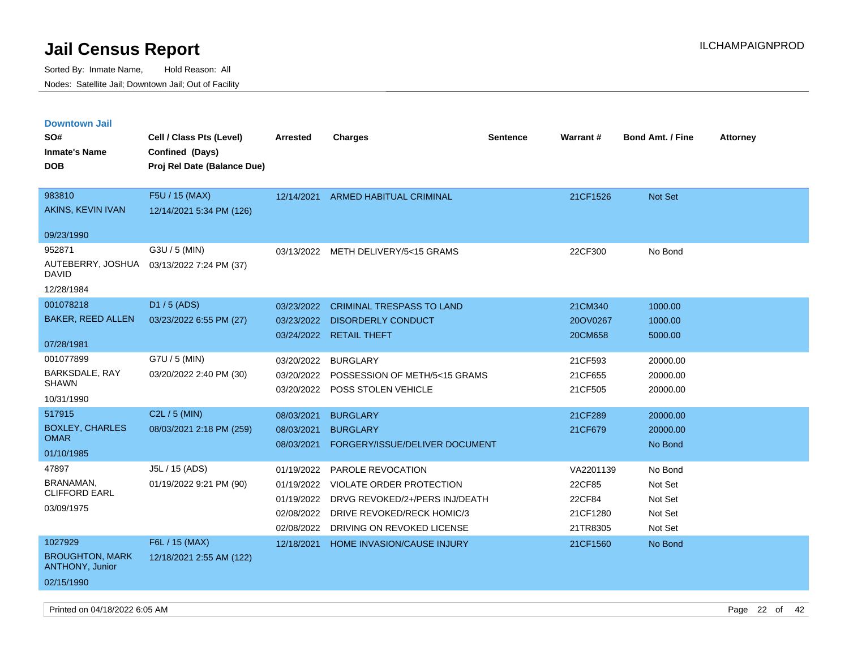| <b>Downtown Jail</b>                             |                             |            |                                       |                 |                 |                         |                 |
|--------------------------------------------------|-----------------------------|------------|---------------------------------------|-----------------|-----------------|-------------------------|-----------------|
| SO#                                              | Cell / Class Pts (Level)    | Arrested   | <b>Charges</b>                        | <b>Sentence</b> | <b>Warrant#</b> | <b>Bond Amt. / Fine</b> | <b>Attorney</b> |
| <b>Inmate's Name</b>                             | Confined (Days)             |            |                                       |                 |                 |                         |                 |
| <b>DOB</b>                                       | Proj Rel Date (Balance Due) |            |                                       |                 |                 |                         |                 |
|                                                  |                             |            |                                       |                 |                 |                         |                 |
| 983810                                           | F5U / 15 (MAX)              | 12/14/2021 | <b>ARMED HABITUAL CRIMINAL</b>        |                 | 21CF1526        | <b>Not Set</b>          |                 |
| AKINS, KEVIN IVAN                                | 12/14/2021 5:34 PM (126)    |            |                                       |                 |                 |                         |                 |
| 09/23/1990                                       |                             |            |                                       |                 |                 |                         |                 |
| 952871                                           | G3U / 5 (MIN)               |            | 03/13/2022 METH DELIVERY/5<15 GRAMS   |                 | 22CF300         | No Bond                 |                 |
| AUTEBERRY, JOSHUA<br>DAVID                       | 03/13/2022 7:24 PM (37)     |            |                                       |                 |                 |                         |                 |
| 12/28/1984                                       |                             |            |                                       |                 |                 |                         |                 |
| 001078218                                        | D1 / 5 (ADS)                | 03/23/2022 | <b>CRIMINAL TRESPASS TO LAND</b>      |                 | 21CM340         | 1000.00                 |                 |
| <b>BAKER, REED ALLEN</b>                         | 03/23/2022 6:55 PM (27)     | 03/23/2022 | <b>DISORDERLY CONDUCT</b>             |                 | 20OV0267        | 1000.00                 |                 |
|                                                  |                             | 03/24/2022 | <b>RETAIL THEFT</b>                   |                 | 20CM658         | 5000.00                 |                 |
| 07/28/1981                                       |                             |            |                                       |                 |                 |                         |                 |
| 001077899                                        | G7U / 5 (MIN)               | 03/20/2022 | <b>BURGLARY</b>                       |                 | 21CF593         | 20000.00                |                 |
| BARKSDALE, RAY<br><b>SHAWN</b>                   | 03/20/2022 2:40 PM (30)     | 03/20/2022 | POSSESSION OF METH/5<15 GRAMS         |                 | 21CF655         | 20000.00                |                 |
|                                                  |                             | 03/20/2022 | POSS STOLEN VEHICLE                   |                 | 21CF505         | 20000.00                |                 |
| 10/31/1990                                       |                             |            |                                       |                 |                 |                         |                 |
| 517915                                           | $C2L / 5$ (MIN)             | 08/03/2021 | <b>BURGLARY</b>                       |                 | 21CF289         | 20000.00                |                 |
| <b>BOXLEY, CHARLES</b><br><b>OMAR</b>            | 08/03/2021 2:18 PM (259)    | 08/03/2021 | <b>BURGLARY</b>                       |                 | 21CF679         | 20000.00                |                 |
| 01/10/1985                                       |                             | 08/03/2021 | FORGERY/ISSUE/DELIVER DOCUMENT        |                 |                 | No Bond                 |                 |
| 47897                                            | J5L / 15 (ADS)              | 01/19/2022 | PAROLE REVOCATION                     |                 | VA2201139       | No Bond                 |                 |
| <b>BRANAMAN</b>                                  | 01/19/2022 9:21 PM (90)     | 01/19/2022 | VIOLATE ORDER PROTECTION              |                 | 22CF85          | Not Set                 |                 |
| <b>CLIFFORD EARL</b>                             |                             | 01/19/2022 | DRVG REVOKED/2+/PERS INJ/DEATH        |                 | 22CF84          | Not Set                 |                 |
| 03/09/1975                                       |                             |            | 02/08/2022 DRIVE REVOKED/RECK HOMIC/3 |                 | 21CF1280        | Not Set                 |                 |
|                                                  |                             | 02/08/2022 | DRIVING ON REVOKED LICENSE            |                 | 21TR8305        | Not Set                 |                 |
| 1027929                                          | F6L / 15 (MAX)              | 12/18/2021 | <b>HOME INVASION/CAUSE INJURY</b>     |                 | 21CF1560        | No Bond                 |                 |
| <b>BROUGHTON, MARK</b><br><b>ANTHONY, Junior</b> | 12/18/2021 2:55 AM (122)    |            |                                       |                 |                 |                         |                 |
| 02/15/1990                                       |                             |            |                                       |                 |                 |                         |                 |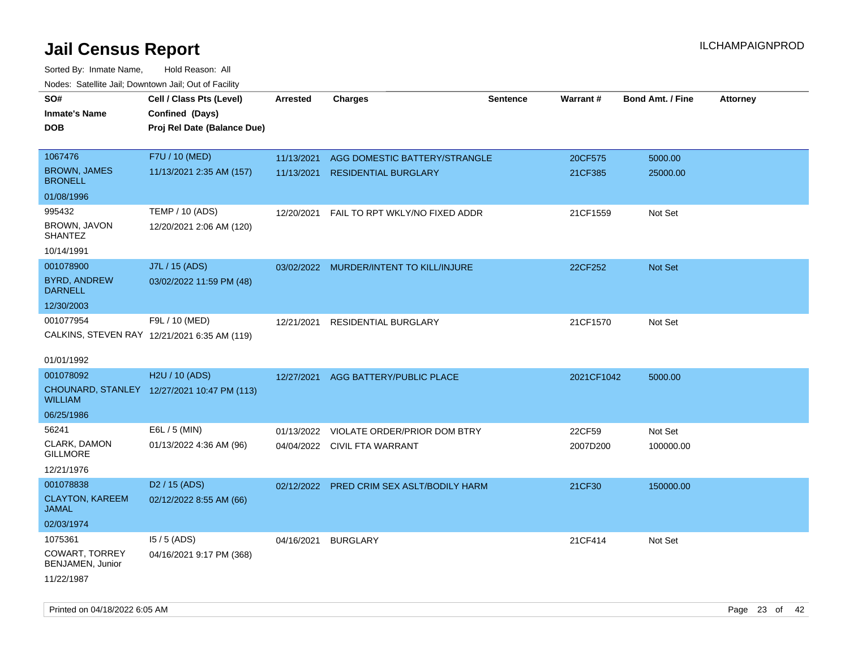| roaco. Oatomto dan, Downtown dan, Oat or Fability |                                              |                 |                                           |                 |            |                         |                 |
|---------------------------------------------------|----------------------------------------------|-----------------|-------------------------------------------|-----------------|------------|-------------------------|-----------------|
| SO#                                               | Cell / Class Pts (Level)                     | <b>Arrested</b> | <b>Charges</b>                            | <b>Sentence</b> | Warrant#   | <b>Bond Amt. / Fine</b> | <b>Attorney</b> |
| <b>Inmate's Name</b>                              | Confined (Days)                              |                 |                                           |                 |            |                         |                 |
| <b>DOB</b>                                        | Proj Rel Date (Balance Due)                  |                 |                                           |                 |            |                         |                 |
|                                                   |                                              |                 |                                           |                 |            |                         |                 |
| 1067476                                           | F7U / 10 (MED)                               | 11/13/2021      | AGG DOMESTIC BATTERY/STRANGLE             |                 | 20CF575    | 5000.00                 |                 |
| <b>BROWN, JAMES</b><br><b>BRONELL</b>             | 11/13/2021 2:35 AM (157)                     | 11/13/2021      | <b>RESIDENTIAL BURGLARY</b>               |                 | 21CF385    | 25000.00                |                 |
| 01/08/1996                                        |                                              |                 |                                           |                 |            |                         |                 |
| 995432                                            | <b>TEMP / 10 (ADS)</b>                       | 12/20/2021      | FAIL TO RPT WKLY/NO FIXED ADDR            |                 | 21CF1559   | Not Set                 |                 |
| BROWN, JAVON<br><b>SHANTEZ</b>                    | 12/20/2021 2:06 AM (120)                     |                 |                                           |                 |            |                         |                 |
| 10/14/1991                                        |                                              |                 |                                           |                 |            |                         |                 |
| 001078900                                         | J7L / 15 (ADS)                               |                 | 03/02/2022 MURDER/INTENT TO KILL/INJURE   |                 | 22CF252    | Not Set                 |                 |
| <b>BYRD, ANDREW</b><br><b>DARNELL</b>             | 03/02/2022 11:59 PM (48)                     |                 |                                           |                 |            |                         |                 |
| 12/30/2003                                        |                                              |                 |                                           |                 |            |                         |                 |
| 001077954                                         | F9L / 10 (MED)                               | 12/21/2021      | RESIDENTIAL BURGLARY                      |                 | 21CF1570   | Not Set                 |                 |
|                                                   | CALKINS, STEVEN RAY 12/21/2021 6:35 AM (119) |                 |                                           |                 |            |                         |                 |
|                                                   |                                              |                 |                                           |                 |            |                         |                 |
| 01/01/1992                                        |                                              |                 |                                           |                 |            |                         |                 |
| 001078092                                         | H2U / 10 (ADS)                               | 12/27/2021      | AGG BATTERY/PUBLIC PLACE                  |                 | 2021CF1042 | 5000.00                 |                 |
| <b>WILLIAM</b>                                    | CHOUNARD, STANLEY 12/27/2021 10:47 PM (113)  |                 |                                           |                 |            |                         |                 |
| 06/25/1986                                        |                                              |                 |                                           |                 |            |                         |                 |
| 56241                                             | E6L / 5 (MIN)                                | 01/13/2022      | VIOLATE ORDER/PRIOR DOM BTRY              |                 | 22CF59     | Not Set                 |                 |
| CLARK, DAMON<br><b>GILLMORE</b>                   | 01/13/2022 4:36 AM (96)                      |                 | 04/04/2022 CIVIL FTA WARRANT              |                 | 2007D200   | 100000.00               |                 |
| 12/21/1976                                        |                                              |                 |                                           |                 |            |                         |                 |
| 001078838                                         | D <sub>2</sub> / 15 (ADS)                    |                 | 02/12/2022 PRED CRIM SEX ASLT/BODILY HARM |                 | 21CF30     | 150000.00               |                 |
| <b>CLAYTON, KAREEM</b>                            | 02/12/2022 8:55 AM (66)                      |                 |                                           |                 |            |                         |                 |
| <b>JAMAL</b>                                      |                                              |                 |                                           |                 |            |                         |                 |
| 02/03/1974                                        |                                              |                 |                                           |                 |            |                         |                 |
| 1075361                                           | $15/5$ (ADS)                                 | 04/16/2021      | <b>BURGLARY</b>                           |                 | 21CF414    | Not Set                 |                 |
| COWART, TORREY<br>BENJAMEN, Junior                | 04/16/2021 9:17 PM (368)                     |                 |                                           |                 |            |                         |                 |
| 11/22/1987                                        |                                              |                 |                                           |                 |            |                         |                 |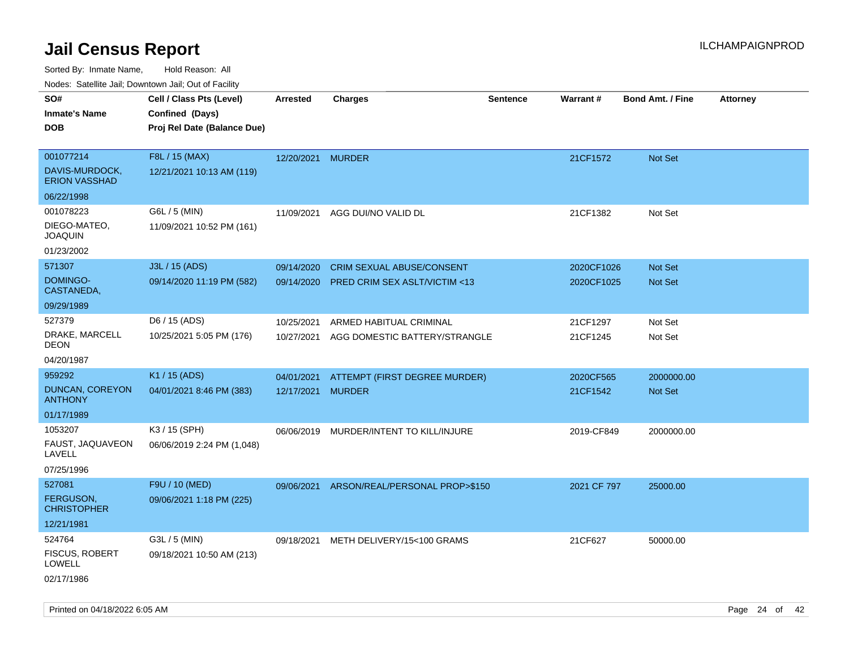| roaco. Odichile Jan, Downtown Jan, Out of Facility |                             |                   |                                         |                 |                 |                         |                 |
|----------------------------------------------------|-----------------------------|-------------------|-----------------------------------------|-----------------|-----------------|-------------------------|-----------------|
| SO#                                                | Cell / Class Pts (Level)    | <b>Arrested</b>   | <b>Charges</b>                          | <b>Sentence</b> | <b>Warrant#</b> | <b>Bond Amt. / Fine</b> | <b>Attorney</b> |
| <b>Inmate's Name</b>                               | Confined (Days)             |                   |                                         |                 |                 |                         |                 |
| <b>DOB</b>                                         | Proj Rel Date (Balance Due) |                   |                                         |                 |                 |                         |                 |
| 001077214                                          | F8L / 15 (MAX)              | 12/20/2021 MURDER |                                         |                 | 21CF1572        | Not Set                 |                 |
| DAVIS-MURDOCK,<br><b>ERION VASSHAD</b>             | 12/21/2021 10:13 AM (119)   |                   |                                         |                 |                 |                         |                 |
| 06/22/1998                                         |                             |                   |                                         |                 |                 |                         |                 |
| 001078223                                          | G6L / 5 (MIN)               | 11/09/2021        | AGG DUI/NO VALID DL                     |                 | 21CF1382        | Not Set                 |                 |
| DIEGO-MATEO,<br><b>JOAQUIN</b>                     | 11/09/2021 10:52 PM (161)   |                   |                                         |                 |                 |                         |                 |
| 01/23/2002                                         |                             |                   |                                         |                 |                 |                         |                 |
| 571307                                             | J3L / 15 (ADS)              | 09/14/2020        | CRIM SEXUAL ABUSE/CONSENT               |                 | 2020CF1026      | Not Set                 |                 |
| DOMINGO-<br>CASTANEDA,                             | 09/14/2020 11:19 PM (582)   | 09/14/2020        | <b>PRED CRIM SEX ASLT/VICTIM &lt;13</b> |                 | 2020CF1025      | Not Set                 |                 |
| 09/29/1989                                         |                             |                   |                                         |                 |                 |                         |                 |
| 527379                                             | D6 / 15 (ADS)               | 10/25/2021        | ARMED HABITUAL CRIMINAL                 |                 | 21CF1297        | Not Set                 |                 |
| DRAKE, MARCELL<br><b>DEON</b>                      | 10/25/2021 5:05 PM (176)    | 10/27/2021        | AGG DOMESTIC BATTERY/STRANGLE           |                 | 21CF1245        | Not Set                 |                 |
| 04/20/1987                                         |                             |                   |                                         |                 |                 |                         |                 |
| 959292                                             | K1 / 15 (ADS)               | 04/01/2021        | ATTEMPT (FIRST DEGREE MURDER)           |                 | 2020CF565       | 2000000.00              |                 |
| DUNCAN, COREYON<br><b>ANTHONY</b>                  | 04/01/2021 8:46 PM (383)    | 12/17/2021 MURDER |                                         |                 | 21CF1542        | <b>Not Set</b>          |                 |
| 01/17/1989                                         |                             |                   |                                         |                 |                 |                         |                 |
| 1053207                                            | K3 / 15 (SPH)               | 06/06/2019        | MURDER/INTENT TO KILL/INJURE            |                 | 2019-CF849      | 2000000.00              |                 |
| FAUST, JAQUAVEON<br>LAVELL                         | 06/06/2019 2:24 PM (1,048)  |                   |                                         |                 |                 |                         |                 |
| 07/25/1996                                         |                             |                   |                                         |                 |                 |                         |                 |
| 527081                                             | F9U / 10 (MED)              | 09/06/2021        | ARSON/REAL/PERSONAL PROP>\$150          |                 | 2021 CF 797     | 25000.00                |                 |
| <b>FERGUSON,</b><br><b>CHRISTOPHER</b>             | 09/06/2021 1:18 PM (225)    |                   |                                         |                 |                 |                         |                 |
| 12/21/1981                                         |                             |                   |                                         |                 |                 |                         |                 |
| 524764                                             | G3L / 5 (MIN)               | 09/18/2021        | METH DELIVERY/15<100 GRAMS              |                 | 21CF627         | 50000.00                |                 |
| FISCUS, ROBERT<br>LOWELL                           | 09/18/2021 10:50 AM (213)   |                   |                                         |                 |                 |                         |                 |
| 02/17/1986                                         |                             |                   |                                         |                 |                 |                         |                 |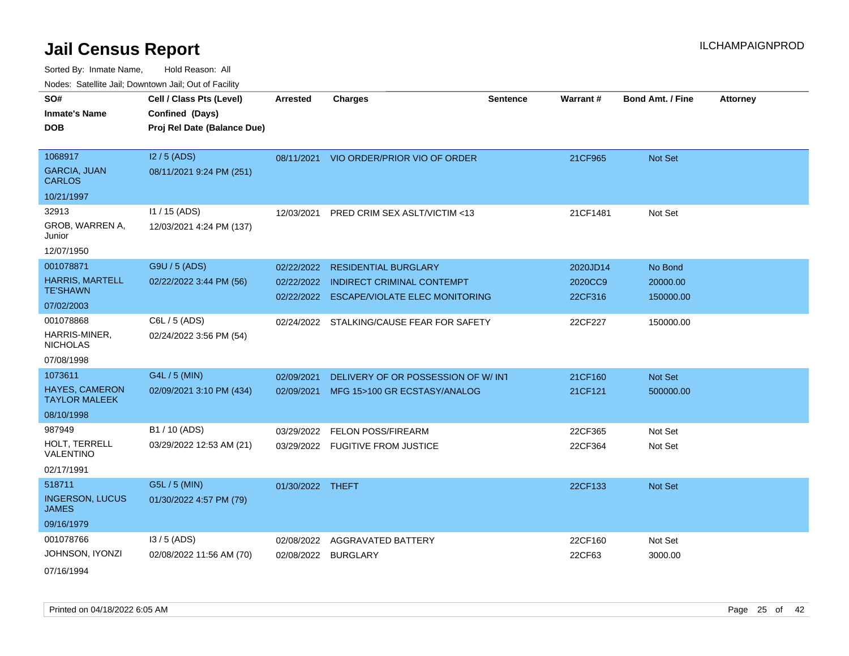Sorted By: Inmate Name, Hold Reason: All

| Nodes: Satellite Jail; Downtown Jail; Out of Facility |  |
|-------------------------------------------------------|--|
|-------------------------------------------------------|--|

| SO#<br><b>Inmate's Name</b><br><b>DOB</b>                              | Cell / Class Pts (Level)<br>Confined (Days)<br>Proj Rel Date (Balance Due) | <b>Arrested</b>          | <b>Charges</b>                                                                                                    | <b>Sentence</b> | <b>Warrant#</b>                | <b>Bond Amt. / Fine</b>          | <b>Attorney</b> |
|------------------------------------------------------------------------|----------------------------------------------------------------------------|--------------------------|-------------------------------------------------------------------------------------------------------------------|-----------------|--------------------------------|----------------------------------|-----------------|
| 1068917<br><b>GARCIA, JUAN</b><br><b>CARLOS</b><br>10/21/1997          | $12/5$ (ADS)<br>08/11/2021 9:24 PM (251)                                   |                          | 08/11/2021 VIO ORDER/PRIOR VIO OF ORDER                                                                           |                 | 21CF965                        | Not Set                          |                 |
| 32913<br>GROB, WARREN A,<br>Junior<br>12/07/1950                       | 11 / 15 (ADS)<br>12/03/2021 4:24 PM (137)                                  | 12/03/2021               | PRED CRIM SEX ASLT/VICTIM <13                                                                                     |                 | 21CF1481                       | Not Set                          |                 |
| 001078871<br><b>HARRIS, MARTELL</b><br><b>TE'SHAWN</b><br>07/02/2003   | G9U / 5 (ADS)<br>02/22/2022 3:44 PM (56)                                   | 02/22/2022               | <b>RESIDENTIAL BURGLARY</b><br>02/22/2022 INDIRECT CRIMINAL CONTEMPT<br>02/22/2022 ESCAPE/VIOLATE ELEC MONITORING |                 | 2020JD14<br>2020CC9<br>22CF316 | No Bond<br>20000.00<br>150000.00 |                 |
| 001078868<br>HARRIS-MINER,<br><b>NICHOLAS</b><br>07/08/1998            | C6L / 5 (ADS)<br>02/24/2022 3:56 PM (54)                                   |                          | 02/24/2022 STALKING/CAUSE FEAR FOR SAFETY                                                                         |                 | 22CF227                        | 150000.00                        |                 |
| 1073611<br><b>HAYES, CAMERON</b><br><b>TAYLOR MALEEK</b><br>08/10/1998 | G4L / 5 (MIN)<br>02/09/2021 3:10 PM (434)                                  | 02/09/2021<br>02/09/2021 | DELIVERY OF OR POSSESSION OF W/INT<br>MFG 15>100 GR ECSTASY/ANALOG                                                |                 | 21CF160<br>21CF121             | Not Set<br>500000.00             |                 |
| 987949<br>HOLT, TERRELL<br>VALENTINO<br>02/17/1991                     | B1 / 10 (ADS)<br>03/29/2022 12:53 AM (21)                                  | 03/29/2022               | <b>FELON POSS/FIREARM</b><br>03/29/2022 FUGITIVE FROM JUSTICE                                                     |                 | 22CF365<br>22CF364             | Not Set<br>Not Set               |                 |
| 518711<br><b>INGERSON, LUCUS</b><br><b>JAMES</b><br>09/16/1979         | G5L / 5 (MIN)<br>01/30/2022 4:57 PM (79)                                   | 01/30/2022 THEFT         |                                                                                                                   |                 | 22CF133                        | Not Set                          |                 |
| 001078766<br>JOHNSON, IYONZI<br>07/16/1994                             | $13/5$ (ADS)<br>02/08/2022 11:56 AM (70)                                   | 02/08/2022               | AGGRAVATED BATTERY<br>02/08/2022 BURGLARY                                                                         |                 | 22CF160<br>22CF63              | Not Set<br>3000.00               |                 |

Printed on 04/18/2022 6:05 AM Page 25 of 42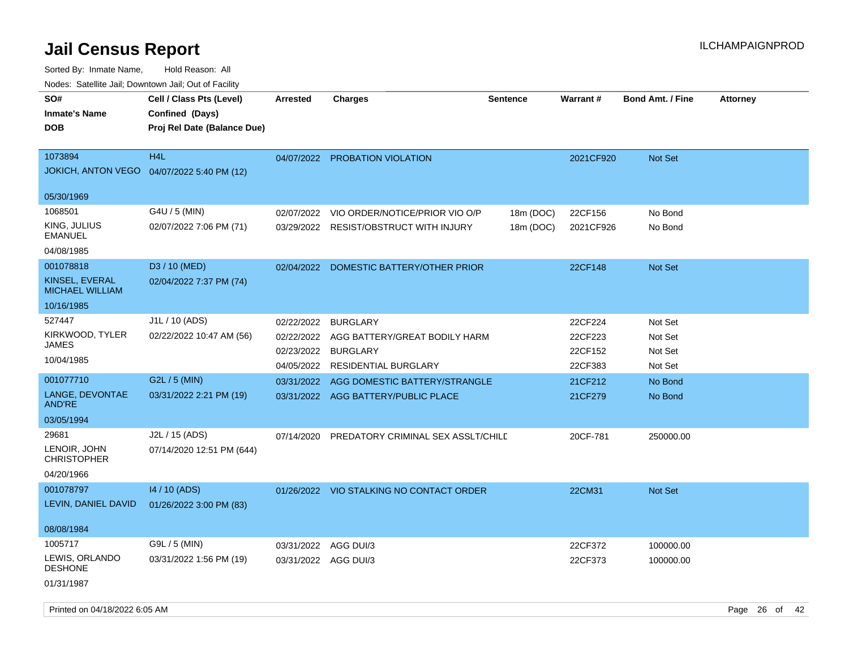| roaco. Oatomto dan, Downtown dan, Oat or Fability |                                                                            |                      |                                          |                 |                 |                         |                 |
|---------------------------------------------------|----------------------------------------------------------------------------|----------------------|------------------------------------------|-----------------|-----------------|-------------------------|-----------------|
| SO#<br>Inmate's Name<br>DOB                       | Cell / Class Pts (Level)<br>Confined (Days)<br>Proj Rel Date (Balance Due) | <b>Arrested</b>      | <b>Charges</b>                           | <b>Sentence</b> | <b>Warrant#</b> | <b>Bond Amt. / Fine</b> | <b>Attorney</b> |
| 1073894                                           | H4L                                                                        |                      | <b>PROBATION VIOLATION</b>               |                 | 2021CF920       | Not Set                 |                 |
| JOKICH, ANTON VEGO  04/07/2022 5:40 PM (12)       |                                                                            | 04/07/2022           |                                          |                 |                 |                         |                 |
| 05/30/1969                                        |                                                                            |                      |                                          |                 |                 |                         |                 |
| 1068501                                           | G4U / 5 (MIN)                                                              | 02/07/2022           | VIO ORDER/NOTICE/PRIOR VIO O/P           | 18m (DOC)       | 22CF156         | No Bond                 |                 |
| KING, JULIUS<br>EMANUEL                           | 02/07/2022 7:06 PM (71)                                                    | 03/29/2022           | <b>RESIST/OBSTRUCT WITH INJURY</b>       | 18m (DOC)       | 2021CF926       | No Bond                 |                 |
| 04/08/1985                                        |                                                                            |                      |                                          |                 |                 |                         |                 |
| 001078818                                         | D <sub>3</sub> / 10 (MED)                                                  | 02/04/2022           | DOMESTIC BATTERY/OTHER PRIOR             |                 | 22CF148         | Not Set                 |                 |
| KINSEL, EVERAL<br><b>MICHAEL WILLIAM</b>          | 02/04/2022 7:37 PM (74)                                                    |                      |                                          |                 |                 |                         |                 |
| 10/16/1985                                        |                                                                            |                      |                                          |                 |                 |                         |                 |
| 527447                                            | J1L / 10 (ADS)                                                             | 02/22/2022           | <b>BURGLARY</b>                          |                 | 22CF224         | Not Set                 |                 |
| KIRKWOOD, TYLER                                   | 02/22/2022 10:47 AM (56)                                                   | 02/22/2022           | AGG BATTERY/GREAT BODILY HARM            |                 | 22CF223         | Not Set                 |                 |
| JAMES                                             |                                                                            | 02/23/2022           | <b>BURGLARY</b>                          |                 | 22CF152         | Not Set                 |                 |
| 10/04/1985                                        |                                                                            | 04/05/2022           | <b>RESIDENTIAL BURGLARY</b>              |                 | 22CF383         | Not Set                 |                 |
| 001077710                                         | G2L / 5 (MIN)                                                              | 03/31/2022           | AGG DOMESTIC BATTERY/STRANGLE            |                 | 21CF212         | No Bond                 |                 |
| LANGE, DEVONTAE<br><b>AND'RE</b>                  | 03/31/2022 2:21 PM (19)                                                    |                      | 03/31/2022 AGG BATTERY/PUBLIC PLACE      |                 | 21CF279         | No Bond                 |                 |
| 03/05/1994                                        |                                                                            |                      |                                          |                 |                 |                         |                 |
| 29681<br>LENOIR, JOHN<br><b>CHRISTOPHER</b>       | J2L / 15 (ADS)<br>07/14/2020 12:51 PM (644)                                | 07/14/2020           | PREDATORY CRIMINAL SEX ASSLT/CHILD       |                 | 20CF-781        | 250000.00               |                 |
| 04/20/1966                                        |                                                                            |                      |                                          |                 |                 |                         |                 |
| 001078797                                         | 14 / 10 (ADS)                                                              |                      | 01/26/2022 VIO STALKING NO CONTACT ORDER |                 | 22CM31          | Not Set                 |                 |
| LEVIN, DANIEL DAVID                               | 01/26/2022 3:00 PM (83)                                                    |                      |                                          |                 |                 |                         |                 |
| 08/08/1984                                        |                                                                            |                      |                                          |                 |                 |                         |                 |
| 1005717                                           | G9L / 5 (MIN)                                                              | 03/31/2022           | AGG DUI/3                                |                 | 22CF372         | 100000.00               |                 |
| LEWIS, ORLANDO<br><b>DESHONE</b>                  | 03/31/2022 1:56 PM (19)                                                    | 03/31/2022 AGG DUI/3 |                                          |                 | 22CF373         | 100000.00               |                 |
| 01/31/1987                                        |                                                                            |                      |                                          |                 |                 |                         |                 |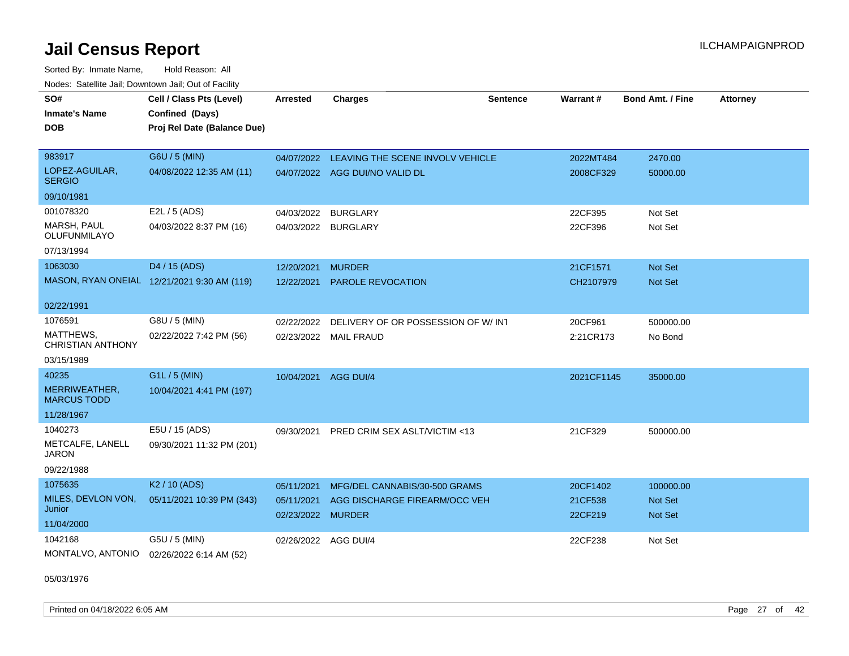Sorted By: Inmate Name, Hold Reason: All Nodes: Satellite Jail; Downtown Jail; Out of Facility

| SO#                                   | Cell / Class Pts (Level)                    | <b>Arrested</b>                 | <b>Charges</b>                     | <b>Sentence</b> | Warrant#           | <b>Bond Amt. / Fine</b>   | <b>Attorney</b> |
|---------------------------------------|---------------------------------------------|---------------------------------|------------------------------------|-----------------|--------------------|---------------------------|-----------------|
| <b>Inmate's Name</b>                  | Confined (Days)                             |                                 |                                    |                 |                    |                           |                 |
| <b>DOB</b>                            | Proj Rel Date (Balance Due)                 |                                 |                                    |                 |                    |                           |                 |
|                                       |                                             |                                 |                                    |                 |                    |                           |                 |
| 983917                                | G6U / 5 (MIN)                               | 04/07/2022                      | LEAVING THE SCENE INVOLV VEHICLE   |                 | 2022MT484          | 2470.00                   |                 |
| LOPEZ-AGUILAR,<br><b>SERGIO</b>       | 04/08/2022 12:35 AM (11)                    |                                 | 04/07/2022 AGG DUI/NO VALID DL     |                 | 2008CF329          | 50000.00                  |                 |
| 09/10/1981                            |                                             |                                 |                                    |                 |                    |                           |                 |
| 001078320                             | E2L / 5 (ADS)                               | 04/03/2022                      | <b>BURGLARY</b>                    |                 | 22CF395            | Not Set                   |                 |
| MARSH, PAUL<br>OLUFUNMILAYO           | 04/03/2022 8:37 PM (16)                     | 04/03/2022 BURGLARY             |                                    |                 | 22CF396            | Not Set                   |                 |
| 07/13/1994                            |                                             |                                 |                                    |                 |                    |                           |                 |
| 1063030                               | D4 / 15 (ADS)                               | 12/20/2021                      | <b>MURDER</b>                      |                 | 21CF1571           | Not Set                   |                 |
|                                       | MASON, RYAN ONEIAL 12/21/2021 9:30 AM (119) | 12/22/2021                      | <b>PAROLE REVOCATION</b>           |                 | CH2107979          | Not Set                   |                 |
| 02/22/1991                            |                                             |                                 |                                    |                 |                    |                           |                 |
| 1076591                               | G8U / 5 (MIN)                               | 02/22/2022                      | DELIVERY OF OR POSSESSION OF W/INT |                 | 20CF961            | 500000.00                 |                 |
| MATTHEWS,<br><b>CHRISTIAN ANTHONY</b> | 02/22/2022 7:42 PM (56)                     |                                 | 02/23/2022 MAIL FRAUD              |                 | 2:21CR173          | No Bond                   |                 |
| 03/15/1989                            |                                             |                                 |                                    |                 |                    |                           |                 |
| 40235                                 | G1L / 5 (MIN)                               | 10/04/2021                      | AGG DUI/4                          |                 | 2021CF1145         | 35000.00                  |                 |
| MERRIWEATHER,<br><b>MARCUS TODD</b>   | 10/04/2021 4:41 PM (197)                    |                                 |                                    |                 |                    |                           |                 |
| 11/28/1967                            |                                             |                                 |                                    |                 |                    |                           |                 |
| 1040273                               | E5U / 15 (ADS)                              | 09/30/2021                      | PRED CRIM SEX ASLT/VICTIM <13      |                 | 21CF329            | 500000.00                 |                 |
| METCALFE, LANELL<br>JARON             | 09/30/2021 11:32 PM (201)                   |                                 |                                    |                 |                    |                           |                 |
| 09/22/1988                            |                                             |                                 |                                    |                 |                    |                           |                 |
| 1075635                               | K <sub>2</sub> / 10 (ADS)                   | 05/11/2021                      | MFG/DEL CANNABIS/30-500 GRAMS      |                 | 20CF1402           | 100000.00                 |                 |
| MILES, DEVLON VON,<br>Junior          | 05/11/2021 10:39 PM (343)                   | 05/11/2021<br>02/23/2022 MURDER | AGG DISCHARGE FIREARM/OCC VEH      |                 | 21CF538<br>22CF219 | <b>Not Set</b><br>Not Set |                 |
| 11/04/2000                            |                                             |                                 |                                    |                 |                    |                           |                 |
| 1042168                               | G5U / 5 (MIN)                               | 02/26/2022 AGG DUI/4            |                                    |                 | 22CF238            | Not Set                   |                 |
| MONTALVO, ANTONIO                     | 02/26/2022 6:14 AM (52)                     |                                 |                                    |                 |                    |                           |                 |

05/03/1976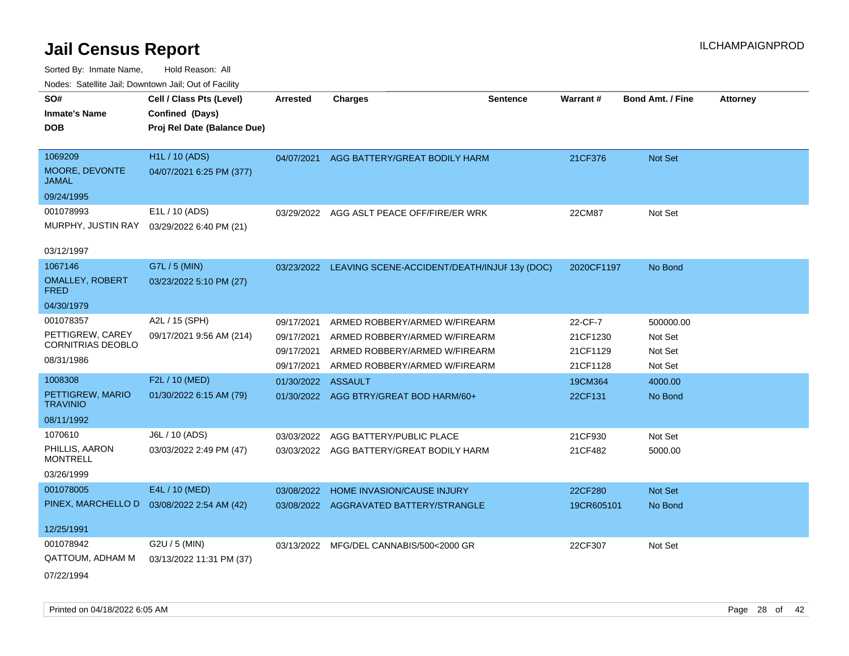| SO#<br>Cell / Class Pts (Level)<br><b>Charges</b><br><b>Warrant#</b><br><b>Sentence</b><br><b>Arrested</b>          | <b>Bond Amt. / Fine</b><br><b>Attorney</b> |
|---------------------------------------------------------------------------------------------------------------------|--------------------------------------------|
| Confined (Days)<br><b>Inmate's Name</b>                                                                             |                                            |
| Proj Rel Date (Balance Due)<br>DOB                                                                                  |                                            |
|                                                                                                                     |                                            |
| <b>H1L / 10 (ADS)</b><br>1069209<br>AGG BATTERY/GREAT BODILY HARM<br>21CF376<br>04/07/2021                          | Not Set                                    |
| MOORE, DEVONTE<br>04/07/2021 6:25 PM (377)<br><b>JAMAL</b>                                                          |                                            |
| 09/24/1995                                                                                                          |                                            |
| 001078993<br>E1L / 10 (ADS)<br>AGG ASLT PEACE OFF/FIRE/ER WRK<br>22CM87<br>03/29/2022                               | Not Set                                    |
| MURPHY, JUSTIN RAY<br>03/29/2022 6:40 PM (21)                                                                       |                                            |
| 03/12/1997                                                                                                          |                                            |
| 1067146<br>G7L / 5 (MIN)<br>2020CF1197<br>03/23/2022 LEAVING SCENE-ACCIDENT/DEATH/INJUF 13y (DOC)                   | No Bond                                    |
| <b>OMALLEY, ROBERT</b><br>03/23/2022 5:10 PM (27)<br><b>FRED</b>                                                    |                                            |
| 04/30/1979                                                                                                          |                                            |
| 001078357<br>A2L / 15 (SPH)<br>22-CF-7<br>09/17/2021<br>ARMED ROBBERY/ARMED W/FIREARM                               | 500000.00                                  |
| PETTIGREW, CAREY<br>09/17/2021 9:56 AM (214)<br>ARMED ROBBERY/ARMED W/FIREARM<br>21CF1230<br>09/17/2021             | Not Set                                    |
| <b>CORNITRIAS DEOBLO</b><br>ARMED ROBBERY/ARMED W/FIREARM<br>09/17/2021<br>21CF1129                                 | Not Set                                    |
| 08/31/1986<br>ARMED ROBBERY/ARMED W/FIREARM<br>21CF1128<br>09/17/2021                                               | Not Set                                    |
| F2L / 10 (MED)<br>1008308<br>01/30/2022<br><b>ASSAULT</b><br>19CM364                                                | 4000.00                                    |
| PETTIGREW, MARIO<br>01/30/2022 6:15 AM (79)<br>01/30/2022 AGG BTRY/GREAT BOD HARM/60+<br>22CF131<br><b>TRAVINIO</b> | No Bond                                    |
| 08/11/1992                                                                                                          |                                            |
| 1070610<br>J6L / 10 (ADS)<br>03/03/2022<br>AGG BATTERY/PUBLIC PLACE<br>21CF930                                      | Not Set                                    |
| PHILLIS, AARON<br>03/03/2022 2:49 PM (47)<br>03/03/2022 AGG BATTERY/GREAT BODILY HARM<br>21CF482<br><b>MONTRELL</b> | 5000.00                                    |
| 03/26/1999                                                                                                          |                                            |
| 001078005<br>E4L / 10 (MED)<br>03/08/2022<br>HOME INVASION/CAUSE INJURY<br>22CF280                                  | Not Set                                    |
| PINEX, MARCHELLO D<br>03/08/2022 2:54 AM (42)<br>03/08/2022<br>AGGRAVATED BATTERY/STRANGLE<br>19CR605101            | No Bond                                    |
| 12/25/1991                                                                                                          |                                            |
| 001078942<br>G2U / 5 (MIN)<br>03/13/2022 MFG/DEL CANNABIS/500<2000 GR<br>22CF307                                    | Not Set                                    |
| QATTOUM, ADHAM M<br>03/13/2022 11:31 PM (37)                                                                        |                                            |
| 07/22/1994                                                                                                          |                                            |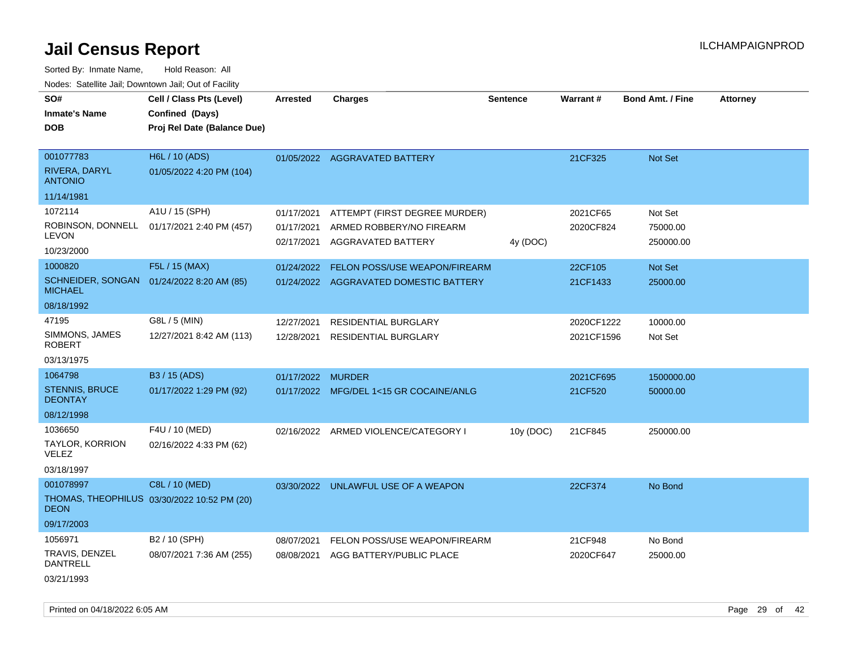Sorted By: Inmate Name, Hold Reason: All Nodes: Satellite Jail; Downtown Jail; Out of Facility

| rouce. Calcinic Jan, Downtown Jan, Out or Facility |                                             |                          |                                                |                 |            |                         |                 |
|----------------------------------------------------|---------------------------------------------|--------------------------|------------------------------------------------|-----------------|------------|-------------------------|-----------------|
| SO#                                                | Cell / Class Pts (Level)                    | <b>Arrested</b>          | <b>Charges</b>                                 | <b>Sentence</b> | Warrant#   | <b>Bond Amt. / Fine</b> | <b>Attorney</b> |
| <b>Inmate's Name</b>                               | Confined (Days)                             |                          |                                                |                 |            |                         |                 |
| <b>DOB</b>                                         | Proj Rel Date (Balance Due)                 |                          |                                                |                 |            |                         |                 |
|                                                    |                                             |                          |                                                |                 |            |                         |                 |
| 001077783                                          | H6L / 10 (ADS)                              |                          | 01/05/2022 AGGRAVATED BATTERY                  |                 | 21CF325    | Not Set                 |                 |
| <b>RIVERA, DARYL</b><br><b>ANTONIO</b>             | 01/05/2022 4:20 PM (104)                    |                          |                                                |                 |            |                         |                 |
| 11/14/1981                                         |                                             |                          |                                                |                 |            |                         |                 |
| 1072114                                            | A1U / 15 (SPH)                              | 01/17/2021               | ATTEMPT (FIRST DEGREE MURDER)                  |                 | 2021CF65   | Not Set                 |                 |
| ROBINSON, DONNELL<br><b>LEVON</b>                  | 01/17/2021 2:40 PM (457)                    | 01/17/2021<br>02/17/2021 | ARMED ROBBERY/NO FIREARM<br>AGGRAVATED BATTERY | 4y (DOC)        | 2020CF824  | 75000.00<br>250000.00   |                 |
| 10/23/2000                                         |                                             |                          |                                                |                 |            |                         |                 |
| 1000820                                            | F5L / 15 (MAX)                              | 01/24/2022               | FELON POSS/USE WEAPON/FIREARM                  |                 | 22CF105    | Not Set                 |                 |
| <b>MICHAEL</b>                                     | SCHNEIDER, SONGAN 01/24/2022 8:20 AM (85)   |                          | 01/24/2022 AGGRAVATED DOMESTIC BATTERY         |                 | 21CF1433   | 25000.00                |                 |
| 08/18/1992                                         |                                             |                          |                                                |                 |            |                         |                 |
| 47195                                              | G8L / 5 (MIN)                               | 12/27/2021               | <b>RESIDENTIAL BURGLARY</b>                    |                 | 2020CF1222 | 10000.00                |                 |
| SIMMONS, JAMES<br><b>ROBERT</b>                    | 12/27/2021 8:42 AM (113)                    | 12/28/2021               | <b>RESIDENTIAL BURGLARY</b>                    |                 | 2021CF1596 | Not Set                 |                 |
| 03/13/1975                                         |                                             |                          |                                                |                 |            |                         |                 |
| 1064798                                            | B3 / 15 (ADS)                               | 01/17/2022               | <b>MURDER</b>                                  |                 | 2021CF695  | 1500000.00              |                 |
| <b>STENNIS, BRUCE</b><br><b>DEONTAY</b>            | 01/17/2022 1:29 PM (92)                     |                          | 01/17/2022 MFG/DEL 1<15 GR COCAINE/ANLG        |                 | 21CF520    | 50000.00                |                 |
| 08/12/1998                                         |                                             |                          |                                                |                 |            |                         |                 |
| 1036650                                            | F4U / 10 (MED)                              |                          | 02/16/2022 ARMED VIOLENCE/CATEGORY I           | 10y (DOC)       | 21CF845    | 250000.00               |                 |
| TAYLOR, KORRION<br><b>VELEZ</b>                    | 02/16/2022 4:33 PM (62)                     |                          |                                                |                 |            |                         |                 |
| 03/18/1997                                         |                                             |                          |                                                |                 |            |                         |                 |
| 001078997                                          | C8L / 10 (MED)                              |                          | 03/30/2022 UNLAWFUL USE OF A WEAPON            |                 | 22CF374    | No Bond                 |                 |
| <b>DEON</b>                                        | THOMAS, THEOPHILUS 03/30/2022 10:52 PM (20) |                          |                                                |                 |            |                         |                 |
| 09/17/2003                                         |                                             |                          |                                                |                 |            |                         |                 |
| 1056971                                            | B2 / 10 (SPH)                               | 08/07/2021               | FELON POSS/USE WEAPON/FIREARM                  |                 | 21CF948    | No Bond                 |                 |
| <b>TRAVIS, DENZEL</b><br><b>DANTRELL</b>           | 08/07/2021 7:36 AM (255)                    | 08/08/2021               | AGG BATTERY/PUBLIC PLACE                       |                 | 2020CF647  | 25000.00                |                 |
| 03/21/1993                                         |                                             |                          |                                                |                 |            |                         |                 |

Printed on 04/18/2022 6:05 AM Page 29 of 42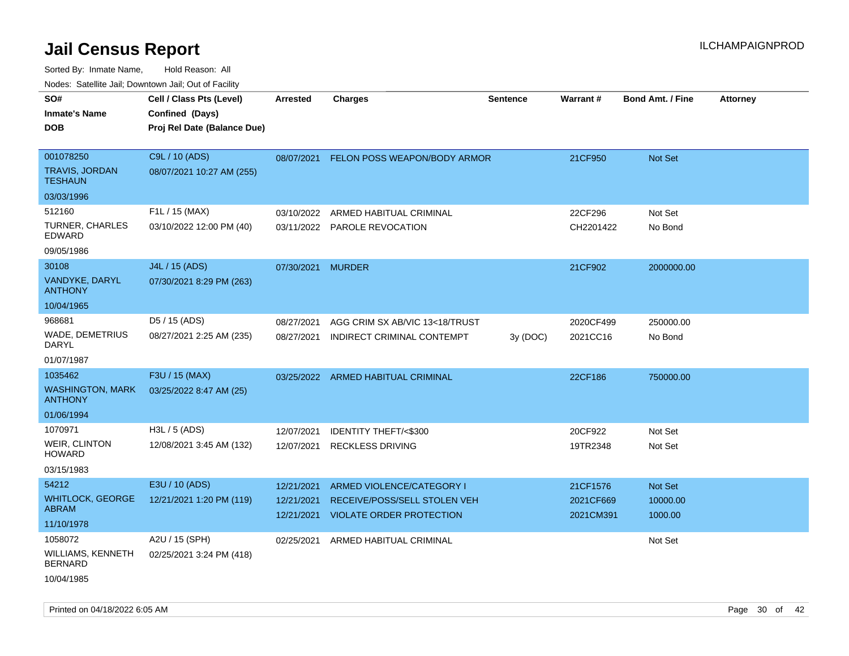| ivouss. Satellite Jali, Downtown Jali, Out of Facility |                                                                            |                          |                                                                 |                 |                        |                         |                 |
|--------------------------------------------------------|----------------------------------------------------------------------------|--------------------------|-----------------------------------------------------------------|-----------------|------------------------|-------------------------|-----------------|
| SO#<br>Inmate's Name<br><b>DOB</b>                     | Cell / Class Pts (Level)<br>Confined (Days)<br>Proj Rel Date (Balance Due) | <b>Arrested</b>          | <b>Charges</b>                                                  | <b>Sentence</b> | Warrant#               | <b>Bond Amt. / Fine</b> | <b>Attorney</b> |
| 001078250<br>TRAVIS, JORDAN                            | C9L / 10 (ADS)                                                             | 08/07/2021               | FELON POSS WEAPON/BODY ARMOR                                    |                 | 21CF950                | <b>Not Set</b>          |                 |
| <b>TESHAUN</b>                                         | 08/07/2021 10:27 AM (255)                                                  |                          |                                                                 |                 |                        |                         |                 |
| 03/03/1996                                             |                                                                            |                          |                                                                 |                 |                        |                         |                 |
| 512160                                                 | F1L / 15 (MAX)                                                             | 03/10/2022               | ARMED HABITUAL CRIMINAL                                         |                 | 22CF296                | Not Set                 |                 |
| TURNER, CHARLES<br>EDWARD                              | 03/10/2022 12:00 PM (40)                                                   |                          | 03/11/2022 PAROLE REVOCATION                                    |                 | CH2201422              | No Bond                 |                 |
| 09/05/1986                                             |                                                                            |                          |                                                                 |                 |                        |                         |                 |
| 30108                                                  | J4L / 15 (ADS)                                                             | 07/30/2021 MURDER        |                                                                 |                 | 21CF902                | 2000000.00              |                 |
| VANDYKE, DARYL<br><b>ANTHONY</b>                       | 07/30/2021 8:29 PM (263)                                                   |                          |                                                                 |                 |                        |                         |                 |
| 10/04/1965                                             |                                                                            |                          |                                                                 |                 |                        |                         |                 |
| 968681                                                 | D5 / 15 (ADS)                                                              | 08/27/2021               | AGG CRIM SX AB/VIC 13<18/TRUST                                  |                 | 2020CF499              | 250000.00               |                 |
| WADE, DEMETRIUS<br>DARYL                               | 08/27/2021 2:25 AM (235)                                                   | 08/27/2021               | INDIRECT CRIMINAL CONTEMPT                                      | 3y(DOC)         | 2021CC16               | No Bond                 |                 |
| 01/07/1987                                             |                                                                            |                          |                                                                 |                 |                        |                         |                 |
| 1035462                                                | F3U / 15 (MAX)                                                             |                          | 03/25/2022 ARMED HABITUAL CRIMINAL                              |                 | 22CF186                | 750000.00               |                 |
| WASHINGTON, MARK<br>ANTHONY                            | 03/25/2022 8:47 AM (25)                                                    |                          |                                                                 |                 |                        |                         |                 |
| 01/06/1994                                             |                                                                            |                          |                                                                 |                 |                        |                         |                 |
| 1070971                                                | H3L / 5 (ADS)                                                              | 12/07/2021               | <b>IDENTITY THEFT/&lt;\$300</b>                                 |                 | 20CF922                | Not Set                 |                 |
| WEIR, CLINTON<br>HOWARD                                | 12/08/2021 3:45 AM (132)                                                   | 12/07/2021               | <b>RECKLESS DRIVING</b>                                         |                 | 19TR2348               | Not Set                 |                 |
| 03/15/1983                                             |                                                                            |                          |                                                                 |                 |                        |                         |                 |
| 54212                                                  | E3U / 10 (ADS)                                                             | 12/21/2021               | ARMED VIOLENCE/CATEGORY I                                       |                 | 21CF1576               | <b>Not Set</b>          |                 |
| <b>WHITLOCK, GEORGE</b><br>ABRAM                       | 12/21/2021 1:20 PM (119)                                                   | 12/21/2021<br>12/21/2021 | RECEIVE/POSS/SELL STOLEN VEH<br><b>VIOLATE ORDER PROTECTION</b> |                 | 2021CF669<br>2021CM391 | 10000.00<br>1000.00     |                 |
| 11/10/1978                                             |                                                                            |                          |                                                                 |                 |                        |                         |                 |
| 1058072                                                | A2U / 15 (SPH)                                                             | 02/25/2021               | ARMED HABITUAL CRIMINAL                                         |                 |                        | Not Set                 |                 |
| WILLIAMS, KENNETH<br>BERNARD                           | 02/25/2021 3:24 PM (418)                                                   |                          |                                                                 |                 |                        |                         |                 |
| 10/04/1985                                             |                                                                            |                          |                                                                 |                 |                        |                         |                 |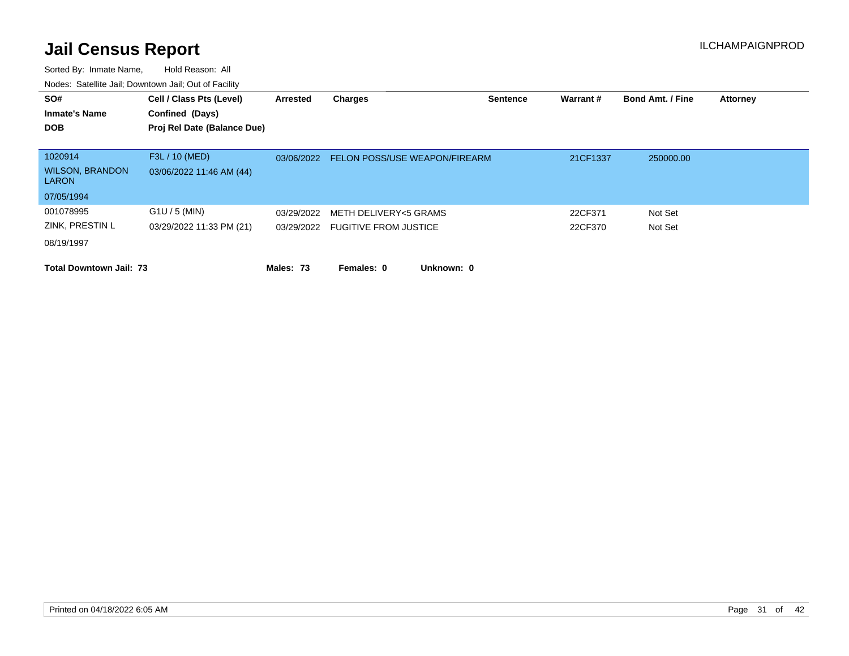| SO#                                    | Cell / Class Pts (Level)    | Arrested   | <b>Charges</b>                       | <b>Sentence</b> | Warrant# | <b>Bond Amt. / Fine</b> | <b>Attorney</b> |
|----------------------------------------|-----------------------------|------------|--------------------------------------|-----------------|----------|-------------------------|-----------------|
| <b>Inmate's Name</b>                   | Confined (Days)             |            |                                      |                 |          |                         |                 |
| <b>DOB</b>                             | Proj Rel Date (Balance Due) |            |                                      |                 |          |                         |                 |
|                                        |                             |            |                                      |                 |          |                         |                 |
| 1020914                                | F3L / 10 (MED)              | 03/06/2022 | <b>FELON POSS/USE WEAPON/FIREARM</b> |                 | 21CF1337 | 250000.00               |                 |
| <b>WILSON, BRANDON</b><br><b>LARON</b> | 03/06/2022 11:46 AM (44)    |            |                                      |                 |          |                         |                 |
| 07/05/1994                             |                             |            |                                      |                 |          |                         |                 |
| 001078995                              | $G1U / 5$ (MIN)             | 03/29/2022 | METH DELIVERY<5 GRAMS                |                 | 22CF371  | Not Set                 |                 |
| ZINK, PRESTIN L                        | 03/29/2022 11:33 PM (21)    |            | 03/29/2022 FUGITIVE FROM JUSTICE     |                 | 22CF370  | Not Set                 |                 |
| 08/19/1997                             |                             |            |                                      |                 |          |                         |                 |
| <b>Total Downtown Jail: 73</b>         |                             | Males: 73  | Females: 0<br>Unknown: 0             |                 |          |                         |                 |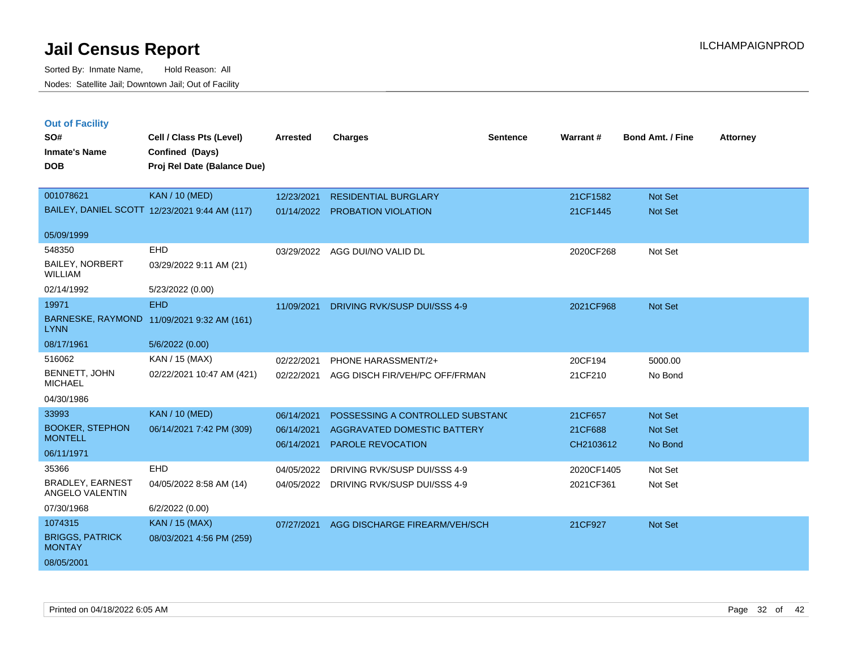|  | <b>Out of Facility</b> |  |
|--|------------------------|--|
|  |                        |  |

| SO#                                      | Cell / Class Pts (Level)                       | <b>Arrested</b> | <b>Charges</b>                   | Sentence | Warrant#   | <b>Bond Amt. / Fine</b> | <b>Attorney</b> |
|------------------------------------------|------------------------------------------------|-----------------|----------------------------------|----------|------------|-------------------------|-----------------|
| <b>Inmate's Name</b><br><b>DOB</b>       | Confined (Days)<br>Proj Rel Date (Balance Due) |                 |                                  |          |            |                         |                 |
|                                          |                                                |                 |                                  |          |            |                         |                 |
| 001078621                                | <b>KAN / 10 (MED)</b>                          | 12/23/2021      | <b>RESIDENTIAL BURGLARY</b>      |          | 21CF1582   | Not Set                 |                 |
|                                          | BAILEY, DANIEL SCOTT 12/23/2021 9:44 AM (117)  |                 | 01/14/2022 PROBATION VIOLATION   |          | 21CF1445   | Not Set                 |                 |
| 05/09/1999                               |                                                |                 |                                  |          |            |                         |                 |
| 548350                                   | EHD                                            | 03/29/2022      | AGG DUI/NO VALID DL              |          | 2020CF268  | Not Set                 |                 |
| <b>BAILEY, NORBERT</b><br><b>WILLIAM</b> | 03/29/2022 9:11 AM (21)                        |                 |                                  |          |            |                         |                 |
| 02/14/1992                               | 5/23/2022 (0.00)                               |                 |                                  |          |            |                         |                 |
| 19971                                    | <b>EHD</b>                                     | 11/09/2021      | DRIVING RVK/SUSP DUI/SSS 4-9     |          | 2021CF968  | Not Set                 |                 |
| <b>LYNN</b>                              | BARNESKE, RAYMOND 11/09/2021 9:32 AM (161)     |                 |                                  |          |            |                         |                 |
| 08/17/1961                               | 5/6/2022 (0.00)                                |                 |                                  |          |            |                         |                 |
| 516062                                   | KAN / 15 (MAX)                                 | 02/22/2021      | PHONE HARASSMENT/2+              |          | 20CF194    | 5000.00                 |                 |
| BENNETT, JOHN<br><b>MICHAEL</b>          | 02/22/2021 10:47 AM (421)                      | 02/22/2021      | AGG DISCH FIR/VEH/PC OFF/FRMAN   |          | 21CF210    | No Bond                 |                 |
| 04/30/1986                               |                                                |                 |                                  |          |            |                         |                 |
| 33993                                    | <b>KAN / 10 (MED)</b>                          | 06/14/2021      | POSSESSING A CONTROLLED SUBSTANC |          | 21CF657    | Not Set                 |                 |
| <b>BOOKER, STEPHON</b><br><b>MONTELL</b> | 06/14/2021 7:42 PM (309)                       | 06/14/2021      | AGGRAVATED DOMESTIC BATTERY      |          | 21CF688    | Not Set                 |                 |
| 06/11/1971                               |                                                | 06/14/2021      | PAROLE REVOCATION                |          | CH2103612  | No Bond                 |                 |
| 35366                                    | EHD                                            | 04/05/2022      | DRIVING RVK/SUSP DUI/SSS 4-9     |          | 2020CF1405 | Not Set                 |                 |
| <b>BRADLEY, EARNEST</b>                  | 04/05/2022 8:58 AM (14)                        | 04/05/2022      | DRIVING RVK/SUSP DUI/SSS 4-9     |          | 2021CF361  | Not Set                 |                 |
| ANGELO VALENTIN                          |                                                |                 |                                  |          |            |                         |                 |
| 07/30/1968                               | 6/2/2022 (0.00)                                |                 |                                  |          |            |                         |                 |
| 1074315                                  | <b>KAN / 15 (MAX)</b>                          | 07/27/2021      | AGG DISCHARGE FIREARM/VEH/SCH    |          | 21CF927    | Not Set                 |                 |
| <b>BRIGGS, PATRICK</b><br><b>MONTAY</b>  | 08/03/2021 4:56 PM (259)                       |                 |                                  |          |            |                         |                 |
| 08/05/2001                               |                                                |                 |                                  |          |            |                         |                 |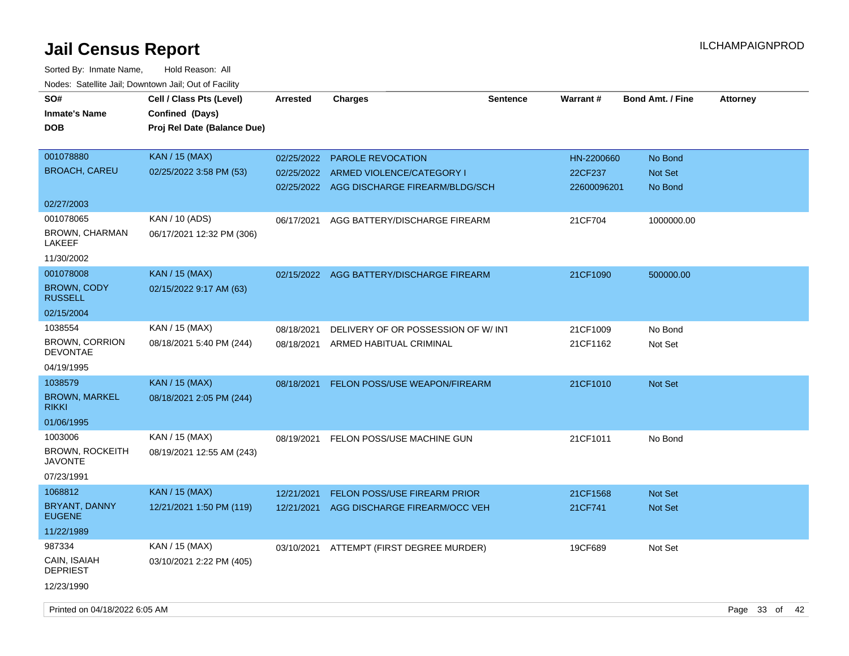| rougs. Calcinic Jan, Downtown Jan, Out of Facility |                                                                            |                 |                                           |          |             |                  |                 |
|----------------------------------------------------|----------------------------------------------------------------------------|-----------------|-------------------------------------------|----------|-------------|------------------|-----------------|
| SO#<br><b>Inmate's Name</b><br><b>DOB</b>          | Cell / Class Pts (Level)<br>Confined (Days)<br>Proj Rel Date (Balance Due) | <b>Arrested</b> | <b>Charges</b>                            | Sentence | Warrant#    | Bond Amt. / Fine | <b>Attorney</b> |
| 001078880                                          | KAN / 15 (MAX)                                                             | 02/25/2022      | <b>PAROLE REVOCATION</b>                  |          | HN-2200660  | No Bond          |                 |
| <b>BROACH, CAREU</b>                               | 02/25/2022 3:58 PM (53)                                                    | 02/25/2022      | ARMED VIOLENCE/CATEGORY I                 |          | 22CF237     | Not Set          |                 |
|                                                    |                                                                            |                 | 02/25/2022 AGG DISCHARGE FIREARM/BLDG/SCH |          | 22600096201 | No Bond          |                 |
| 02/27/2003                                         |                                                                            |                 |                                           |          |             |                  |                 |
| 001078065                                          | KAN / 10 (ADS)                                                             | 06/17/2021      | AGG BATTERY/DISCHARGE FIREARM             |          | 21CF704     | 1000000.00       |                 |
| BROWN, CHARMAN<br>LAKEEF                           | 06/17/2021 12:32 PM (306)                                                  |                 |                                           |          |             |                  |                 |
| 11/30/2002                                         |                                                                            |                 |                                           |          |             |                  |                 |
| 001078008                                          | <b>KAN / 15 (MAX)</b>                                                      |                 | 02/15/2022 AGG BATTERY/DISCHARGE FIREARM  |          | 21CF1090    | 500000.00        |                 |
| <b>BROWN, CODY</b><br><b>RUSSELL</b>               | 02/15/2022 9:17 AM (63)                                                    |                 |                                           |          |             |                  |                 |
| 02/15/2004                                         |                                                                            |                 |                                           |          |             |                  |                 |
| 1038554                                            | KAN / 15 (MAX)                                                             | 08/18/2021      | DELIVERY OF OR POSSESSION OF W/ INT       |          | 21CF1009    | No Bond          |                 |
| <b>BROWN, CORRION</b><br><b>DEVONTAE</b>           | 08/18/2021 5:40 PM (244)                                                   | 08/18/2021      | ARMED HABITUAL CRIMINAL                   |          | 21CF1162    | Not Set          |                 |
| 04/19/1995                                         |                                                                            |                 |                                           |          |             |                  |                 |
| 1038579                                            | <b>KAN</b> / 15 (MAX)                                                      | 08/18/2021      | <b>FELON POSS/USE WEAPON/FIREARM</b>      |          | 21CF1010    | <b>Not Set</b>   |                 |
| <b>BROWN, MARKEL</b><br><b>RIKKI</b>               | 08/18/2021 2:05 PM (244)                                                   |                 |                                           |          |             |                  |                 |
| 01/06/1995                                         |                                                                            |                 |                                           |          |             |                  |                 |
| 1003006                                            | KAN / 15 (MAX)                                                             | 08/19/2021      | FELON POSS/USE MACHINE GUN                |          | 21CF1011    | No Bond          |                 |
| <b>BROWN, ROCKEITH</b><br><b>JAVONTE</b>           | 08/19/2021 12:55 AM (243)                                                  |                 |                                           |          |             |                  |                 |
| 07/23/1991                                         |                                                                            |                 |                                           |          |             |                  |                 |
| 1068812                                            | KAN / 15 (MAX)                                                             | 12/21/2021      | FELON POSS/USE FIREARM PRIOR              |          | 21CF1568    | Not Set          |                 |
| BRYANT, DANNY<br><b>EUGENE</b>                     | 12/21/2021 1:50 PM (119)                                                   | 12/21/2021      | AGG DISCHARGE FIREARM/OCC VEH             |          | 21CF741     | Not Set          |                 |
| 11/22/1989                                         |                                                                            |                 |                                           |          |             |                  |                 |
| 987334                                             | KAN / 15 (MAX)                                                             | 03/10/2021      | ATTEMPT (FIRST DEGREE MURDER)             |          | 19CF689     | Not Set          |                 |
| CAIN, ISAIAH<br><b>DEPRIEST</b>                    | 03/10/2021 2:22 PM (405)                                                   |                 |                                           |          |             |                  |                 |
| 12/23/1990                                         |                                                                            |                 |                                           |          |             |                  |                 |
|                                                    |                                                                            |                 |                                           |          |             |                  |                 |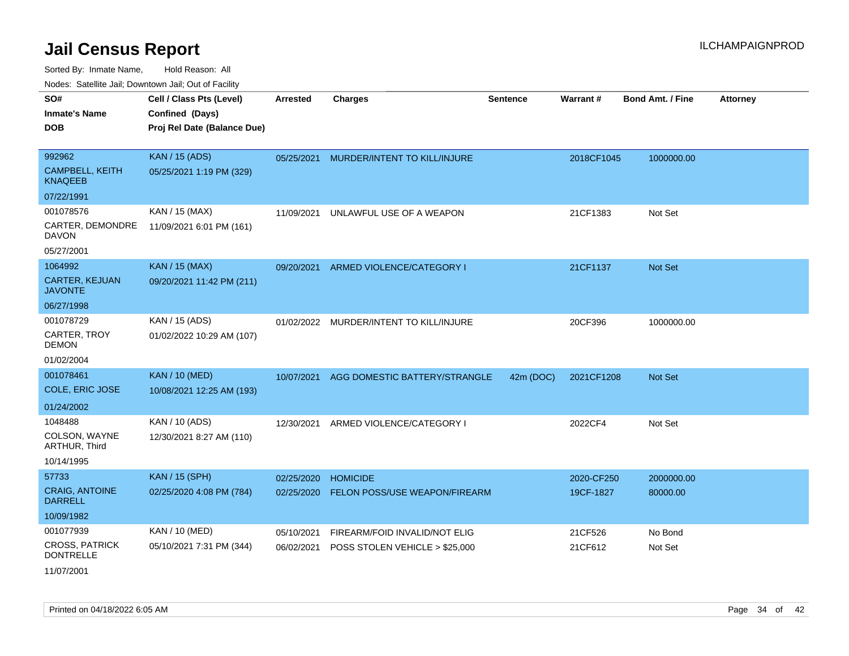Sorted By: Inmate Name, Hold Reason: All Nodes: Satellite Jail; Downtown Jail; Out of Facility

| Noues. Sateme Jan, Downtown Jan, Out or Facility |                             |                 |                                |                 |                 |                         |                 |
|--------------------------------------------------|-----------------------------|-----------------|--------------------------------|-----------------|-----------------|-------------------------|-----------------|
| SO#                                              | Cell / Class Pts (Level)    | <b>Arrested</b> | <b>Charges</b>                 | <b>Sentence</b> | <b>Warrant#</b> | <b>Bond Amt. / Fine</b> | <b>Attorney</b> |
| <b>Inmate's Name</b>                             | Confined (Days)             |                 |                                |                 |                 |                         |                 |
| <b>DOB</b>                                       | Proj Rel Date (Balance Due) |                 |                                |                 |                 |                         |                 |
|                                                  |                             |                 |                                |                 |                 |                         |                 |
| 992962                                           | <b>KAN / 15 (ADS)</b>       | 05/25/2021      | MURDER/INTENT TO KILL/INJURE   |                 | 2018CF1045      | 1000000.00              |                 |
| <b>CAMPBELL, KEITH</b><br><b>KNAQEEB</b>         | 05/25/2021 1:19 PM (329)    |                 |                                |                 |                 |                         |                 |
| 07/22/1991                                       |                             |                 |                                |                 |                 |                         |                 |
| 001078576                                        | KAN / 15 (MAX)              | 11/09/2021      | UNLAWFUL USE OF A WEAPON       |                 | 21CF1383        | Not Set                 |                 |
| CARTER, DEMONDRE<br><b>DAVON</b>                 | 11/09/2021 6:01 PM (161)    |                 |                                |                 |                 |                         |                 |
| 05/27/2001                                       |                             |                 |                                |                 |                 |                         |                 |
| 1064992                                          | <b>KAN / 15 (MAX)</b>       | 09/20/2021      | ARMED VIOLENCE/CATEGORY I      |                 | 21CF1137        | Not Set                 |                 |
| <b>CARTER, KEJUAN</b><br><b>JAVONTE</b>          | 09/20/2021 11:42 PM (211)   |                 |                                |                 |                 |                         |                 |
| 06/27/1998                                       |                             |                 |                                |                 |                 |                         |                 |
| 001078729                                        | KAN / 15 (ADS)              | 01/02/2022      | MURDER/INTENT TO KILL/INJURE   |                 | 20CF396         | 1000000.00              |                 |
| CARTER, TROY<br><b>DEMON</b>                     | 01/02/2022 10:29 AM (107)   |                 |                                |                 |                 |                         |                 |
| 01/02/2004                                       |                             |                 |                                |                 |                 |                         |                 |
| 001078461                                        | <b>KAN / 10 (MED)</b>       | 10/07/2021      | AGG DOMESTIC BATTERY/STRANGLE  | 42m (DOC)       | 2021CF1208      | <b>Not Set</b>          |                 |
| COLE, ERIC JOSE                                  | 10/08/2021 12:25 AM (193)   |                 |                                |                 |                 |                         |                 |
| 01/24/2002                                       |                             |                 |                                |                 |                 |                         |                 |
| 1048488                                          | KAN / 10 (ADS)              | 12/30/2021      | ARMED VIOLENCE/CATEGORY I      |                 | 2022CF4         | Not Set                 |                 |
| COLSON, WAYNE<br>ARTHUR, Third                   | 12/30/2021 8:27 AM (110)    |                 |                                |                 |                 |                         |                 |
| 10/14/1995                                       |                             |                 |                                |                 |                 |                         |                 |
| 57733                                            | <b>KAN / 15 (SPH)</b>       | 02/25/2020      | <b>HOMICIDE</b>                |                 | 2020-CF250      | 2000000.00              |                 |
| <b>CRAIG, ANTOINE</b><br><b>DARRELL</b>          | 02/25/2020 4:08 PM (784)    | 02/25/2020      | FELON POSS/USE WEAPON/FIREARM  |                 | 19CF-1827       | 80000.00                |                 |
| 10/09/1982                                       |                             |                 |                                |                 |                 |                         |                 |
| 001077939                                        | KAN / 10 (MED)              | 05/10/2021      | FIREARM/FOID INVALID/NOT ELIG  |                 | 21CF526         | No Bond                 |                 |
| <b>CROSS, PATRICK</b><br><b>DONTRELLE</b>        | 05/10/2021 7:31 PM (344)    | 06/02/2021      | POSS STOLEN VEHICLE > \$25,000 |                 | 21CF612         | Not Set                 |                 |
| 11/07/2001                                       |                             |                 |                                |                 |                 |                         |                 |

Printed on 04/18/2022 6:05 AM **Page 34** of 42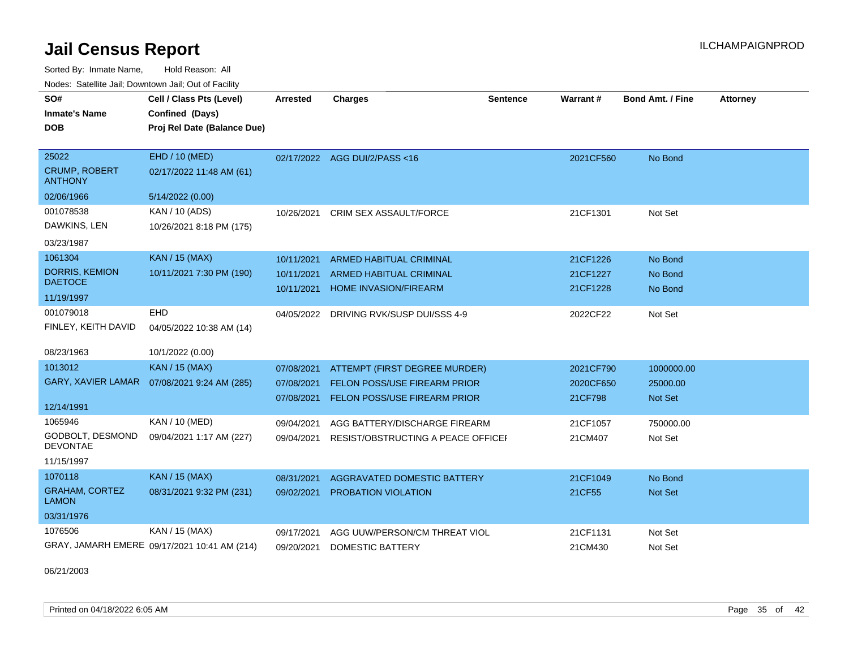Sorted By: Inmate Name, Hold Reason: All Nodes: Satellite Jail; Downtown Jail; Out of Facility

| SO#<br><b>Inmate's Name</b><br><b>DOB</b>       | Cell / Class Pts (Level)<br>Confined (Days)<br>Proj Rel Date (Balance Due) | Arrested   | <b>Charges</b>                      | <b>Sentence</b> | Warrant#  | <b>Bond Amt. / Fine</b> | <b>Attorney</b> |
|-------------------------------------------------|----------------------------------------------------------------------------|------------|-------------------------------------|-----------------|-----------|-------------------------|-----------------|
| 25022<br><b>CRUMP, ROBERT</b><br><b>ANTHONY</b> | EHD / 10 (MED)<br>02/17/2022 11:48 AM (61)                                 |            | 02/17/2022 AGG DUI/2/PASS<16        |                 | 2021CF560 | No Bond                 |                 |
| 02/06/1966                                      | 5/14/2022 (0.00)                                                           |            |                                     |                 |           |                         |                 |
| 001078538                                       | KAN / 10 (ADS)                                                             | 10/26/2021 | CRIM SEX ASSAULT/FORCE              |                 | 21CF1301  | Not Set                 |                 |
| DAWKINS, LEN                                    | 10/26/2021 8:18 PM (175)                                                   |            |                                     |                 |           |                         |                 |
| 03/23/1987                                      |                                                                            |            |                                     |                 |           |                         |                 |
| 1061304                                         | <b>KAN / 15 (MAX)</b>                                                      | 10/11/2021 | <b>ARMED HABITUAL CRIMINAL</b>      |                 | 21CF1226  | No Bond                 |                 |
| <b>DORRIS, KEMION</b><br><b>DAETOCE</b>         | 10/11/2021 7:30 PM (190)                                                   | 10/11/2021 | <b>ARMED HABITUAL CRIMINAL</b>      |                 | 21CF1227  | No Bond                 |                 |
| 11/19/1997                                      |                                                                            | 10/11/2021 | <b>HOME INVASION/FIREARM</b>        |                 | 21CF1228  | No Bond                 |                 |
| 001079018                                       | <b>EHD</b>                                                                 | 04/05/2022 | DRIVING RVK/SUSP DUI/SSS 4-9        |                 | 2022CF22  | Not Set                 |                 |
| FINLEY, KEITH DAVID                             | 04/05/2022 10:38 AM (14)                                                   |            |                                     |                 |           |                         |                 |
| 08/23/1963                                      | 10/1/2022 (0.00)                                                           |            |                                     |                 |           |                         |                 |
| 1013012                                         | <b>KAN / 15 (MAX)</b>                                                      | 07/08/2021 | ATTEMPT (FIRST DEGREE MURDER)       |                 | 2021CF790 | 1000000.00              |                 |
| <b>GARY, XAVIER LAMAR</b>                       | 07/08/2021 9:24 AM (285)                                                   | 07/08/2021 | <b>FELON POSS/USE FIREARM PRIOR</b> |                 | 2020CF650 | 25000.00                |                 |
|                                                 |                                                                            | 07/08/2021 | FELON POSS/USE FIREARM PRIOR        |                 | 21CF798   | <b>Not Set</b>          |                 |
| 12/14/1991                                      |                                                                            |            |                                     |                 |           |                         |                 |
| 1065946                                         | KAN / 10 (MED)                                                             | 09/04/2021 | AGG BATTERY/DISCHARGE FIREARM       |                 | 21CF1057  | 750000.00               |                 |
| <b>GODBOLT, DESMOND</b><br><b>DEVONTAE</b>      | 09/04/2021 1:17 AM (227)                                                   | 09/04/2021 | RESIST/OBSTRUCTING A PEACE OFFICEI  |                 | 21CM407   | Not Set                 |                 |
| 11/15/1997                                      |                                                                            |            |                                     |                 |           |                         |                 |
| 1070118                                         | <b>KAN / 15 (MAX)</b>                                                      | 08/31/2021 | AGGRAVATED DOMESTIC BATTERY         |                 | 21CF1049  | No Bond                 |                 |
| <b>GRAHAM, CORTEZ</b><br><b>LAMON</b>           | 08/31/2021 9:32 PM (231)                                                   | 09/02/2021 | <b>PROBATION VIOLATION</b>          |                 | 21CF55    | Not Set                 |                 |
| 03/31/1976                                      |                                                                            |            |                                     |                 |           |                         |                 |
| 1076506                                         | KAN / 15 (MAX)                                                             | 09/17/2021 | AGG UUW/PERSON/CM THREAT VIOL       |                 | 21CF1131  | Not Set                 |                 |
|                                                 | GRAY, JAMARH EMERE 09/17/2021 10:41 AM (214)                               | 09/20/2021 | DOMESTIC BATTERY                    |                 | 21CM430   | Not Set                 |                 |

06/21/2003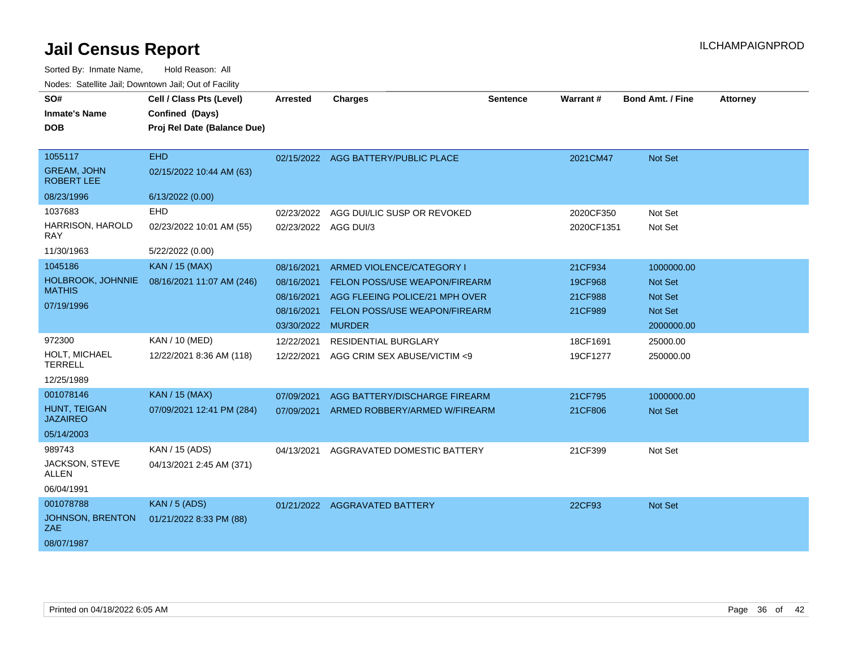| SO#                                     | Cell / Class Pts (Level)                       | <b>Arrested</b>   | <b>Charges</b>                       | Sentence | Warrant#   | <b>Bond Amt. / Fine</b> | <b>Attorney</b> |
|-----------------------------------------|------------------------------------------------|-------------------|--------------------------------------|----------|------------|-------------------------|-----------------|
| <b>Inmate's Name</b><br><b>DOB</b>      | Confined (Days)<br>Proj Rel Date (Balance Due) |                   |                                      |          |            |                         |                 |
|                                         |                                                |                   |                                      |          |            |                         |                 |
| 1055117                                 | <b>EHD</b>                                     |                   | 02/15/2022 AGG BATTERY/PUBLIC PLACE  |          | 2021CM47   | Not Set                 |                 |
| <b>GREAM, JOHN</b><br><b>ROBERT LEE</b> | 02/15/2022 10:44 AM (63)                       |                   |                                      |          |            |                         |                 |
| 08/23/1996                              | 6/13/2022 (0.00)                               |                   |                                      |          |            |                         |                 |
| 1037683                                 | EHD                                            | 02/23/2022        | AGG DUI/LIC SUSP OR REVOKED          |          | 2020CF350  | Not Set                 |                 |
| HARRISON, HAROLD<br>RAY                 | 02/23/2022 10:01 AM (55)                       |                   | 02/23/2022 AGG DUI/3                 |          | 2020CF1351 | Not Set                 |                 |
| 11/30/1963                              | 5/22/2022 (0.00)                               |                   |                                      |          |            |                         |                 |
| 1045186                                 | <b>KAN / 15 (MAX)</b>                          | 08/16/2021        | ARMED VIOLENCE/CATEGORY I            |          | 21CF934    | 1000000.00              |                 |
| HOLBROOK, JOHNNIE                       | 08/16/2021 11:07 AM (246)                      | 08/16/2021        | FELON POSS/USE WEAPON/FIREARM        |          | 19CF968    | <b>Not Set</b>          |                 |
| <b>MATHIS</b>                           |                                                | 08/16/2021        | AGG FLEEING POLICE/21 MPH OVER       |          | 21CF988    | <b>Not Set</b>          |                 |
| 07/19/1996                              |                                                | 08/16/2021        | <b>FELON POSS/USE WEAPON/FIREARM</b> |          | 21CF989    | <b>Not Set</b>          |                 |
|                                         |                                                | 03/30/2022 MURDER |                                      |          |            | 2000000.00              |                 |
| 972300                                  | KAN / 10 (MED)                                 | 12/22/2021        | RESIDENTIAL BURGLARY                 |          | 18CF1691   | 25000.00                |                 |
| HOLT. MICHAEL<br><b>TERRELL</b>         | 12/22/2021 8:36 AM (118)                       | 12/22/2021        | AGG CRIM SEX ABUSE/VICTIM <9         |          | 19CF1277   | 250000.00               |                 |
| 12/25/1989                              |                                                |                   |                                      |          |            |                         |                 |
| 001078146                               | <b>KAN / 15 (MAX)</b>                          | 07/09/2021        | AGG BATTERY/DISCHARGE FIREARM        |          | 21CF795    | 1000000.00              |                 |
| <b>HUNT. TEIGAN</b><br><b>JAZAIREO</b>  | 07/09/2021 12:41 PM (284)                      | 07/09/2021        | ARMED ROBBERY/ARMED W/FIREARM        |          | 21CF806    | <b>Not Set</b>          |                 |
| 05/14/2003                              |                                                |                   |                                      |          |            |                         |                 |
| 989743                                  | KAN / 15 (ADS)                                 | 04/13/2021        | AGGRAVATED DOMESTIC BATTERY          |          | 21CF399    | Not Set                 |                 |
| JACKSON, STEVE<br><b>ALLEN</b>          | 04/13/2021 2:45 AM (371)                       |                   |                                      |          |            |                         |                 |
| 06/04/1991                              |                                                |                   |                                      |          |            |                         |                 |
| 001078788                               | <b>KAN / 5 (ADS)</b>                           | 01/21/2022        | <b>AGGRAVATED BATTERY</b>            |          | 22CF93     | Not Set                 |                 |
| JOHNSON, BRENTON<br>ZAE.                | 01/21/2022 8:33 PM (88)                        |                   |                                      |          |            |                         |                 |
| 08/07/1987                              |                                                |                   |                                      |          |            |                         |                 |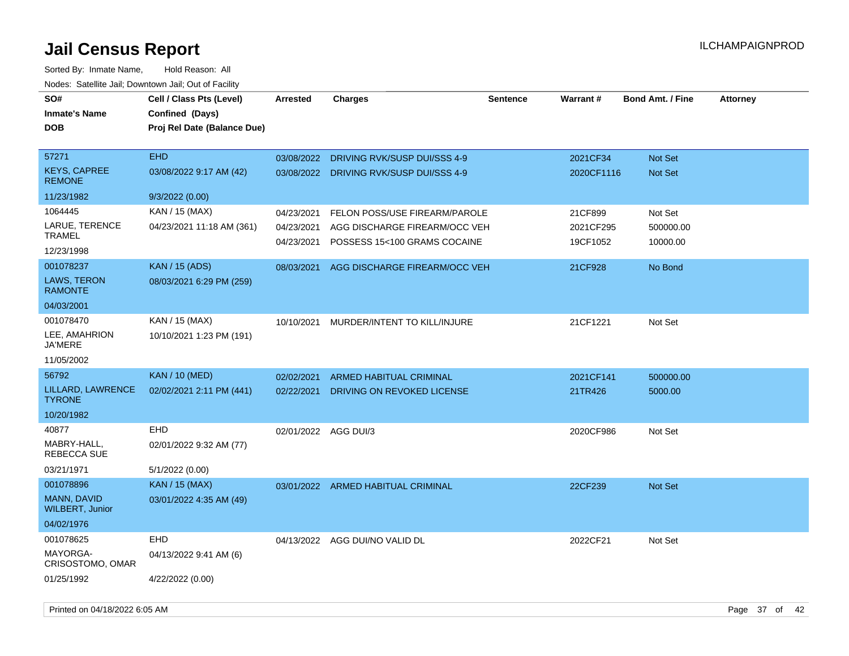| ivoues. Salellite Jali, Downtown Jali, Out of Facility |                             |                      |                                         |                 |            |                         |                 |
|--------------------------------------------------------|-----------------------------|----------------------|-----------------------------------------|-----------------|------------|-------------------------|-----------------|
| SO#                                                    | Cell / Class Pts (Level)    | <b>Arrested</b>      | <b>Charges</b>                          | <b>Sentence</b> | Warrant#   | <b>Bond Amt. / Fine</b> | <b>Attorney</b> |
| <b>Inmate's Name</b>                                   | Confined (Days)             |                      |                                         |                 |            |                         |                 |
| <b>DOB</b>                                             | Proj Rel Date (Balance Due) |                      |                                         |                 |            |                         |                 |
|                                                        |                             |                      |                                         |                 |            |                         |                 |
| 57271                                                  | <b>EHD</b>                  | 03/08/2022           | DRIVING RVK/SUSP DUI/SSS 4-9            |                 | 2021CF34   | Not Set                 |                 |
| <b>KEYS, CAPREE</b><br><b>REMONE</b>                   | 03/08/2022 9:17 AM (42)     |                      | 03/08/2022 DRIVING RVK/SUSP DUI/SSS 4-9 |                 | 2020CF1116 | Not Set                 |                 |
| 11/23/1982                                             | 9/3/2022(0.00)              |                      |                                         |                 |            |                         |                 |
| 1064445                                                | KAN / 15 (MAX)              | 04/23/2021           | FELON POSS/USE FIREARM/PAROLE           |                 | 21CF899    | Not Set                 |                 |
| LARUE, TERENCE                                         | 04/23/2021 11:18 AM (361)   | 04/23/2021           | AGG DISCHARGE FIREARM/OCC VEH           |                 | 2021CF295  | 500000.00               |                 |
| <b>TRAMEL</b>                                          |                             | 04/23/2021           | POSSESS 15<100 GRAMS COCAINE            |                 | 19CF1052   | 10000.00                |                 |
| 12/23/1998                                             |                             |                      |                                         |                 |            |                         |                 |
| 001078237                                              | <b>KAN / 15 (ADS)</b>       | 08/03/2021           | AGG DISCHARGE FIREARM/OCC VEH           |                 | 21CF928    | No Bond                 |                 |
| LAWS, TERON<br><b>RAMONTE</b>                          | 08/03/2021 6:29 PM (259)    |                      |                                         |                 |            |                         |                 |
| 04/03/2001                                             |                             |                      |                                         |                 |            |                         |                 |
| 001078470                                              | KAN / 15 (MAX)              | 10/10/2021           | MURDER/INTENT TO KILL/INJURE            |                 | 21CF1221   | Not Set                 |                 |
| LEE, AMAHRION<br><b>JA'MERE</b>                        | 10/10/2021 1:23 PM (191)    |                      |                                         |                 |            |                         |                 |
| 11/05/2002                                             |                             |                      |                                         |                 |            |                         |                 |
| 56792                                                  | <b>KAN / 10 (MED)</b>       | 02/02/2021           | <b>ARMED HABITUAL CRIMINAL</b>          |                 | 2021CF141  | 500000.00               |                 |
| LILLARD, LAWRENCE<br><b>TYRONE</b>                     | 02/02/2021 2:11 PM (441)    | 02/22/2021           | DRIVING ON REVOKED LICENSE              |                 | 21TR426    | 5000.00                 |                 |
| 10/20/1982                                             |                             |                      |                                         |                 |            |                         |                 |
| 40877                                                  | <b>EHD</b>                  | 02/01/2022 AGG DUI/3 |                                         |                 | 2020CF986  | Not Set                 |                 |
| MABRY-HALL,<br><b>REBECCA SUE</b>                      | 02/01/2022 9:32 AM (77)     |                      |                                         |                 |            |                         |                 |
| 03/21/1971                                             | 5/1/2022 (0.00)             |                      |                                         |                 |            |                         |                 |
| 001078896                                              | KAN / 15 (MAX)              |                      | 03/01/2022 ARMED HABITUAL CRIMINAL      |                 | 22CF239    | Not Set                 |                 |
| MANN, DAVID<br><b>WILBERT, Junior</b>                  | 03/01/2022 4:35 AM (49)     |                      |                                         |                 |            |                         |                 |
| 04/02/1976                                             |                             |                      |                                         |                 |            |                         |                 |
| 001078625                                              | <b>EHD</b>                  |                      | 04/13/2022 AGG DUI/NO VALID DL          |                 | 2022CF21   | Not Set                 |                 |
| MAYORGA-<br>CRISOSTOMO, OMAR                           | 04/13/2022 9:41 AM (6)      |                      |                                         |                 |            |                         |                 |
| 01/25/1992                                             | 4/22/2022 (0.00)            |                      |                                         |                 |            |                         |                 |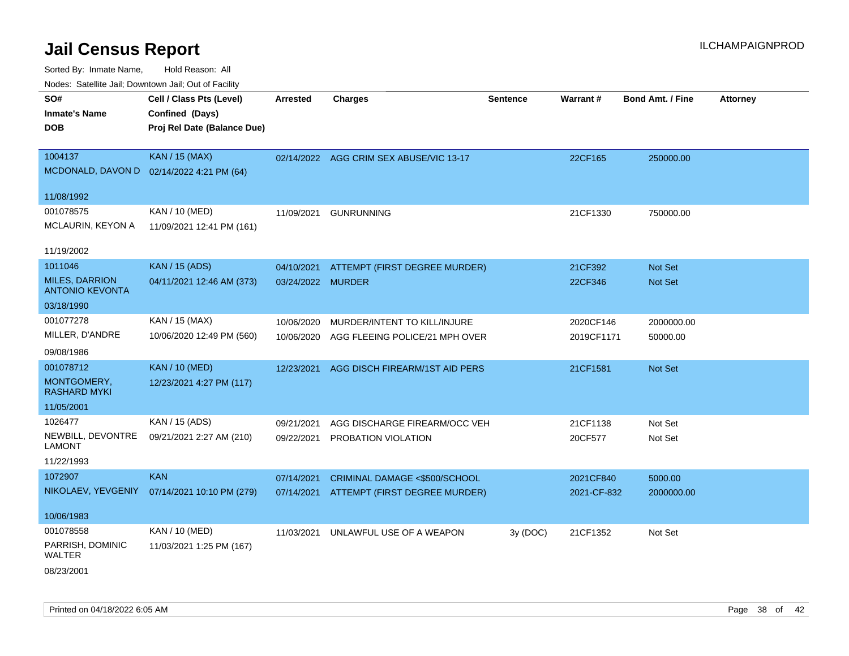Sorted By: Inmate Name, Hold Reason: All Nodes: Satellite Jail; Downtown Jail; Out of Facility

| ivuutta. Saltiilitti valli, Duwilluwii Jalli, Out ol Facility |                                           |                   |                                          |                 |             |                         |                 |
|---------------------------------------------------------------|-------------------------------------------|-------------------|------------------------------------------|-----------------|-------------|-------------------------|-----------------|
| SO#                                                           | Cell / Class Pts (Level)                  | <b>Arrested</b>   | <b>Charges</b>                           | <b>Sentence</b> | Warrant#    | <b>Bond Amt. / Fine</b> | <b>Attorney</b> |
| <b>Inmate's Name</b>                                          | Confined (Days)                           |                   |                                          |                 |             |                         |                 |
| <b>DOB</b>                                                    | Proj Rel Date (Balance Due)               |                   |                                          |                 |             |                         |                 |
|                                                               |                                           |                   |                                          |                 |             |                         |                 |
| 1004137                                                       | <b>KAN / 15 (MAX)</b>                     |                   | 02/14/2022 AGG CRIM SEX ABUSE/VIC 13-17  |                 | 22CF165     | 250000.00               |                 |
|                                                               | MCDONALD, DAVON D 02/14/2022 4:21 PM (64) |                   |                                          |                 |             |                         |                 |
| 11/08/1992                                                    |                                           |                   |                                          |                 |             |                         |                 |
| 001078575                                                     | KAN / 10 (MED)                            | 11/09/2021        | <b>GUNRUNNING</b>                        |                 | 21CF1330    | 750000.00               |                 |
| MCLAURIN, KEYON A                                             | 11/09/2021 12:41 PM (161)                 |                   |                                          |                 |             |                         |                 |
|                                                               |                                           |                   |                                          |                 |             |                         |                 |
| 11/19/2002                                                    |                                           |                   |                                          |                 |             |                         |                 |
| 1011046                                                       | <b>KAN / 15 (ADS)</b>                     |                   | 04/10/2021 ATTEMPT (FIRST DEGREE MURDER) |                 | 21CF392     | Not Set                 |                 |
| <b>MILES, DARRION</b><br><b>ANTONIO KEVONTA</b>               | 04/11/2021 12:46 AM (373)                 | 03/24/2022 MURDER |                                          |                 | 22CF346     | Not Set                 |                 |
| 03/18/1990                                                    |                                           |                   |                                          |                 |             |                         |                 |
| 001077278                                                     | KAN / 15 (MAX)                            | 10/06/2020        | MURDER/INTENT TO KILL/INJURE             |                 | 2020CF146   | 2000000.00              |                 |
| MILLER, D'ANDRE                                               | 10/06/2020 12:49 PM (560)                 | 10/06/2020        | AGG FLEEING POLICE/21 MPH OVER           |                 | 2019CF1171  | 50000.00                |                 |
| 09/08/1986                                                    |                                           |                   |                                          |                 |             |                         |                 |
| 001078712                                                     | <b>KAN / 10 (MED)</b>                     | 12/23/2021        | AGG DISCH FIREARM/1ST AID PERS           |                 | 21CF1581    | Not Set                 |                 |
| MONTGOMERY,<br><b>RASHARD MYKI</b>                            | 12/23/2021 4:27 PM (117)                  |                   |                                          |                 |             |                         |                 |
| 11/05/2001                                                    |                                           |                   |                                          |                 |             |                         |                 |
| 1026477                                                       | KAN / 15 (ADS)                            | 09/21/2021        | AGG DISCHARGE FIREARM/OCC VEH            |                 | 21CF1138    | Not Set                 |                 |
| NEWBILL, DEVONTRE                                             | 09/21/2021 2:27 AM (210)                  |                   | 09/22/2021 PROBATION VIOLATION           |                 | 20CF577     | Not Set                 |                 |
| <b>LAMONT</b>                                                 |                                           |                   |                                          |                 |             |                         |                 |
| 11/22/1993                                                    |                                           |                   |                                          |                 |             |                         |                 |
| 1072907                                                       | <b>KAN</b>                                | 07/14/2021        | CRIMINAL DAMAGE <\$500/SCHOOL            |                 | 2021CF840   | 5000.00                 |                 |
| NIKOLAEV, YEVGENIY                                            | 07/14/2021 10:10 PM (279)                 |                   | 07/14/2021 ATTEMPT (FIRST DEGREE MURDER) |                 | 2021-CF-832 | 2000000.00              |                 |
| 10/06/1983                                                    |                                           |                   |                                          |                 |             |                         |                 |
| 001078558                                                     | KAN / 10 (MED)                            | 11/03/2021        | UNLAWFUL USE OF A WEAPON                 | 3y(DOC)         | 21CF1352    | Not Set                 |                 |
| PARRISH, DOMINIC<br><b>WALTER</b>                             | 11/03/2021 1:25 PM (167)                  |                   |                                          |                 |             |                         |                 |
| 08/23/2001                                                    |                                           |                   |                                          |                 |             |                         |                 |

Printed on 04/18/2022 6:05 AM **Page 38** of 42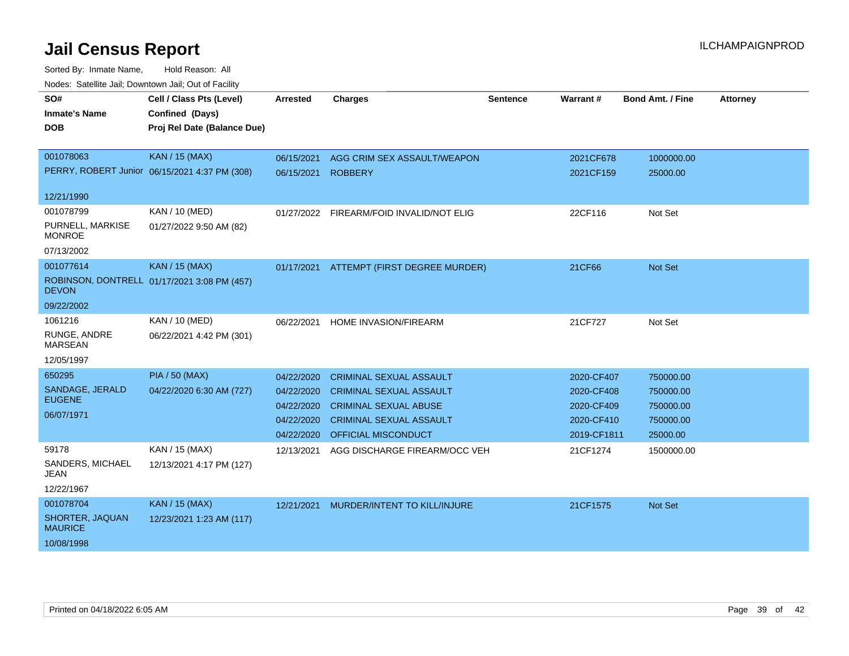| SO#                               | Cell / Class Pts (Level)                      | Arrested   | <b>Charges</b>                           | <b>Sentence</b> | <b>Warrant#</b> | <b>Bond Amt. / Fine</b> | <b>Attorney</b> |
|-----------------------------------|-----------------------------------------------|------------|------------------------------------------|-----------------|-----------------|-------------------------|-----------------|
| <b>Inmate's Name</b>              | Confined (Days)                               |            |                                          |                 |                 |                         |                 |
| <b>DOB</b>                        | Proj Rel Date (Balance Due)                   |            |                                          |                 |                 |                         |                 |
|                                   |                                               |            |                                          |                 |                 |                         |                 |
| 001078063                         | <b>KAN / 15 (MAX)</b>                         | 06/15/2021 | AGG CRIM SEX ASSAULT/WEAPON              |                 | 2021CF678       | 1000000.00              |                 |
|                                   | PERRY, ROBERT Junior 06/15/2021 4:37 PM (308) | 06/15/2021 | <b>ROBBERY</b>                           |                 | 2021CF159       | 25000.00                |                 |
| 12/21/1990                        |                                               |            |                                          |                 |                 |                         |                 |
| 001078799                         | KAN / 10 (MED)                                |            | 01/27/2022 FIREARM/FOID INVALID/NOT ELIG |                 | 22CF116         | Not Set                 |                 |
| PURNELL, MARKISE<br><b>MONROE</b> | 01/27/2022 9:50 AM (82)                       |            |                                          |                 |                 |                         |                 |
| 07/13/2002                        |                                               |            |                                          |                 |                 |                         |                 |
| 001077614                         | <b>KAN / 15 (MAX)</b>                         |            | 01/17/2021 ATTEMPT (FIRST DEGREE MURDER) |                 | 21CF66          | Not Set                 |                 |
| <b>DEVON</b>                      | ROBINSON, DONTRELL 01/17/2021 3:08 PM (457)   |            |                                          |                 |                 |                         |                 |
| 09/22/2002                        |                                               |            |                                          |                 |                 |                         |                 |
| 1061216                           | KAN / 10 (MED)                                | 06/22/2021 | <b>HOME INVASION/FIREARM</b>             |                 | 21CF727         | Not Set                 |                 |
| RUNGE, ANDRE<br><b>MARSEAN</b>    | 06/22/2021 4:42 PM (301)                      |            |                                          |                 |                 |                         |                 |
| 12/05/1997                        |                                               |            |                                          |                 |                 |                         |                 |
| 650295                            | <b>PIA / 50 (MAX)</b>                         | 04/22/2020 | <b>CRIMINAL SEXUAL ASSAULT</b>           |                 | 2020-CF407      | 750000.00               |                 |
| SANDAGE, JERALD                   | 04/22/2020 6:30 AM (727)                      | 04/22/2020 | <b>CRIMINAL SEXUAL ASSAULT</b>           |                 | 2020-CF408      | 750000.00               |                 |
| <b>EUGENE</b>                     |                                               | 04/22/2020 | <b>CRIMINAL SEXUAL ABUSE</b>             |                 | 2020-CF409      | 750000.00               |                 |
| 06/07/1971                        |                                               | 04/22/2020 | <b>CRIMINAL SEXUAL ASSAULT</b>           |                 | 2020-CF410      | 750000.00               |                 |
|                                   |                                               | 04/22/2020 | <b>OFFICIAL MISCONDUCT</b>               |                 | 2019-CF1811     | 25000.00                |                 |
| 59178                             | KAN / 15 (MAX)                                | 12/13/2021 | AGG DISCHARGE FIREARM/OCC VEH            |                 | 21CF1274        | 1500000.00              |                 |
| SANDERS, MICHAEL<br>JEAN          | 12/13/2021 4:17 PM (127)                      |            |                                          |                 |                 |                         |                 |
| 12/22/1967                        |                                               |            |                                          |                 |                 |                         |                 |
| 001078704                         | <b>KAN / 15 (MAX)</b>                         | 12/21/2021 | MURDER/INTENT TO KILL/INJURE             |                 | 21CF1575        | <b>Not Set</b>          |                 |
| SHORTER, JAQUAN<br><b>MAURICE</b> | 12/23/2021 1:23 AM (117)                      |            |                                          |                 |                 |                         |                 |
| 10/08/1998                        |                                               |            |                                          |                 |                 |                         |                 |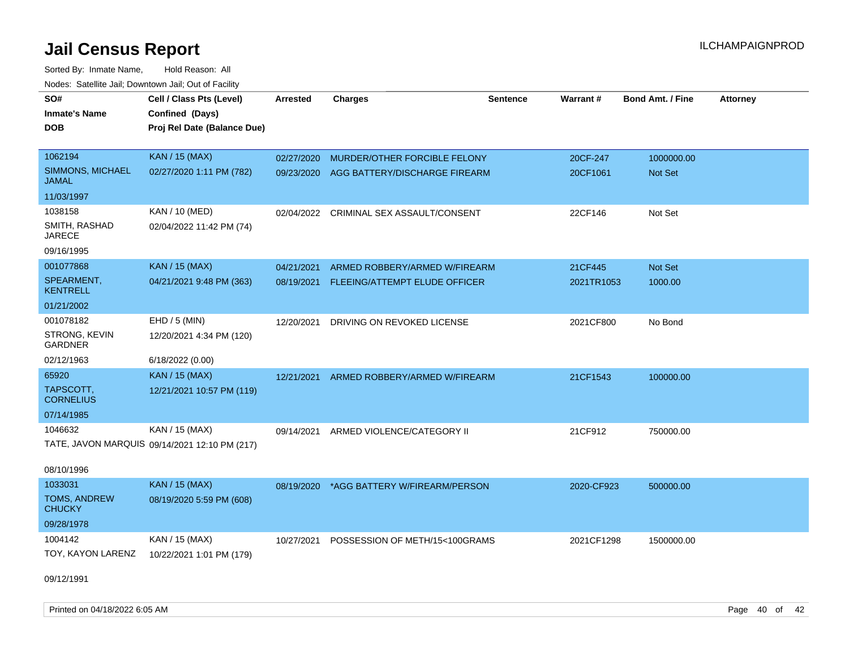Sorted By: Inmate Name, Hold Reason: All Nodes: Satellite Jail; Downtown Jail; Out of Facility

| SO#<br><b>Inmate's Name</b>      | Cell / Class Pts (Level)<br>Confined (Days)   | <b>Arrested</b> | <b>Charges</b>                          | <b>Sentence</b> | Warrant#   | <b>Bond Amt. / Fine</b> | <b>Attorney</b> |
|----------------------------------|-----------------------------------------------|-----------------|-----------------------------------------|-----------------|------------|-------------------------|-----------------|
| <b>DOB</b>                       | Proj Rel Date (Balance Due)                   |                 |                                         |                 |            |                         |                 |
| 1062194                          | <b>KAN / 15 (MAX)</b>                         | 02/27/2020      | MURDER/OTHER FORCIBLE FELONY            |                 | 20CF-247   | 1000000.00              |                 |
| <b>SIMMONS, MICHAEL</b><br>JAMAL | 02/27/2020 1:11 PM (782)                      | 09/23/2020      | AGG BATTERY/DISCHARGE FIREARM           |                 | 20CF1061   | Not Set                 |                 |
| 11/03/1997                       |                                               |                 |                                         |                 |            |                         |                 |
| 1038158                          | KAN / 10 (MED)                                |                 | 02/04/2022 CRIMINAL SEX ASSAULT/CONSENT |                 | 22CF146    | Not Set                 |                 |
| SMITH, RASHAD<br><b>JARECE</b>   | 02/04/2022 11:42 PM (74)                      |                 |                                         |                 |            |                         |                 |
| 09/16/1995                       |                                               |                 |                                         |                 |            |                         |                 |
| 001077868                        | <b>KAN / 15 (MAX)</b>                         | 04/21/2021      | ARMED ROBBERY/ARMED W/FIREARM           |                 | 21CF445    | Not Set                 |                 |
| SPEARMENT,<br><b>KENTRELL</b>    | 04/21/2021 9:48 PM (363)                      | 08/19/2021      | FLEEING/ATTEMPT ELUDE OFFICER           |                 | 2021TR1053 | 1000.00                 |                 |
| 01/21/2002                       |                                               |                 |                                         |                 |            |                         |                 |
| 001078182                        | $EHD / 5$ (MIN)                               | 12/20/2021      | DRIVING ON REVOKED LICENSE              |                 | 2021CF800  | No Bond                 |                 |
| STRONG, KEVIN<br><b>GARDNER</b>  | 12/20/2021 4:34 PM (120)                      |                 |                                         |                 |            |                         |                 |
| 02/12/1963                       | 6/18/2022 (0.00)                              |                 |                                         |                 |            |                         |                 |
| 65920                            | KAN / 15 (MAX)                                | 12/21/2021      | ARMED ROBBERY/ARMED W/FIREARM           |                 | 21CF1543   | 100000.00               |                 |
| TAPSCOTT,<br><b>CORNELIUS</b>    | 12/21/2021 10:57 PM (119)                     |                 |                                         |                 |            |                         |                 |
| 07/14/1985                       |                                               |                 |                                         |                 |            |                         |                 |
| 1046632                          | KAN / 15 (MAX)                                | 09/14/2021      | ARMED VIOLENCE/CATEGORY II              |                 | 21CF912    | 750000.00               |                 |
|                                  | TATE, JAVON MARQUIS 09/14/2021 12:10 PM (217) |                 |                                         |                 |            |                         |                 |
| 08/10/1996                       |                                               |                 |                                         |                 |            |                         |                 |
| 1033031                          | <b>KAN / 15 (MAX)</b>                         | 08/19/2020      | *AGG BATTERY W/FIREARM/PERSON           |                 | 2020-CF923 | 500000.00               |                 |
| TOMS, ANDREW<br><b>CHUCKY</b>    | 08/19/2020 5:59 PM (608)                      |                 |                                         |                 |            |                         |                 |
| 09/28/1978                       |                                               |                 |                                         |                 |            |                         |                 |
| 1004142                          | KAN / 15 (MAX)                                | 10/27/2021      | POSSESSION OF METH/15<100GRAMS          |                 | 2021CF1298 | 1500000.00              |                 |
| TOY, KAYON LARENZ                | 10/22/2021 1:01 PM (179)                      |                 |                                         |                 |            |                         |                 |
|                                  |                                               |                 |                                         |                 |            |                         |                 |

09/12/1991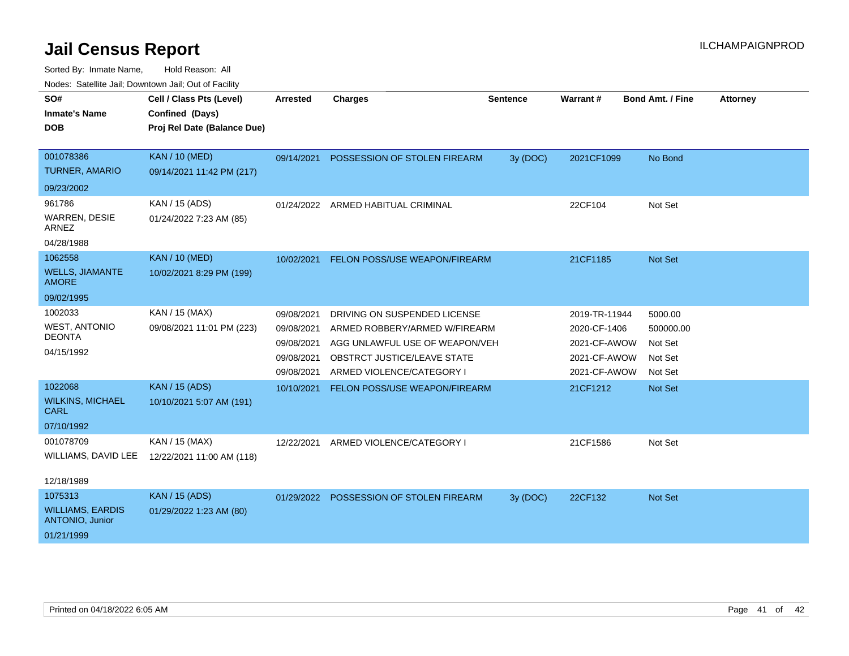| SO#<br><b>Inmate's Name</b><br><b>DOB</b>  | Cell / Class Pts (Level)<br>Confined (Days)<br>Proj Rel Date (Balance Due) | <b>Arrested</b> | <b>Charges</b>                           | <b>Sentence</b> | Warrant#      | <b>Bond Amt. / Fine</b> | <b>Attorney</b> |
|--------------------------------------------|----------------------------------------------------------------------------|-----------------|------------------------------------------|-----------------|---------------|-------------------------|-----------------|
| 001078386                                  | <b>KAN / 10 (MED)</b>                                                      | 09/14/2021      | POSSESSION OF STOLEN FIREARM             | 3y (DOC)        | 2021CF1099    | No Bond                 |                 |
| <b>TURNER, AMARIO</b>                      | 09/14/2021 11:42 PM (217)                                                  |                 |                                          |                 |               |                         |                 |
| 09/23/2002                                 |                                                                            |                 |                                          |                 |               |                         |                 |
| 961786                                     | KAN / 15 (ADS)                                                             | 01/24/2022      | ARMED HABITUAL CRIMINAL                  |                 | 22CF104       | Not Set                 |                 |
| WARREN, DESIE<br><b>ARNEZ</b>              | 01/24/2022 7:23 AM (85)                                                    |                 |                                          |                 |               |                         |                 |
| 04/28/1988                                 |                                                                            |                 |                                          |                 |               |                         |                 |
| 1062558                                    | <b>KAN / 10 (MED)</b>                                                      |                 | 10/02/2021 FELON POSS/USE WEAPON/FIREARM |                 | 21CF1185      | Not Set                 |                 |
| <b>WELLS, JIAMANTE</b><br><b>AMORE</b>     | 10/02/2021 8:29 PM (199)                                                   |                 |                                          |                 |               |                         |                 |
| 09/02/1995                                 |                                                                            |                 |                                          |                 |               |                         |                 |
| 1002033                                    | KAN / 15 (MAX)                                                             | 09/08/2021      | DRIVING ON SUSPENDED LICENSE             |                 | 2019-TR-11944 | 5000.00                 |                 |
| <b>WEST, ANTONIO</b>                       | 09/08/2021 11:01 PM (223)                                                  | 09/08/2021      | ARMED ROBBERY/ARMED W/FIREARM            |                 | 2020-CF-1406  | 500000.00               |                 |
| <b>DEONTA</b>                              |                                                                            | 09/08/2021      | AGG UNLAWFUL USE OF WEAPON/VEH           |                 | 2021-CF-AWOW  | Not Set                 |                 |
| 04/15/1992                                 |                                                                            | 09/08/2021      | OBSTRCT JUSTICE/LEAVE STATE              |                 | 2021-CF-AWOW  | Not Set                 |                 |
|                                            |                                                                            | 09/08/2021      | ARMED VIOLENCE/CATEGORY I                |                 | 2021-CF-AWOW  | Not Set                 |                 |
| 1022068                                    | <b>KAN / 15 (ADS)</b>                                                      | 10/10/2021      | FELON POSS/USE WEAPON/FIREARM            |                 | 21CF1212      | Not Set                 |                 |
| <b>WILKINS, MICHAEL</b><br><b>CARL</b>     | 10/10/2021 5:07 AM (191)                                                   |                 |                                          |                 |               |                         |                 |
| 07/10/1992                                 |                                                                            |                 |                                          |                 |               |                         |                 |
| 001078709                                  | KAN / 15 (MAX)                                                             | 12/22/2021      | ARMED VIOLENCE/CATEGORY I                |                 | 21CF1586      | Not Set                 |                 |
| WILLIAMS, DAVID LEE                        | 12/22/2021 11:00 AM (118)                                                  |                 |                                          |                 |               |                         |                 |
| 12/18/1989                                 |                                                                            |                 |                                          |                 |               |                         |                 |
| 1075313                                    | <b>KAN / 15 (ADS)</b>                                                      | 01/29/2022      | POSSESSION OF STOLEN FIREARM             | 3y (DOC)        | 22CF132       | Not Set                 |                 |
| <b>WILLIAMS, EARDIS</b><br>ANTONIO, Junior | 01/29/2022 1:23 AM (80)                                                    |                 |                                          |                 |               |                         |                 |
| 01/21/1999                                 |                                                                            |                 |                                          |                 |               |                         |                 |